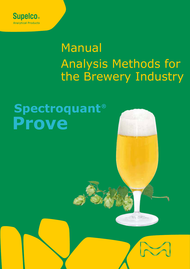

# Manual Analysis Methods for the Brewery Industry

# **Spectroquant® Prove**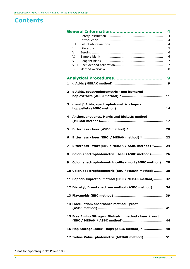# **Contents**

|              |      |                                                        | 4              |  |  |  |  |
|--------------|------|--------------------------------------------------------|----------------|--|--|--|--|
|              | T    |                                                        | $\overline{4}$ |  |  |  |  |
|              | II   |                                                        | 4              |  |  |  |  |
|              | Ш    |                                                        | 4              |  |  |  |  |
|              | IV   |                                                        | 5              |  |  |  |  |
|              | V    |                                                        | 6              |  |  |  |  |
|              | VI   |                                                        | 6              |  |  |  |  |
|              | VII  |                                                        | 7              |  |  |  |  |
|              | VIII |                                                        | 7              |  |  |  |  |
|              | IX   |                                                        | 8              |  |  |  |  |
|              |      |                                                        | 9              |  |  |  |  |
| $\mathbf{1}$ |      |                                                        | 9              |  |  |  |  |
| $\mathbf{2}$ |      | a Acids, spectrophotometric - non isomered             |                |  |  |  |  |
|              |      |                                                        | 11             |  |  |  |  |
|              |      |                                                        |                |  |  |  |  |
| 3            |      | $a$ and $\beta$ Acids, spectrophotometric - hops /     |                |  |  |  |  |
|              |      |                                                        | 14             |  |  |  |  |
|              |      |                                                        |                |  |  |  |  |
| 4            |      | Anthocyanogenes, Harris and Ricketts method            |                |  |  |  |  |
|              |      |                                                        | 17             |  |  |  |  |
|              |      |                                                        |                |  |  |  |  |
| 5            |      |                                                        | 20             |  |  |  |  |
|              |      |                                                        |                |  |  |  |  |
| 6            |      | Bitterness - beer (EBC / MEBAK method) *               | 22             |  |  |  |  |
| 7            |      |                                                        |                |  |  |  |  |
|              |      | Bitterness - wort (EBC / MEBAK / ASBC method) *        | 24             |  |  |  |  |
| 8            |      | Color, spectrophotometric - beer (ASBC method)         | 26             |  |  |  |  |
|              |      |                                                        |                |  |  |  |  |
| 9            |      | Color, spectrophotometric celite - wort (ASBC method)  | 28             |  |  |  |  |
|              |      |                                                        |                |  |  |  |  |
|              |      | 10 Color, spectrophotometric (EBC / MEBAK method)      | 30             |  |  |  |  |
|              |      |                                                        |                |  |  |  |  |
|              |      | 11 Copper, Cuprethol method (EBC / MEBAK method)       | 32             |  |  |  |  |
|              |      |                                                        |                |  |  |  |  |
|              |      | 12 Diacetyl, Broad spectrum method (ASBC method)       | 34             |  |  |  |  |
|              |      |                                                        |                |  |  |  |  |
|              |      |                                                        | 39             |  |  |  |  |
|              |      |                                                        |                |  |  |  |  |
|              |      | 14 Flocculation, absorbance method - yeast             |                |  |  |  |  |
|              |      |                                                        | 41             |  |  |  |  |
|              |      |                                                        |                |  |  |  |  |
|              |      | 15 Free Amino Nitrogen, Ninhydrin method - beer / wort |                |  |  |  |  |
|              |      |                                                        | 44             |  |  |  |  |
|              |      | 16 Hop Storage Index - hops (ASBC method) *            | 48             |  |  |  |  |
|              |      |                                                        |                |  |  |  |  |
|              |      | 17 Iodine Value, photometric (MEBAK method)            | 51             |  |  |  |  |
|              |      |                                                        |                |  |  |  |  |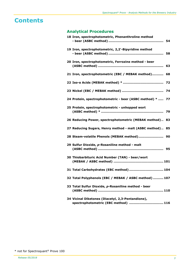# **Contents**

# **Analytical Procedures**

| 18 Iron, spectrophotometric, Phenanthroline method                                        |    |
|-------------------------------------------------------------------------------------------|----|
| 19 Iron, spectrophotometric, 2,2'-Bipyridine method                                       | 58 |
| 20 Iron, spectrophotometric, Ferrozine method - beer                                      | 63 |
| 21 Iron, spectrophotometric (EBC / MEBAK method)                                          | 68 |
|                                                                                           | 72 |
|                                                                                           |    |
| 24 Protein, spectrophotometric - beer (ASBC method) *  77                                 |    |
| 25 Protein, spectrophotometric - unhopped wort                                            | 79 |
| 26 Reducing Power, spectrophotometric (MEBAK method) 83                                   |    |
| 27 Reducing Sugars, Henry method - malt (ASBC method) 85                                  |    |
| 28 Steam-volatile Phenols (MEBAK method) 90                                               |    |
| 29 Sulfur Dioxide, p-Rosaniline method - malt                                             |    |
| 30 Thiobarbituric Acid Number (TAN) - beer/wort                                           |    |
| 31 Total Carbohydrates (EBC method)  104                                                  |    |
| 32 Total Polyphenols (EBC / MEBAK / ASBC method)  107                                     |    |
| 33 Total Sulfur Dioxide, p-Rosaniline method - beer                                       |    |
| 34 Vicinal Diketones (Diacetyl, 2,3-Pentandione),<br>spectrophotometric (EBC method)  116 |    |

<sup>\*</sup> not for Spectroquant® Prove 100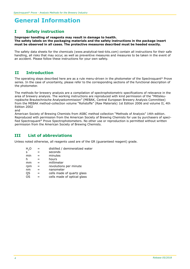### **I Safety instruction**

**Improper handling of reagents may result in damage to health. The safety labels on the packaging materials and the safety instructions in the package insert must be observed in all cases. The protective measures described must be heeded exactly.**

The safety data sheets for the chemicals (www.analytical-test-kits.com) contain all instructions for their safe handling, all risks that may occur, as well as preventive measures and measures to be taken in the event of an accident. Please follow these instructions for your own safety.

### **II Introduction**

The operating steps described here are as a rule menu-driven in the photometer of the Spectroquant® Prove series. In the case of uncertainty, please refer to the corresponding sections of the functional description of the photometer.

The methods for brewery analysis are a compilation of spectrophotometric specifications of relevance in the area of brewery analysis. The working instructions are reproduced with kind permission of the "Mitteleuropäische Brautechnische Analysekommission" (MEBAK, Central European Brewery Analysis Committee) from the MEBAK method-collection volume "Rohstoffe" (Raw Materials) 1st Edition 2006 and volume II, 4th Edition 2002

and

American Society of Brewing Chemists from ASBC method collection "Methods of Analysis" 14th edition. Reproduced with permission from the American Society of Brewing Chemists for use by purchasers of specified Spectroquant<sup>®</sup> Prove Spectrophotometers. No other use or reproduction is permitted without written permission from the American Society of Brewing Chemists.

### **III List of abbreviations**

Unless noted otherwise, all reagents used are of the GR (guaranteed reagent) grade.

| Н,О |     | distilled / demineralized water |
|-----|-----|---------------------------------|
| S   |     | seconds                         |
| min |     | minutes                         |
| h   |     | hours                           |
| mm  |     | millimeter                      |
| rpm | =   | revolutions per minute          |
| nm  | $=$ | nanometer                       |
| QS  |     | cells made of quartz glass      |
| οs  |     | cells made of optical glass     |
|     |     |                                 |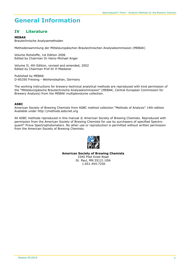### **IV Literature**

#### **MEBAK**

Brautechnische Analysemethoden

Methodensammlung der Mitteleuropäischen Brautechnischen Analysekommission (MEBAK)

Volume Rohstoffe, 1st Edition 2006 Edited by Chairman Dr Heinz-Michael Anger

Volume II, 4th Edition, revised and amended, 2002 Edited by Chairman Prof Dr H Miedaner

Published by MEBAK D-85350 Freising - Weihenstephan, Germany

The working instructions for brewery-technical analytical methods are reproduced with kind permission of the "Mitteleuropäische Brautechnische Analysekommission" (MEBAK, Central European Commission for Brewery Analysis) from the MEBAK multiplevolume collection.

#### **ASBC**

American Society of Brewing Chemists from ASBC method collection "Methods of Analysis" 14th edition Available under http:\\methods.asbcnet.org

All ASBC methods reproduced in this manual © American Society of Brewing Chemists. Reproduced with permission from the American Society of Brewing Chemists for use by purchasers of specified Spectroquant® Prove Spectrophotometers. No other use or reproduction is permitted without written permission from the American Society of Brewing Chemists.



**American Society of Brewing Chemists**  3340 Pilot Knob Road St. Paul, MN 55121 USA 1.651.454.7250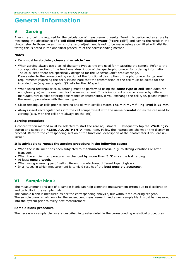## **V Zeroing**

A valid zero point is required for the calculation of measurement results. Zeroing is performed as a rule by measuring the absorbance of **a cell filled with distilled water ("zero cell")** and saving the result in the photometer. In those cases in which the zero adjustment is **not** to be made using a cell filled with distilled water, this is noted in the analytical procedure of the corresponding method.

#### **Notes**

- Cells must be absolutely **clean** and **scratch-free**.
- When zeroing always use a cell of the same type as the one used for measuring the sample. Refer to the corresponding section of the functional description of the spectrophotometer for ordering information. The cells listed there are specifically designed for the Spectroquant® product range. Please refer to the corresponding section of the functional description of the photometer for general requirements regarding the cells. Please note that the transmission of the cell must be suited for the intended use (e. g. rectangular QS cells for the UV spectrum).
- When using rectangular cells, zeroing must be performed using the **same type of cell** (manufacturer and glass type) as the one used for the measurement. This is important since cells made by different manufacturers exhibit differing absorbance characteristics. If you exchange the cell type, please repeat the zeroing procedure with the new type.
- Clean rectangular cells prior to zeroing and fill with distilled water. **The minimum filling level is 25 mm.**
- Always insert rectangular cells into the cell compartment with the **same orientation** as the cell used for zeroing (e. g. with the cell print always on the left).

#### **Zeroing procedure**

A concentration method must be selected to start the zero adjustment. Subsequently tap the **<Settings>** button and select the **<ZERO ADJUSTMENT>** menu item. Follow the instructions shown on the display to proceed. Refer to the corresponding section of the functional description of the photometer if you are uncertain.

#### **It is advisable to repeat the zeroing procedure in the following cases:**

- When the instrument has been subjected to **mechanical stress**, e. g. to strong vibrations or after transport.
- When the ambient temperature has changed **by more than 5 °C** since the last zeroing.
- At least **once a week**.
- When using a **new type of cell** (different manufacturer, different type of glass).
- In all cases in which measurement is to yield results of the **best possible accuracy**.

## **VI Sample blank**

The measurement and use of a sample blank can help eliminate measurement errors due to discoloration and turbidity in the sample matrix.

The sample blank is measured as per the corresponding analysis, but without the coloring reagent. The sample blank is valid only for the subsequent measurement, and a new sample blank must be measured into the system prior to every new measurement.

#### **Sample blank procedure**

The necessary sample blanks are described in greater detail in the corresponding analytical procedures.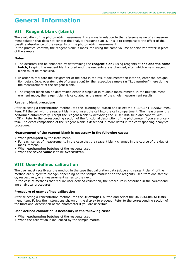## **VII Reagent blank (blank)**

The evaluation of the photometric measurement is always in relation to the reference value of a measurement solution that does not contain the analyte (reagent blank). This is to compensate the effect of the baseline absorbance of the reagents on the photometric measurement. In the practical context, the reagent blank is measured using the same volume of deionized water in place of the sample.

#### **Notes**

- The accuracy can be enhanced by determining the **reagent blank** using reagents of **one and the same batch**, keeping the reagent blank stored until the reagents are exchanged, after which a new reagent blank must be measured.
- In order to facilitate the assignment of the data in the result documentation later on, enter the designation details (e. g. operator, date of preparation) for the respective sample (as "**Lot number**") here during the measurement of the reagent blank.
- The reagent blank can be determined either in single or in multiple measurement. In the multiple measurement mode, the reagent blank is calculated as the mean of the single measurement results.

#### **Reagent blank procedure**

After selecting a concentration method, tap the <Settings> button and select the <REAGENT BLANK> menu item. Fill the cell with the reagent blank and insert the cell into the cell compartment. The measurement is performed automatically. Accept the reagent blank by activating the <User RB> field and confirm with <OK>. Refer to the corresponding section of the functional description of the photometer if you are uncertain. The exact composition of the reagent blank is described in more detail in the corresponding analytical procedure.

#### **Measurement of the reagent blank is necessary in the following cases:**

- When **prompted** by the instrument.
- For each series of measurements in the case that the reagent blank changes in the course of the day of measurement.
- When **exchanging batches** of the reagents used.
- When the **saved value** is to be **overwritten**.

### **VIII User-defined calibration**

The user must recalibrate the method in the case that calibration data (slope and reagent blank) of the method are subject to change, depending on the sample matrix or on the reagents used from one sample or, respectively, one measurement series to the next.

In the case of methods that require user-defined calibration, the procedure is described in the corresponding analytical procedures.

#### **Procedure of user-defined calibration**

After selecting a concentration method, tap the **<Settings>** button and select the **<RECALIBRATION>** menu item. Follow the instructions shown on the display to proceed. Refer to the corresponding section of the functional description of the photometer if you are uncertain.

#### **User-defined calibration is necessary in the following cases:**

- When **exchanging batches** of the reagents used.
- When the calibration is influenced by the sample matrix.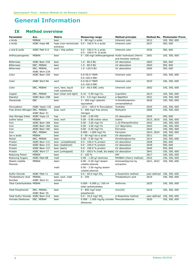## **IX Method overview**

| <b>Parameter</b>                   | Acc.                         | Matrix                                 | <b>Measuring range</b>                                           | <b>Method principle</b> |              | <b>Method No. Photometer Prove</b> |
|------------------------------------|------------------------------|----------------------------------------|------------------------------------------------------------------|-------------------------|--------------|------------------------------------|
| a Acids                            | <b>MEBAK</b>                 | beer                                   | $0 - 80$ mg/l a acids                                            | Inherent color          | 2612         | 100, 300, 600                      |
| a Acids                            | <b>ASBC Hops-8B</b>          | hops (non-isomerized<br>extracts)      | $0.0 - 100.0 %$ a acids<br>Inherent color                        |                         | 2637         | 300, 600                           |
| $a$ and $\beta$ acids              | ASBC Malt 6-A                | Hop / Hop pellets                      | 0.0 - 100.0 % a acids<br>$0.0 - 100.0 %$ $\beta$ acids           | Inherent color          | 2636         | 300, 600                           |
| Anthocyanogenes                    | MEBAK                        | beer                                   | 0 - 100 mg/l anthocyanogenes Acidic hydrolysis (Harris           | and Ricketts method)    | 2601         | 100, 300, 600                      |
| <b>Bitterness</b>                  | ASBC Beer-23A                | beer                                   | $1.0 - 80.0$ BU                                                  | UV absorption           | 2603         | 300, 600                           |
| <b>Bitterness</b>                  | EBC, MEBAK                   | beer                                   | $1.0 - 80.0$ BU                                                  | UV absorption           | 2603         | 300, 600                           |
| <b>Bitterness</b>                  | EBC, MEBAK,<br>ASBC Wort-23A | wort                                   | 1.0 -120.0 BU                                                    | UV absorption           | 2604         | 300, 600                           |
| Color                              | ASBC Beer-10A                | beer                                   | 0.0-50.0 °SRM<br>0.0-100.0 EBC                                   | Inherent color          | 2633         | 100, 300, 600                      |
| Color                              | ASBC Wort-9A                 | wort                                   | 0.0-50.0 °SRM<br>0.0-100.0 EBC                                   | Inherent color          | 2633         | 100, 300, 600                      |
| Color                              | EBC, MEBAK                   | wort, beer, liquid<br>malt substitutes | 0.0 - 60.0 EBC units                                             | Inherent color          | 2602         | 100, 300, 600                      |
| Copper                             | EBC, MEBAK                   | beer (clear and light)                 | 0.10 - 5.00 mg/l Cu                                              | Cuprethol               | 2613         | 100, 300, 600                      |
| Diacetyl                           | ASBC Beer-25B                | beer                                   | $0.0 - 4.0$ mg/l diacetyl                                        | a-Naphthol              | 2631         | 100, 300, 600                      |
| Flavanoids                         | EBC                          | beer                                   | 3 - 200 mg/l catechin                                            | 4-Dimethylamino-        | 2626         | 100, 300, 600                      |
|                                    |                              |                                        | equivalent                                                       | cinnamaldehyd           |              |                                    |
| Flocculation                       | ASBC Yeast-11B               | yeast                                  | $-10.0 - 100.0$ % flocculation                                   | Turbidity               | 2635         | 100, 300, 600                      |
| Free Amino Nitrogen EBC, MEBAK,    | ASBC Beer-31                 | beer, wort                             | $0 - 400$ mg/l free amino<br>nitrogen                            | Ninhydrin               | 2606         | 100, 300, 600                      |
| Hop Storage Index ASBC Hops-12     |                              | hop                                    | $0.00 - 2.00$ HSI                                                | UV absorption           | 2634         | 300, 600                           |
| <b>Iodine Value</b>                | <b>MEBAK</b>                 | beer, wort                             | 0.00 - 0.80 iodine value                                         | Iodine                  | 2615, 2616   | 100, 300, 600                      |
| Iron                               | ASBC Beer-18A                | beer                                   | 0.00 - 3.00 mg/l Fe                                              | 1,10-Phenanthroline     | 2642         | 100, 300, 600                      |
| Iron                               | ASBC Beer-18A                | beer                                   | 0.00 - 3.00 mg/l Fe                                              | 2,2'-Bipyridine         | 2643         | 100, 300, 600                      |
| Iron                               | ASBC Beer-18C                | beer                                   | 0.00 - 0.40 mg/l Fe                                              | Ferrozine               | 2644         | 100, 300, 600                      |
| Iron                               | EBC, MEBAK                   | beer                                   | 0.000 - 1.000 mg/l Fe                                            | Ferrozine               | 2623, 2624   | 100, 300, 600                      |
| Iso-a acids                        | <b>MEBAK</b>                 | beer                                   | 0 - 60 mg/l iso-a acids                                          | UV absorption           | 2611         | 300, 600                           |
| Nickel                             | EBC, MEBAK                   | beer                                   | $0.00 - 5.00$ mg/l Ni                                            | Dimethylglyoxime        | 2614         | 100, 300, 600                      |
| Protein                            | ASBC Beer-11C                | beer (unstabilized)                    | 0.0 - 100.0 % protein                                            | UV absorption           | 2638         | 300, 600                           |
| Protein                            | ASBC Beer-11C                | beer (stabilized)                      | 0.0 - 100.0 % protein                                            | UV absorption           | 2639         | 300, 600                           |
| Protein                            | ASBC Beer-11C                | beer (dark)                            | 0.0 - 100.0 % protein                                            | UV absorption           | 2640         | 300, 600                           |
| Protein                            | ASBC Wort-17                 | wort (unhopped)                        | $0.0 - 100.0$ % (malt, dry basis)                                | UV absorption           | 3641         | 100, 300, 600                      |
| Reducing Power                     | <b>MEBAK</b>                 | beer                                   | $0 - 100 %$                                                      | <b>DPI</b>              | 2617         | 100, 300, 600                      |
| <b>Reducing Sugars</b>             | <b>ASBC Malt-6B</b>          | malt                                   | 0.00 - 1.00 g/l dextrose                                         | PAHBAH (Henry method)   | 2632         | 100, 300, 600                      |
| Steam-volatile                     | <b>MEBAK</b>                 | beer:                                  | 0.00 - 0.30 mg/l steam-                                          | Aminoantipyrine by      | 2621, 2622   | 100, 300, 600                      |
| Phenols                            |                              | malt:                                  | volatile phenols<br>0.00 - 3.00 mg/kg steam-<br>volatile phenols | extraction              |              |                                    |
| Sulfur Dioxide                     | ASBC Malt-11                 | malt                                   | $0.0 - 50.0$ mg/l SO.                                            | p-Rosaniline method     | user-defined | 100, 300, 600                      |
| Thiobarbituric Acid                | MEBAK,                       | beer, wort, malt                       | $0 - 250$                                                        | Thiobarbituric acid     | 2619         | 100, 300, 600                      |
| Number                             | ASBC Wort-21                 | extract                                |                                                                  |                         |              |                                    |
| <b>Total Carbohydrates MEBAK</b>   |                              | beer                                   | $0.000 - 6.000$ g / 100 ml<br>total carbohydrates                | Anthrone                | 2625         | 100, 300, 600                      |
| <b>Total Polyphenols</b>           | EBC, MEBAK,<br>ASBC Beer-35  | beer                                   | 0 - 800 mg/l total<br>polyphenols                                | Iron(III)               | 2610         | 100, 300, 600                      |
| Total Sulfur Dioxide ASBC Beer-21A |                              | beer                                   | $0.0 - 16.0$ mg/l SO.                                            | $p$ -Rosaniline method  | user-defined | 100, 300, 600                      |
| Vicinale Diketones                 | EBC, MEBAK                   | beer                                   | 0.000 - 2.000 mg/kg vicinale Phenylendiamine<br>diketones        |                         | 2620         | 100, 300, 600                      |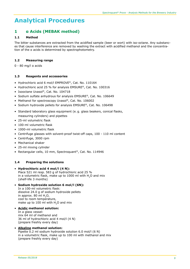### **1 α Acids (MEBAK method)**

#### **1.1 Method**

The bitter substances are extracted from the acidified sample (beer or wort) with iso-octane. Any substances that cause interference are removed by washing the extract with acidified methanol and the concentration of the α acids is determined by spectrophotometry.

#### **1.2 Measuring range**

0 - 80 mg/l α acids

#### **1.3 Reagents and accessories**

- Hydrochloric acid 6 mol/l EMPROVE®, Cat. No. 110164
- Hydrochloric acid 25 % for analysis EMSURE®, Cat. No. 100316
- Isooctane Uvasol®, Cat. No. 104718
- Sodium sulfate anhydrous for analysis EMSURE®, Cat. No. 106649
- Methanol for spectroscopy Uvasol®, Cat. No. 106002
- Sodium hydroxide pellets for analysis EMSURE®, Cat. No. 106498
- Standard laboratory glass equipment (e. g. glass beakers, conical flasks, measuring cylinders) and pipettes
- 25-ml volumetric flask
- 100-ml volumetric flask
- 1000-ml volumetric flask
- Centrifuge glasses with solvent-proof twist-off caps, 100 110 ml content
- Centrifuge, 3000 rpm
- Mechanical shaker
- 25-ml mixing cylinder
- Rectangular cells, 10 mm, Spectroquant®, Cat. No. 114946

#### **1.4 Preparing the solutions**

#### • **Hydrochloric acid 4 mol/l (4 N):**

- Place 521 ml resp. 583 g of hydrochloric acid 25 % in a volumetric flask, make up to  $1000$  ml with  $H<sub>2</sub>O$  and mix (shelf-life 3 months)
- • **Sodium hydroxide solution 6 mol/l (6N):** In a 100-ml volumetric flask: dissolve 24.0 g of sodium hydroxide pellets in approx.  $80$  ml  $H<sub>2</sub>O$ , cool to room temperature, make up to 100 ml with  $H<sub>2</sub>O$  and mix
- **Acidic methanol solution:** In a glass vessel: mix 64 ml of methanol and 36 ml of hydrochloric acid 4 mol/l (4 N) (prepare freshly every day)
- **Alkaline methanol solution:** Pipette 0.2 ml sodium hydroxide solution 6.0 mol/l (6 N) in a volumetric flask, make up to 100 ml with methanol and mix (prepare freshly every day)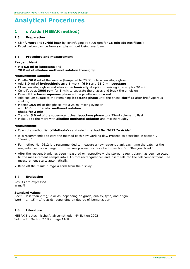### **1 α Acids (MEBAK method)**

#### **1.5 Preparation**

- Clarify **wort** and **turbid beer** by centrifuging at 3000 rpm for **15 min** (**do not filter!**)
- Expel carbon dioxide from **sample** without losing any foam

#### **1.6 Procedure and measurement**

#### **Reagent blank:**

• Mix **5.0 ml of isooctane** and **20.0 ml of alkaline methanol solution** thoroughly

#### **Measurement sample:**

- Pipette **50.0 ml** of the sample (tempered to 20 °C) into a centrifuge glass
- Add **3.0 ml of hydrochloric acid 6 mol/l (6 N)** and **25.0 ml isooctane**
- Close centrifuge glass and **shake mechanically** at optimum mixing intensity for **30 min**
- Centrifuge at **3000 rpm** for **5 min** to separate the phases and braek the emulsion
- Draw off the **lower aqueous phase** with a pipette and **discard**
- Add sodium sulfate to the remaining **isooctane phase** until the phase **clarifies** after brief vigorous shaking
- Pipette **10.0 ml** of this phase into a 25-ml mixing cylinder add **10.0 ml of acidic methanol solution shake for 3 min**
- Transfer **5.0 ml** of the supernatant clear **isooctane phase** to a 25-ml volumetric flask
- Make up to the mark with **alkaline methanol solution** and mix thoroughly

#### **Measurement:**

- Open the method list (**<Methods>**) and select **method No. 2612 "α Acids"**.
- It is recommended to zero the method each new working day. Proceed as described in section V "Zeroing".
- For method No. 2612 it is recommended to measure a new reagent blank each time the batch of the reagents used is exchanged. In this case proceed as described in section VII "Reagent blank".
- After the reagent blank has been measured or, respectively, the stored reagent blank has been selected, fill the measurement sample into a 10-mm rectangular cell and insert cell into the cell compartment. The measurement starts automatically.
- Read off the result in mg/l α acids from the display.

#### **1.7 Evaluation**

Results are expressed in mg/l

#### **Standard values**

Beer: less than 2 mg/l a acids, depending on grade, quality, type, and origin Wort: 1 - 15 mg/l a acids, depending on degree of isomerization

#### **1.8 Literature**

MEBAK Brautechnische Analysemethoden 4th Edition 2002 Volume II, Method 2.18.2, page 116ff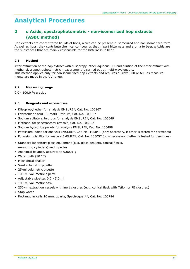# **2 α Acids, spectrophotometric - non-isomerized hop extracts (ASBC method)**

Hop extracts are concentrated liquids of hops, which can be present in isomerized and non-isomerized form. As well as hops, they contribute chemical compounds that impart bitterness and aroma to beer.  $\alpha$  Acids are the substances that are mainly responsible for the bitterness in beer.

#### **2.1 Method**

After extraction of the hop extract with diisopropyl ether-aqueous HCl and dilution of the ether extract with methanol, a spectrophotometric measurement is carried out at multi-wavelengths. This method applies only for non-isomerized hop extracts and requires a Prove 300 or 600 as measurements are made in the UV range.

#### **2.2 Measuring range**

0.0 - 100.0 % α acids

#### **2.3 Reagents and accessories**

- Diisopropyl ether for analysis EMSURE®, Cat. No. 100867
- Hydrochloric acid 1.0 mol/l Titripur®, Cat. No. 109057
- Sodium sulfate anhydrous for analysis EMSURE®, Cat. No. 106649
- Methanol for spectroscopy Uvasol®, Cat. No. 106002
- Sodium hydroxide pellets for analysis EMSURE®, Cat. No. 106498
- Potassium iodide for analysis EMSURE®, Cat. No. 105043 (only necessary, if ether is tested for peroxides)
- Potassium disulfite for analysis EMSURE®, Cat. No. 105057 (only necessary, if ether is tested for peroxides)
- Standard laboratory glass equipment (e. g. glass beakers, conical flasks, measuring cylinders) and pipettes
- Analytical balance, accurate to 0.0001 g
- Water bath (70 °C)
- Mechanical shaker
- 5-ml volumetric pipette
- 25-ml volumetric pipette
- 100-ml volumetric pipette
- Adjustable pipettes 0.2 5.0 ml
- 100-ml volumetric flask
- 250-ml extraction vessels with inert closures (e. g. conical flask with Teflon or PE closures)
- Stop watch
- Rectangular cells 10 mm, quartz, Spectroquant®, Cat. No. 100784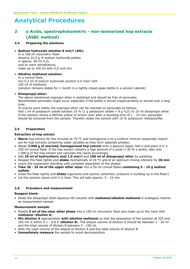### **2 α Acids, spectrophotometric - non-isomerized hop extracts (ASBC method)**

#### **2.4 Preparing the solutions**

#### • **Sodium hydroxide solution 6 mol/l (6N):**

In a 100-ml volumetric flask: dissolve 24.0 g of sodium hydroxide pellets in approx. 80 ml  $H_2O$ , cool to room temperature, make up to  $100$  ml with  $H<sub>2</sub>O$  and mix

#### • **Alkaline methanol solution:**

In a conical flask: mix 0.2 ml of sodium hydroxide solution 6.0 mol/l with 100 ml of methanol (solution remains stable for 1 month in a tightly closed glass bottle in a solvent cabinet)

#### • **Diisopropyl ether:**

The above mentioned isopropyl ether is stabilized and should be free of peroxides.

Nevertheless peroxides might occur especially if the bottle is stored inappropriately or stored over a long time.

To ensure work safety the isopropyl ether can be checked on peroxides as follows:

Add 1 ml of potassium iodide solution 10 % (1 g potassium iodide + 9 g H<sub>2</sub>O) to 10 ml diisopropyl ether. If the solution shows a definite yellow or brown color after a standing time of  $1 - 10$  min, peroxides should be removed from the sample. Therefor shake the solvent with 10 % potassium metabisulfite.

#### **2.5 Preparation**

#### **Extraction of hop extract**

- **Warm** hop extract for few minutes at 70 °C and homogenize it to a uniform mixture (especially important for hop extracts containing water solubles as they form separate phases)
- Weigh **2.000 g of warmed, homogenized hop extract** onto a glassine paper, fold it and place it in a 250-ml conical flask. If the hop extract contains a high amount of α acids (>30 % α acids), take only 1.000 g of the hop extract and calculate the result accordingly.
- Add **25 ml of hydrochloric acid 1.0 mol/l** and **100 ml of diisopropyl ether** by pipetting
- Stopper the flask tightly and **shake** mechanically at 20 °C and at an optimum mixing intensity for **30 min**
- Leave the suspension standing until complete separation of the phases
- **Take 30 - 35 ml of the upper ether layer** into a 50-ml conical flasks **containing 5 - 10 g sodium sulfate**
- Close the flask tightly and **shake** vigorously and quickly (attention, pressure is building up in the flask!)
- Let the solution stand until it is clear. This will take approx. 5 10 min

#### **2.6 Procedure and measurement**

#### **Reagent blank:**

• Dilute the diisopropyl ether-aqueous HCl solution with **methanol/alkaline methanol** in analogous manner as measurement sample

#### **Measurement sample:**

- Pipette **5 ml of the clear ether phase** into a 100-ml volumetric flask and make up to the mark with **methanol** (**dilution A**)
- **Mix dilution A** appropriately **with alkaline methanol** so that the absorption of the solution at 325 and 355 nm is within 0.1 - 0.8 A (**dilution B**). The aliquot volume of dilution A should be between 1 - 20 ml and the total volume of dilution B between 5 - 100 ml.
- Note the used volume of the aliquot of dilution A and the total volume of dilution B
- **Immediately measure** the sample to avoid decomposition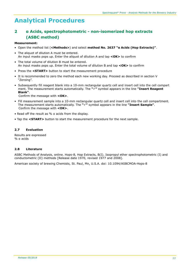### **2 α Acids, spectrophotometric - non-isomerized hop extracts (ASBC method)**

#### **Measurement:**

- Open the method list (**<Methods>**) and select **method No. 2637 "α Acids (Hop Extracts)"**.
- The aliquot of dilution A must be entered. An input masks pops up. Enter the aliquot of dilution A and tap **<OK>** to confirm
- The total volume of dilution B must be entered. An input masks pops up. Enter the total volume of dilution B and tap **<OK>** to confirm
- Press the **<START>** button to start the measurement procedure
- It is recommended to zero the method each new working day. Proceed as described in section V "Zeroing".
- Subsequently fill reagent blank into a 10-mm rectangular quartz cell and insert cell into the cell compart ment. The measurement starts automatically. The **"**ü**"** symbol appears in the line **"Insert Reagent Blank"**.

Confirm the message with **<OK>**.

- Fill measurement sample into a 10-mm rectangular quartz cell and insert cell into the cell compartment. The measurement starts automatically. The **"**ü**"** symbol appears in the line **"Insert Sample"**. Confirm the message with **<OK>**.
- Read off the result as % α acids from the display.
- Tap the **<START>** button to start the measurement procedure for the next sample.

#### **2.7 Evaluation**

Results are expressed % α acids

#### **2.8 Literature**

ASBC Methods of Analysis, online. Hops-8, Hop Extracts, B(I). Isopropyl ether spectrophotometric (I) and conductometric (II) methods [Release date 1970, revised 1977 and 2008].

American society of brewing Chemists, St. Paul, Mn, U.S.A. doi: 10.1094/ASBCMOA-Hops-8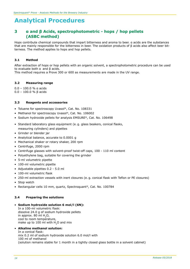### **3 α and β Acids, spectrophotometric - hops / hop pellets (ASBC method)**

Hops contribute chemical compounds that impart bitterness and aroma to beer. α acids are the substances that are mainly responsible for the bitterness in beer. The oxidation products of β acids also affect beer bitterness. The method applies to hops and hop pellets.

#### **3.1 Method**

After extraction of hops or hop pellets with an organic solvent, a spectrophotometric procedure can be used to evaluate both α and β acids.

This method requires a Prove 300 or 600 as measurements are made in the UV range.

#### **3.2 Measuring range**

0.0 – 100.0 % α acids 0.0 – 100.0 % β acids

#### **3.3 Reagents and accessories**

- Toluene for spectroscopy Uvasol®, Cat. No. 108331
- Methanol for spectroscopy Uvasol®, Cat. No. 106002
- Sodium hydroxide pellets for analysis EMSURE®, Cat. No. 106498
- Standard laboratory glass equipment (e. g. glass beakers, conical flasks, measuring cylinders) and pipettes
- Grinder or blender jar
- Analytical balance, accurate to 0.0001 g
- Mechanical shaker or rotary shaker, 200 rpm
- Centrifuge, 2000 rpm
- Centrifuge glasses with solvent-proof twist-off caps, 100 110 ml content
- Polyethylene bag, suitable for covering the grinder
- 5-ml volumetric pipette
- 100-ml volumetric pipette
- Adjustable pipettes 0.2 5.0 ml
- 100-ml volumetric flask
- 250-ml extraction vessels with inert closures (e. g. conical flask with Teflon or PE closures)
- Stop watch
- Rectangular cells 10 mm, quartz, Spectroquant®, Cat. No. 100784

#### **3.4 Preparing the solutions**

• **Sodium hydroxide solution 6 mol/l (6N):**

In a 100-ml volumetric flask: dissolve 24.0 g of sodium hydroxide pellets in approx.  $80$  ml  $H<sub>2</sub>O$ , cool to room temperature, make up to 100 ml with  $H<sub>2</sub>O$  and mix

#### • **Alkaline methanol solution:**

In a conical flask: mix 0.2 ml of sodium hydroxide solution 6.0 mol/l with 100 ml of methanol (solution remains stable for 1 month in a tightly closed glass bottle in a solvent cabinet)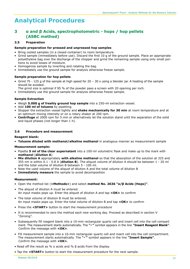### **3 α and β Acids, spectrophotometric - hops / hop pellets (ASBC method)**

#### **3.5 Preparation**

#### **Sample preparation for pressed and unpressed hop samples**

- Bring cooled samples (in a closed container) to room temperature.
- Grind sample (immediately before use). Discard the first 10 g of the ground sample. Place an appropriate polyethylene bag over the discharge of the chopper and grind the remaining sample using only small portions to avoid losses of moisture.
- Homogenize sample by inverting and rotating the bag.
- Immediately use the ground sample for analysis otherwise freeze sample.

#### **Sample preparation for hop pellets**

- Grind 75 125 g of the sample at high speed for 20 30 s using a blender jar. A heating of the sample should be avoided.
- The grind size is optimal if 95 % of the powder pass a screen with 20 opening per inch.
- Immediately use the ground sample for analysis otherwise freeze sample.

#### **Sample Extraction**

- Weigh **5.000 g of freshly ground hop sample** into a 250-ml extraction vessel.
- Add **100 ml of toluene** by pipetting.
- Stopper the extraction vessel tightly and **shake mechanically for 30 min** at room temperature and at an optimum mixing intensity or on a rotary shaker at 200 rpm.
- **Centrifuge** at 2000 rpm for 5 min or alternatively let the solution stand until the separation of the solid and liquid phases (not longer than 1 h).

#### **3.6 Procedure and measurement**

#### **Reagent blank:**

• **Toluene diluted with methanol/alkaline methanol** in analogous manner as measurement sample

#### **Measurement sample:**

- Pipette **5 ml of the clear supernatant** into a 100-ml volumetric flask and make up to the mark with **methanol** (**dilution A**)
- **Mix dilution A** appropriately **with alkaline methanol** so that the absorption of the solution at 325 and 355 nm is within 0.1 - 0.8 A (**dilution B**). The aliquot volume of dilution A should be between 1 - 20 ml and the total volume of dilution B between 5 - 100 ml.
- Note the used volume of the aliquot of dilution A and the total volume of dilution B
- **Immediately measure** the sample to avoid decomposition

#### **Measurement:**

- Open the method list (**<Methods>**) and select **method No. 2636 "α/β Acids (Hops)"**.
- The aliquot of dilution A must be entered. An input masks pops up. Enter the aliquot of dilution A and tap **<OK>** to confirm
- The total volume of dilution B must be entered. An input masks pops up. Enter the total volume of dilution B and tap **<OK>** to confirm
- Press the **<START>** button to start the measurement procedure
- It is recommended to zero the method each new working day. Proceed as described in section V "Zeroing".
- Subsequently fill reagent blank into a 10-mm rectangular quartz cell and insert cell into the cell compart ment. The measurement starts automatically. The **"**ü**"** symbol appears in the line **"Insert Reagent Blank"**. Confirm the message with **<OK>**.
- Fill measurement sample into a 10-mm rectangular quartz cell and insert cell into the cell compartment. The measurement starts automatically. The **"**ü**"** symbol appears in the line **"Insert Sample"**. Confirm the message with **<OK>**.
- Read off the result as % α acids and % β acids from the display.
- Tap the **<START>** button to start the measurement procedure for the next sample.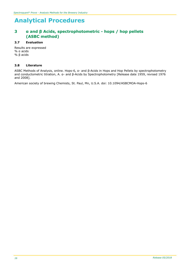### **3 α and β Acids, spectrophotometric - hops / hop pellets (ASBC method)**

#### **3.7 Evaluation**

Results are expressed % α acids % β acids

#### **3.8 Literature**

ASBC Methods of Analysis, online. Hops-6, α- and β-Acids in Hops and Hop Pellets by spectrophotometry and conductometric titration, A. α- and β-Acids by Spectrophotometry [Release date 1959, revised 1976 and 2008].

American society of brewing Chemists, St. Paul, Mn, U.S.A. doi: 10.1094/ASBCMOA-Hops-6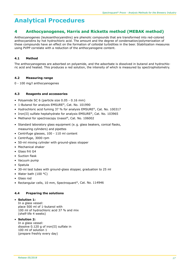### **4 Anthocyanogenes, Harris and Ricketts method (MEBAK method)**

Anthocyanogenes (leukoanthocyanidins) are phenolic compounds that are transformed into red-colored anthocyanidins by hot hydrochloric acid. The amount and the degree of condensation/polymerization of these compounds have an effect on the formation of colloidal turbidities in the beer. Stabilization measures using PVPP correlate with a reduction of the anthocyanogene content.

#### **4.1 Method**

The anthocyanogenes are adsorbed on polyamide, and the adsorbate is dissolved in butanol and hydrochloric acid and heated. This produces a red solution, the intensity of which is measured by spectrophotometry.

#### **4.2 Measuring range**

0 - 100 mg/l anthocyanogenes

#### **4.3 Reagents and accessories**

- Polyamide SC 6 (particle size 0.05 0.16 mm)
- 1-Butanol for analysis EMSURE®, Cat. No. 101990
- Hydrochloric acid fuming 37 % for analysis EMSURE®, Cat. No. 100317
- Iron(II) sulfate heptahydrate for analysis EMSURE®, Cat. No. 103965
- Methanol for spectroscopy Uvasol®, Cat. No. 106002
- Standard laboratory glass equipment (e. g. glass beakers, conical flasks, measuring cylinders) and pipettes
- Centrifuge glasses, 100 110 ml content
- Centrifuge, 3000 rpm
- 50-ml mixing cylinder with ground-glass stopper
- Mechanical shaker
- Glass frit G4
- Suction flask
- Vacuum pump
- Spatula
- 30-ml test tubes with ground-glass stopper, graduation to 25 ml
- Water bath (100 °C)
- Glass rod
- Rectangular cells, 10 mm, Spectroquant®, Cat. No. 114946

#### **4.4 Preparing the solutions**

#### • **Solution 1:**

In a glass vessel: place 500 ml of 1-butanol with 100 ml of hydrochloric acid 37 % and mix (shelf-life 4 weeks)

#### • **Solution 2:**

In a glass vessel: dissolve 0.120 g of iron(II) sulfate in 100 ml of solution 1 (prepare freshly every day)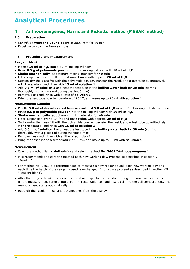### **4 Anthocyanogenes, Harris and Ricketts method (MEBAK method)**

#### **4.5 Preparation**

- Centrifuge **wort and young beers** at 3000 rpm for 10 min
- Expel carbon dioxide from **sample**

#### **4.6 Procedure and measurement**

#### **Reagent blank:**

- Pipette **10 ml of H2O** into a 50-ml mixing cylinder
- Rinse **0.5 g of polyamide powder** into the mixing cylinder with **10 ml of H2O**
- **Shake mechanically** at optimum mixing intensity for **40 min**
- Filter suspension over a G4 frit and rinse **twice** with approx. **20 ml of H2O**
- Suction-dry the glass frit with the polyamide powder, transfer the residue to a test tube quantitatively with the spatula, and rinse with **15 ml of solution 1**
- Add **0.5 ml of solution 2** and heat the test tube in the **boiling water bath** for **30 min** (stirring thoroughly with a glass rod during the first 5 min)
- Remove glass rod, rinse with a little of **solution 1**
- Bring the test tube to a temperature of 20 °C, and make up to 25 ml with **solution 1**

#### **Measurement sample:**

- Pipette **5.0 ml of decarbonized beer** or **wort** and **5.0 ml of H2O** into a 50-ml mixing cylinder and mix
- Rinse **0.5 g of polyamide powder** into the mixing cylinder with **10 ml of H2O**
- **Shake mechanically** at optimum mixing intensity for **40 min**
- Filter suspension over a G4 frit and rinse **twice** with approx. **20 ml of H2O**
- Suction-dry the glass frit with the polyamide powder, transfer the residue to a test tube quantitatively with the spatula, and rinse with **15 ml of solution 1**
- Add **0.5 ml of solution 2** and heat the test tube in the **boiling water bath** for **30 min** (stirring thoroughly with a glass rod during the first 5 min)
- Remove glass rod, rinse with a little of **solution 1**
- Bring the test tube to a temperature of 20 °C, and make up to 25 ml with **solution 1**

#### **Measurement:**

- Open the method list (**<Methods>**) and select **method No. 2601 "Anthocyanogenes"**.
- It is recommended to zero the method each new working day. Proceed as described in section V "Zeroing".
- For method No. 2601 it is recommended to measure a new reagent blank each new working day and each time the batch of the reagents used is exchanged. In this case proceed as described in section VII "Reagent blank".
- After the reagent blank has been measured or, respectively, the stored reagent blank has been selected, fill the measurement sample into a 10-mm rectangular cell and insert cell into the cell compartment. The measurement starts automatically.
- Read off the result in mg/l anthocyanogenes from the display.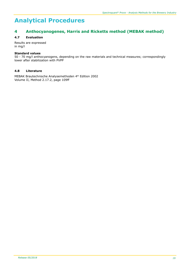### **4 Anthocyanogenes, Harris and Ricketts method (MEBAK method)**

#### **4.7 Evaluation**

Results are expressed in mg/l

#### **Standard values**

50 - 70 mg/l anthocyanogens, depending on the raw materials and technical measures; correspondingly lower after stabilization with PVPP

#### **4.8 Literature**

MEBAK Brautechnische Analysemethoden 4th Edition 2002 Volume II, Method 2.17.2, page 109ff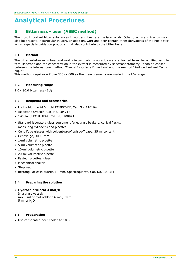### **5 Bitterness - beer (ASBC method)**

The most important bitter substances in wort and beer are the iso-α acids. Other α acids and  $\delta$  acids may also be present, in particular in wort. In addition, wort and beer contain other derivatives of the hop bitter acids, especially oxidation products, that also contribute to the bitter taste.

#### **5.1 Method**

The bitter substances in beer and wort – in particular iso-a acids – are extracted from the acidified sample with isooctane and the concentration in the extract is measured by spectrophotometry. It can be chosen between the international method "Manual Isooctane Extraction" and the method "Reduced solvent Technique".

This method requires a Prove 300 or 600 as the measurements are made in the UV-range.

#### **5.2 Measuring range**

1.0 - 80.0 bitterness (BU)

#### **5.3 Reagents and accessories**

- Hydrochloric acid 6 mol/l EMPROVE®, Cat. No. 110164
- Isooctane Uvasol®, Cat. No. 104718
- 1-Octanol EMPLURA®, Cat. No. 100991
- Standard laboratory glass equipment (e. g. glass beakers, conical flasks, measuring cylinders) and pipettes
- Centrifuge glasses with solvent-proof twist-off caps, 35 ml content
- Centrifuge, 3000 rpm
- 1-ml volumetric pipette
- 5-ml volumetric pipette
- 10-ml volumetric pipette
- 20-ml volumetric pipette
- Pasteur pipettes, glass
- Mechanical shaker
- Stop watch
- Rectangular cells quartz, 10 mm, Spectroquant®, Cat. No. 100784

#### **5.4 Preparing the solution**

• **Hydrochloric acid 3 mol/l:** In a glass vessel: mix 5 ml of hydrochloric 6 mol/l with 5 ml of  $H<sub>2</sub>O$ 

#### **5.5 Preparation**

• Use carbonated beer cooled to 10 °C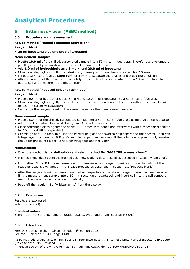### **5 Bitterness - beer (ASBC method)**

#### **5.6 Procedure and measurement**

#### **Acc. to method "Manual Isooctane Extraction"**

#### **Reagent blank:**

#### • **20 ml isooctane plus one drop of 1-octanol**

#### **Measurement sample:**

- Pipette **10.0 ml** of the chilled, carbonated sample into a 50-ml centrifuge glass. Therefor use a volumetric pipette, whose tip is moistened with a small amount of 1-octanol
- Add **1.0 ml of hydrochloric acid 3 mol/l** and **20.0 ml of isooctane**
- Close centrifuge glass tightly and **shake vigorously** with a mechanical shaker **for 15 min**
- If necessary, centrifuge at **3000 rpm** for **3 min** to separate the phases and break the emulsion
- After separation of the phases, immediately transfer the clear supernatant into a 10-mm rectangular quartz cell and measure in the photometer

#### **Acc. to method "Reduced solvent Technique"**

#### **Reagent blank**

- Pipette 0.5 ml of hydrochloric acid 3 mol/l and 10.0 ml of isooctane into a 50-ml centrifuge glass
- Close centrifuge glass tightly and shake 2 3 times with hands and afterwards with a mechanical shaker for 15 min (at 80 % capacitity)
- Centrifuge the reagent blank in the same manner as the measurement sample

#### **Measurement sample:**

- Pipette 5.0 ml of the chilled, carbonated sample into a 50-ml centrifuge glass using a volumetric pipette
- Add 0.5 ml of hydrochloric acid 3 mol/l and 10.0 ml of isooctane
- Close centrifuge glass tightly and shake 2 3 times with hands and afterwards with a mechanical shaker for 15 min (at 80 % capacitity)
- Centrifuge at 400 g for 5 min. Tap the centrifuge glass and swirl to help separating the phases. Then centrifuge again for 5 min at 400 g. Repeat the tapping and swirling. If the volume is approx. 5 ml, transfer the upper phase into a cell. If not, centrifuge for another 5 min.

#### **Measurement:**

- Open the method list (**<Methods>**) and select **method No. 2603 "Bitterness - beer"**.
- It is recommended to zero the method each new working day. Proceed as described in section V "Zeroing".
- For method No. 2603 it is recommended to measure a new reagent blank each time the batch of the reagents used is exchanged. In this case proceed as described in section VII "Reagent blank".
- After the reagent blank has been measured or, respectively, the stored reagent blank has been selected, fill the measurement sample into a 10-mm rectangular quartz cell and insert cell into the cell compartment. The measurement starts automatically.
- Read off the result in BU (= bitter units) from the display.

#### **5.7 Evaluation**

Results are expressed in bitterness (BU)

#### **Standard values**

Beer: 10 - 40 BU, depending on grade, quality, type, and origin (source: MEBAK)

#### **5.8 Literature**

MEBAK Brautechnische Analysemethoden 4th Edition 2002 Volume II, Method 2.18.1, page 114ff

ASBC Methods of Analysis, online. Beer-23, Beer Bitterness, A. Bitterness Units-Manual Isooctane Extraction [Release date 1968, revised 1975].

American society of brewing Chemists, St. Paul, Mn, U.S.A. doi: 10.1094/ASBCMOA-Beer-23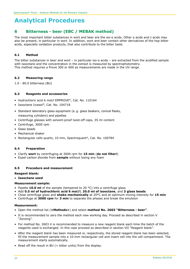### **6 Bitterness - beer (EBC / MEBAK method)**

The most important bitter substances in wort and beer are the iso-α acids. Other α acids and  $\delta$  acids may also be present, in particular in wort. In addition, wort and beer contain other derivatives of the hop bitter acids, especially oxidation products, that also contribute to the bitter taste.

#### **6.1 Method**

The bitter substances in beer and wort – in particular iso-a acids – are extracted from the acidified sample with isooctane and the concentration in the extract is measured by spectrophotometry. This method requires a Prove 300 or 600 as measurements are made in the UV range.

#### **6.2 Measuring range**

1.0 - 80.0 bitterness (BU)

#### **6.3 Reagents and accessories**

- Hydrochloric acid 6 mol/l EMPROVE®, Cat. No. 110164
- Isooctane Uvasol®, Cat. No. 104718
- Standard laboratory glass equipment (e. g. glass beakers, conical flasks, measuring cylinders) and pipettes
- Centrifuge glasses with solvent-proof twist-off caps, 35 ml content
- Centrifuge, 3000 rpm
- Glass beads
- Mechanical shaker
- Rectangular cells quartz, 10 mm, Spectroquant®, Cat. No. 100784

#### **6.4 Preparation**

- Clarify **wort** by centrifuging at 3000 rpm for **15 min** (**do not filter!**)
- Expel carbon dioxide from **sample** without losing any foam

#### **6.5 Procedure and measurement**

#### **Reagent blank:**

• **Isooctane used**

#### **Measurement sample:**

- Pipette **10.0 ml** of the sample (tempered to 20 °C) into a centrifuge glass
- Add **0.5 ml of hydrochloric acid 6 mol/l**, **20.0 ml of isooctane**, and **3 glass beads**
- Close centrifuge glass and **shake mechanically** at 20°C and at optimum mixing intensity for **15 min**
- Centrifuge at **3000 rpm** for **3 min** to separate the phases and break the emulsion

#### **Measurement:**

- Open the method list (**<Methods>**) and select **method No. 2603 "Bitterness - beer"**.
- It is recommended to zero the method each new working day. Proceed as described in section V "Zeroing".
- For method No. 2603 it is recommended to measure a new reagent blank each time the batch of the reagents used is exchanged. In this case proceed as described in section VII "Reagent blank".
- After the reagent blank has been measured or, respectively, the stored reagent blank has been selected, fill the measurement sample into a 10-mm rectangular cell and insert cell into the cell compartment. The measurement starts automatically.
- Read off the result in BU (= bitter units) from the display.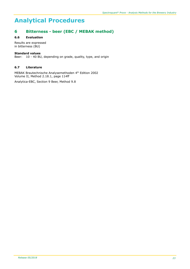### **6 Bitterness - beer (EBC / MEBAK method)**

#### **6.6 Evaluation**

Results are expressed in bitterness (BU)

#### **Standard values**

Beer: 10 - 40 BU, depending on grade, quality, type, and origin

#### **6.7 Literature**

MEBAK Brautechnische Analysemethoden 4th Edition 2002 Volume II, Method 2.18.1, page 114ff

Analytica-EBC, Section 9 Beer, Method 9.8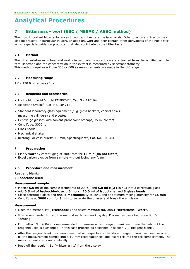### **7 Bitterness - wort (EBC / MEBAK / ASBC method)**

The most important bitter substances in wort and beer are the iso-α acids. Other α acids and  $\delta$  acids may also be present, in particular in wort. In addition, wort and beer contain other derivatives of the hop bitter acids, especially oxidation products, that also contribute to the bitter taste.

#### **7.1 Method**

The bitter substances in beer and wort – in particular iso-a acids – are extracted from the acidified sample with isooctane and the concentration in the extract is measured by spectrophotometry. This method requires a Prove 300 or 600 as measurements are made in the UV range.

#### **7.2 Measuring range**

1.0 - 120.0 bitterness (BU)

#### **7.3 Reagents and accessories**

- Hydrochloric acid 6 mol/l EMPROVE®, Cat. No. 110164
- Isooctane Uvasol®, Cat. No. 104718
- Standard laboratory glass equipment (e. g. glass beakers, conical flasks, measuring cylinders) and pipettes
- Centrifuge glasses with solvent-proof twist-off caps, 35 ml content
- Centrifuge, 3000 rpm
- Glass beads
- Mechanical shaker
- Rectangular cells quartz, 10 mm, Spectroquant®, Cat. No. 100784

#### **7.4 Preparation**

- Clarify **wort** by centrifuging at 3000 rpm for **15 min** (**do not filter!**)
- Expel carbon dioxide from **sample** without losing any foam

#### **7.5 Procedure and measurement**

#### **Reagent blank:**

• **Isooctane used**

#### **Measurement sample:**

- Pipette **5.0 ml** of the sample (tempered to 20 °C) and **5.0 ml H2O** (20 °C) into a centrifuge glass
- Add **0.5 ml of hydrochloric acid 6 mol/l**, **20.0 ml of isooctane**, and **3 glass beads**
- Close centrifuge glass and **shake mechanically** at 20°C and at optimum mixing intensity for **15 min**
- Centrifuge at **3000 rpm** for **3 min** to separate the phases and break the emulsion

#### **Measurement:**

- Open the method list (**<Methods>**) and select **method No. 2604 "Bitterness - wort"**.
- It is recommended to zero the method each new working day. Proceed as described in section V "Zeroing".
- For method No. 2604 it is recommended to measure a new reagent blank each time the batch of the reagents used is exchanged. In this case proceed as described in section VII "Reagent blank".
- After the reagent blank has been measured or, respectively, the stored reagent blank has been selected, fill the measurement sample into a 10-mm rectangular cell and insert cell into the cell compartment. The measurement starts automatically.
- Read off the result in BU (= bitter units) from the display.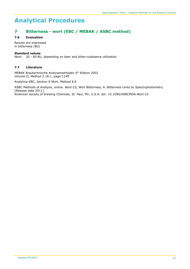### **7 Bitterness - wort (EBC / MEBAK / ASBC method)**

#### **7.6 Evaluation**

Results are expressed in bitterness (BU)

#### **Standard values**

Wort: 20 - 60 BU, depending on beer and bitter-substance utilization

#### **7.7 Literature**

MEBAK Brautechnische Analysemethoden 4th Edition 2002 Volume II, Method 2.18.1, page 114ff

Analytica-EBC, Section 8 Wort, Method 8.8

ASBC Methods of Analysis, online. Wort-23, Wort Bitterness, A. Bitterness Units by Spectrophotometry [Release date 2011]. American society of brewing Chemists, St. Paul, Mn, U.S.A. doi: 10.1094/ASBCMOA-Wort-23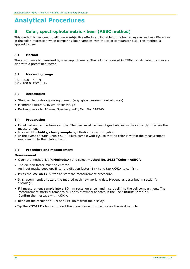### **8 Color, spectrophotometric - beer (ASBC method)**

This method is designed to eliminate subjective effects attributable to the human eye as well as differences in the color impression when comparing beer samples with the color comparator disk. This method is applied to beer.

#### **8.1 Method**

The absorbance is measured by spectrophotometry. The color, expressed in °SRM, is calculated by conversion with a predefined factor.

#### **8.2 Measuring range**

0.0 - 50.0 °SRM 0.0 - 100.0 EBC units

#### **8.3 Accessories**

- Standard laboratory glass equipment (e. g. glass beakers, conical flasks)
- Membrane filters 0.45 µm or centrifuge
- Rectangular cells, 10 mm, Spectroquant®, Cat. No. 114946

#### **8.4 Preparation**

- Expel carbon dioxide from **sample**. The beer must be free of gas bubbles as they strongly interfere the measurement
- In case of **turbidity, clarify sample** by filtration or centrifugation
- In the event of °SRM units >50.0, dilute sample with H<sub>2</sub>O so that its color is within the measurement range and note the dilution factor

#### **8.5 Procedure and measurement**

#### **Measurement:**

- Open the method list (**<Methods>**) and select **method No. 2633 "Color - ASBC"**.
- The dilution factor must be entered. An input masks pops up. Enter the dilution factor (1+x) and tap **<OK>** to confirm.
- Press the **<START>** button to start the measurement procedure.
- It is recommended to zero the method each new working day. Proceed as described in section V "Zeroing".
- Fill measurement sample into a 10-mm rectangular cell and insert cell into the cell compartment. The measurement starts automatically. The **""** symbol appears in the line **"Insert Sample"**. Confirm the message with **<OK>**.
- Read off the result as °SRM and EBC units from the display.
- Tap the **<START>** button to start the measurement procedure for the next sample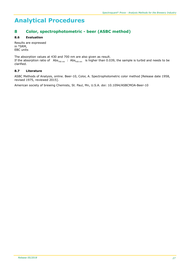### **8 Color, spectrophotometric - beer (ASBC method)**

#### **8.6 Evaluation**

Results are expressed in °SRM, EBC units

The absorption values at 430 and 700 nm are also given as result. If the absorption ratio of Abs<sub>700 nm</sub> : Abs<sub>430 nm</sub> is higher than 0.039, the sample is turbid and needs to be clarified.

#### **8.7 Literature**

ASBC Methods of Analysis, online. Beer-10, Color, A. Spectrophotometric color method [Release date 1958, revised 1975, reviewed 2015].

American society of brewing Chemists, St. Paul, Mn, U.S.A. doi: 10.1094/ASBCMOA-Beer-10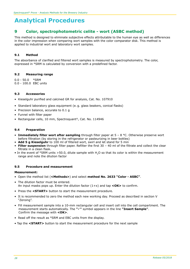### **9 Color, spectrophotometric celite - wort (ASBC method)**

This method is designed to eliminate subjective effects attributable to the human eye as well as differences in the color impression when comparing wort samples with the color comparator disk. This method is applied to industrial wort and laboratory wort samples.

#### **9.1 Method**

The absorbance of clarified and filtered wort samples is measured by spectrophotometry. The color, expressed in °SRM is calculated by conversion with a predefined factor.

#### **9.2 Measuring range**

0.0 - 50.0 °SRM 0.0 - 100.0 EBC units

#### **9.3 Accessories**

- Kieselguhr purified and calcined GR for analysis, Cat. No. 107910
- Standard laboratory glass equipment (e. g. glass beakers, conical flasks)
- Precision balance, accurate to 0.1 g
- Funnel with filter paper
- Rectangular cells, 10 mm, Spectroquant®, Cat. No. 114946

#### **9.4 Preparation**

- **Immediately filter wort after sampling** through filter paper at 5 8 °C. Otherwise preserve wort before filtration (by storing in the refrigerator or pasteurizing in beer bottles)
- Add 5 g Kieselguhr to 100 ml of filtered wort, swirl and let stand for 5 min
- **Filter suspension** through filter paper. Refilter the first 30 40 ml of the filtrate and collect the clear filtrate in a clean flask.
- In the event of °SRM units >50.0, dilute sample with H<sub>2</sub>O so that its color is within the measurement range and note the dilution factor

#### **9.5 Procedure and measurement**

#### **Measurement:**

- Open the method list (**<Methods>**) and select **method No. 2633 "Color - ASBC"**.
- The dilution factor must be entered. An input masks pops up. Enter the dilution factor (1+x) and tap **<OK>** to confirm.
- Press the **<START>** button to start the measurement procedure.
- It is recommended to zero the method each new working day. Proceed as described in section V "Zeroing".
- Fill measurement sample into a 10-mm rectangular cell and insert cell into the cell compartment. The measurement starts automatically. The **""** symbol appears in the line **"Insert Sample"**. Confirm the message with **<OK>**.
- Read off the result as °SRM and EBC units from the display.
- Tap the **<START>** button to start the measurement procedure for the next sample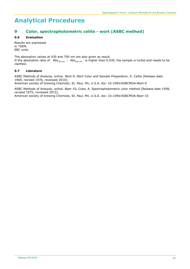### **9 Color, spectrophotometric celite - wort (ASBC method)**

#### **9.6 Evaluation**

Results are expressed in °SRM, EBC units

The absorption values at 430 and 700 nm are also given as result. If the absorption ratio of Abs<sub>700 nm</sub>: Abs<sub>430 nm</sub> is higher than 0.039, the sample is turbid and needs to be clarified.

#### **9.7 Literature**

ASBC Methods of Analysis, online. Wort-9, Wort Color and Sample Preparation, A. Celite [Release date 1969, revised 1976, reviewed 2010].

American society of brewing Chemists, St. Paul, Mn, U.S.A. doi: 10.1094/ASBCMOA-Wort-9

ASBC Methods of Analysis, online. Beer-10, Color, A. Spectrophotometric color method [Release date 1958, revised 1975, reviewed 2015].

American society of brewing Chemists, St. Paul, Mn, U.S.A. doi: 10.1094/ASBCMOA-Beer-10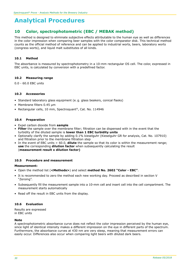### **10 Color, spectrophotometric (EBC / MEBAK method)**

This method is designed to eliminate subjective effects attributable to the human eye as well as differences in the color impression when comparing beer samples with the color comparator disk. This technical method counts as the official method of reference and can be applied to industrial worts, beers, laboratory worts (congress worts), and liquid malt substitutes of all kinds.

#### **10.1 Method**

The absorbance is measured by spectrophotometry in a 10-mm rectangular OS cell. The color, expressed in EBC units, is calculated by conversion with a predefined factor.

#### **10.2 Measuring range**

0.0 - 60.0 EBC units

#### **10.3 Accessories**

- Standard laboratory glass equipment (e. g. glass beakers, conical flasks)
- Membrane filters 0.45 µm
- Rectangular cells, 10 mm, Spectroquant®, Cat. No. 114946

#### **10.4 Preparation**

- Expel carbon dioxide from **sample**
- **Filter** the sample over the membrane filter; filtration can be dispensed with in the event that the turbidity of the diluted sample is **lower than 1 EBC turbidity units**
- Optionally clarify the sample by adding 0.1% kieselguhr (Kieselguhr GR for analysis, Cat. No. 107910) and filtration prior to the membrane filtration step
- In the event of EBC units > 60.0, **dilute** the sample so that its color is within the measurement range; **use** the corresponding **dilution factor** when subsequently calculating the result (**measurement result x dilution factor)**

#### **10.5 Procedure and measurement**

#### **Measurement:**

- Open the method list (**<Methods>**) and select **method No. 2602 "Color - EBC"**.
- It is recommended to zero the method each new working day. Proceed as described in section V "Zeroing".
- Subsequently fill the measurement sample into a 10-mm cell and insert cell into the cell compartment. The measurement starts automatically
- Read off the result in EBC units from the display.

#### **10.6 Evaluation**

Results are expressed in EBC units

#### **Note**

A spectrophotometric absorbance curve does not reflect the color impression perceived by the human eye, since light of identical intensity makes a different impression on the eye in different parts of the spectrum. Furthermore, the absorbance curves at 430 nm are very steep, meaning that measurement errors can easily occur. Differences also occur when comparing light beers with diluted dark beers.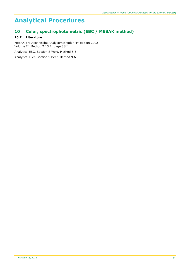### **10 Color, spectrophotometric (EBC / MEBAK method)**

#### **10.7 Literature**

MEBAK Brautechnische Analysemethoden 4<sup>th</sup> Edition 2002 Volume II, Method 2.13.2, page 88ff Analytica-EBC, Section 8 Wort, Method 8.5

Analytica-EBC, Section 9 Beer, Method 9.6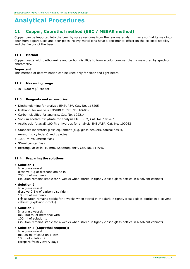### **11 Copper, Cuprethol method (EBC / MEBAK method)**

Copper can be imported into the beer by spray residues from the raw materials; it may also find its way into beer from apparatuses and beer pipes. Heavy-metal ions have a detrimental effect on the colloidal stability and the flavour of the beer.

#### **11.1 Method**

Copper reacts with dietholamine and carbon disulfide to form a color complex that is measured by spectrophotometry.

#### **Important:**

This method of determination can be used only for clear and light beers.

#### **11.2 Measuring range**

0.10 - 5.00 mg/l copper

#### **11.3 Reagents and accessories**

- Diethanolamine for analysis EMSURE®, Cat. No. 116205
- Methanol for analysis EMSURE®, Cat. No. 106009
- Carbon disulfide for analysis, Cat. No. 102214
- Sodium acetate trihydrate for analysis EMSURE®, Cat. No. 106267
- Acetic acid (glacial) 100 % anhydrous for analysis EMSURE®, Cat. No. 100063
- Standard laboratory glass equipment (e. g. glass beakers, conical flasks, measuring cylinders) and pipettes
- 1000-ml volumetric flask
- 50-ml conical flask
- Rectangular cells, 10 mm, Spectroquant®, Cat. No. 114946

#### **11.4 Preparing the solutions**

#### • **Solution 1:**

In a glass vessel: dissolve 4 g of diethanolamine in 200 ml of methanol (solution remains stable for 4 weeks when stored in tightly closed glass bottles in a solvent cabinet)

#### • **Solution 2:**

In a glass vessel: dissolve 0.5 g of carbon disulfide in 100 ml of methanol ( $\Lambda$  solution remains stable for 4 weeks when stored in the dark in tightly closed glass bottles in a solvent cabinet (explosion-proof))

#### • **Solution 3:**

In a glass vessel: mix 100 ml of methanol with 100 ml of solution 1 (solution remains stable for 4 weeks when stored in tightly closed glass bottles in a solvent cabinet)

#### • **Solution 4 (Cuprethol reagent):**

In a glass vessel: mix 30 ml of solution 1 with 10 ml of solution 2 (prepare freshly every day)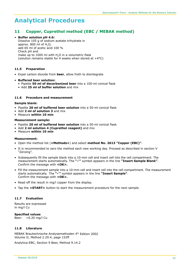### **11 Copper, Cuprethol method (EBC / MEBAK method)**

#### • **Buffer solution pH 4.6:**

Dissolve 105 g of sodium acetate trihydrate in approx.  $800$  ml of  $H<sub>2</sub>O<sub>t</sub>$ add 65 ml of acetic acid 100 % Check pH and make up to 1000 ml with  $H<sub>2</sub>O$  in a volumetric flask (solution remains stable for 4 weeks when stored at  $+4^{\circ}$ C)

#### **11.5 Preparation**

• Expel carbon dioxide from **beer**, allow froth to disintegrate

#### • **Buffered beer solution:**

- Pipette **50 ml of decarbonized beer** into a 100-ml conical flask
- Add **25 ml of buffer solution** and mix

#### **11.6 Procedure and measurement**

#### **Sample blank:**

- Pipette **20 ml of buffered beer solution** into a 50-ml conical flask
- Add **2 ml of solution 3** and mix
- Measure **within 10 min**

#### **Measurement sample:**

- Pipette **20 ml of buffered beer solution** into a 50-ml conical flask
- Add **2 ml solution 4 (Cuprethol reagent)** and mix
- Measure **within 10 min**

#### **Measurement:**

- Open the method list (**<Methods>**) and select **method No. 2613 "Copper (EBC)"**.
- It is recommended to zero the method each new working day. Proceed as described in section V "Zeroing".
- Subsequently fill the sample blank into a 10-mm cell and insert cell into the cell compartment. The measurement starts automatically. The **"**ü**"** symbol appears in the line **"Insert Sample Blank"**. Confirm the message with **<OK>.**
- Fill the measurement sample into a 10-mm cell and insert cell into the cell compartment. The measurement starts automatically. The **"**ü**"** symbol appears in the line **"Insert Sample"**. Confirm the message with **<OK>.**
- Read off the result in mg/l copper from the display.
- Tap the **<START>** button to start the measurement procedure for the next sample.

#### **11.7 Evaluation**

Results are expressed in mg/l Cu

**Specified values** Beer: <0.20 mg/l Cu

#### **11.8 Literature**

MEBAK Brautechnische Analysemethoden 4th Edition 2002 Volume II, Method 2.29.4, page 152ff

Analytica-EBC, Section 9 Beer, Method 9.14.2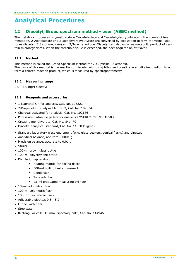### **12 Diacetyl, Broad spectrum method - beer (ASBC method)**

The metabolic processes of yeast produce 2-acetolactate and 2-acetohydroxybutyrate in the course of fermentation. 2-Acetolactate and 2-acetohydroxybutyrate are converted by oxidization to form the vicinal diketones diacetyl (2,3-butanedione) and 2,3-pentanedione. Diacetyl can also occur as metabolic product of certain microorganisms. When the threshold value is exceeded, the beer acquires an off flavor.

#### **12.1 Method**

This method is called the Broad Spectrum Method for VDK (Vicinal Diketones). The basis of this method is the reaction of diacetyl with α-naphthol and creatine in an alkaline medium to a form a colored reaction product, which is measured by spectrophotometry.

#### **12.2 Measuring range**

0.0 - 4.0 mg/l diacetyl

#### **12.3 Reagents and accessories**

- 1-Naphthol GR for analysis, Cat. No. 106223
- 2-Propanol for analysis EMSURE®, Cat. No. 109634
- Charcoal activated for analysis, Cat. No. 102186
- Potassium hydroxide pellets for analysis EMSURE®, Cat No. 105033
- Creatine monohydrate, Cat. No. 841470
- Diacetyl analytical standard, Cat. No. 11038 (Sigma)
- Standard laboratory glass equipment (e. g. glass beakers, conical flasks) and pipettes
- Analytical balance, accurate 0.0001 g
- Precision balance, accurate to 0.01 g
- Stirrer
- 100-ml brown glass bottle
- 100-ml polyethylene bottle
- Distillation apparatus
	- Heating mantle for boiling flasks
	- 500-ml boiling flasks, two-neck
	- Condenser
	- Tube adapter
	- 25-ml graduated measuring cylinder
- 10-ml volumetric flask
- 100-ml volumetric flask
- 1000-ml volumetric flask
- Adjustable pipettes 0.5 5.0 ml
- Funnel with filter
- Stop watch
- Rectangular cells, 10 mm, Spectroquant®, Cat. No. 114946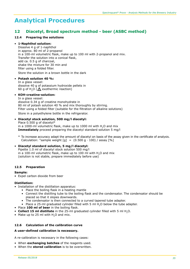### **12 Diacetyl, Broad spectrum method - beer (ASBC method)**

#### **12.4 Preparing the solutions**

#### • **1-Naphthol solution:**

Dissolve 4 g of 1-naphthol in approx. 80 ml of 2-propanol in a 100-ml volumetric flask, make up to 100 ml with 2-propanol and mix. Transfer the solution into a conical flask, add ca. 0.5 g of charcoal, shake the mixture for 30 min and filter using a folded filter. Store the solution in a brown bottle in the dark

#### • **Potash solution 40 %:**

In a glass vessel: dissolve 40 g of potassium hydroxide pellets in 60 g of H<sub>2</sub>O ( $\triangle$  exothermic reaction)

#### • **KOH-creatine-solution:**

In a glass vessel: dissolve 0.34 g of creatine monohydrate in 80 ml of potash solution 40 % and mix thoroughly by stirring. Filter using a folded filter (suitable for the filtration of alkaline solutions) Store in a polyethylene bottle in the refrigerator.

• **Diacetyl stock solution, 500 mg/l diacetyl:** Place 0.500 g of diacetyl\* in a 1000-ml volumetric flask, make up to 1000 ml with  $H<sub>2</sub>O$  and mix **Immediately** proceed preparing the diacetyl standard solution 5 mg/l

\* To increase accuracy adapt the amount of diacetyl on basis of the assay given in the certificate of analysis. Calculation: "sample weight  $[g] = (0.500 g \cdot 100) /$  assay  $[%]$ 

# • **Diacetyl standard solution, 5 mg/l diacetyl:**

Pipette 1.0 ml of diacetyl stock solution 500 mg/l in a 100-ml volumetric flask, make up to 100 ml with H<sub>2</sub>O and mix (solution is not stable, prepare immediately before use)

#### **12.5 Preparation**

#### **Sample:**

• Expel carbon dioxide from beer

#### **Distillation:**

- Installation of the distillation apparatus:
	- Place the boiling flask in a heating mantle
	- Connect the distilling tube to the boiling flask and the condensator. The condensator should be placed so that it slopes downwards.
	- The condensator is then connected to a curved tapered tube adapter.
	- Place a 25-ml graduated cylinder filled with 5 ml H<sub>2</sub>O below the tube adapter.
- Place **100 ml of beer** in the boiling flask.
- **Collect 15 ml distillate** in the 25-ml graduated cylinder filled with 5 ml H<sub>2</sub>O.
- Make up to 25 ml with  $H$ <sub>2</sub>O and mix.

#### **12.6 Calculation of the calibration curve**

#### **A user-defined calibration is necessary.**

A re-calibration is necessary in the following cases:

- When **exchanging batches** of the reagents used.
- When the **stored calibration** is to be overwritten.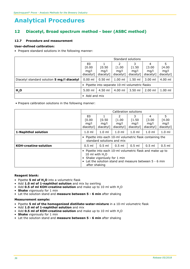## **12 Diacetyl, Broad spectrum method - beer (ASBC method)**

#### **12.7 Procedure and measurement**

#### **User-defined calibration:**

• Prepare standard solutions in the following manner:

|                                            | Standard solutions                              |           |                      |           |           |           |  |
|--------------------------------------------|-------------------------------------------------|-----------|----------------------|-----------|-----------|-----------|--|
|                                            | E0                                              |           |                      | 3         | 4         |           |  |
|                                            | [0.00]                                          | [0.50]    | $\lceil 1.00 \rceil$ | $[1.50]$  | [3.00]    | [4.00]    |  |
|                                            | mq/l                                            | mq/l      | mq/l                 | mq/l      | mq/l      | mq/l      |  |
|                                            | diacetyl]                                       | diacetyl] | diacetyl]            | diacetyl] | diacetyl] | diacetyl] |  |
| Diacetyl standard solution 5 mg/l diacetyl | $0.00$ ml                                       | $0.50$ ml | $1.00$ ml            | $1.50$ ml | $3.00$ ml | 4.00 ml   |  |
|                                            | • Pipette into separate 10-ml volumetric flasks |           |                      |           |           |           |  |
| H <sub>2</sub> O                           | $5.00$ ml                                       | $4.50$ ml | 4.00 ml              | $3.50$ ml | $2.00$ ml | $1.00$ ml |  |
|                                            | Add and mix<br>$\bullet$                        |           |                      |           |           |           |  |

• Prepare calibration solutions in the following manner:

|                              | Calibration solutions                                                                                                                                                              |           |               |           |                  |           |  |
|------------------------------|------------------------------------------------------------------------------------------------------------------------------------------------------------------------------------|-----------|---------------|-----------|------------------|-----------|--|
|                              | E0                                                                                                                                                                                 |           | $\mathcal{P}$ | 3         | 4                | 5         |  |
|                              | [0.00]                                                                                                                                                                             | [0.50]    | $[1.00]$      | $[1.50$   | [3.00]           | [4.00]    |  |
|                              | mq/l                                                                                                                                                                               | mq/l      | mq/l          | mq/l      | mq/l             | mq/l      |  |
|                              | diacetyl]                                                                                                                                                                          | diacetyl] | diacetyl]     | diacetyl] | diacetyl]        | diacetyl] |  |
| 1-Naphthol solution          | $1.0$ ml                                                                                                                                                                           | $1.0$ ml  | $1.0$ ml      | $1.0$ ml  | $1.0 \text{ ml}$ | $1.0$ ml  |  |
|                              | Pipette into each 10-ml volumetric flask containing the<br>standard solutions and mix                                                                                              |           |               |           |                  |           |  |
| <b>KOH-creatine-solution</b> | $0.5$ ml                                                                                                                                                                           | $0.5$ ml  | $0.5$ ml      | $0.5$ ml  | $0.5$ ml         | $0.5$ ml  |  |
|                              | Pipette into each 10-ml volumetric flask and make up to<br>10 ml with $H2O$<br>Shake vigorously for 1 min<br>Let the solution stand and measure between 5 - 6 min<br>after shaking |           |               |           |                  |           |  |

#### **Reagent blank:**

- Pipette **5 ml of H2O** into a volumetric flask
- Add **1.0 ml of 1-naphthol solution** and mix by swirling
- Add 0.5 of ml KOH-creatine-solution and make up to 10 ml with H<sub>2</sub>O
- **Shake** vigorously for 1 min
- Let the solution stand and **measure between 5 - 6 min** after shaking

### **Measurement sample:**

- Pipette **5 ml of the homogenized distillate-water-mixture** in a 10-ml volumetric flask
- Add **1.0 ml of 1-naphthol solution** and mix
- Add 0.5 ml of KOH-creatine-solution and make up to 10 ml with H<sub>2</sub>O
- **Shake** vigorously for 1 min
- Let the solution stand and **measure between 5 - 6 min** after shaking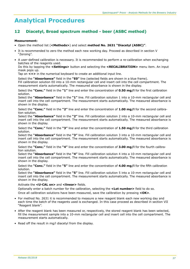# **12 Diacetyl, Broad spectrum method - beer (ASBC method)**

### **Measurement:**

- Open the method list (**<Methods>**) and select **method No. 2631 "Diacetyl (ASBC)"**.
- It is recommended to zero the method each new working day. Proceed as described in section V "Zeroing".
- A user-defined calibration is necessary. It is recommended to perform a re-calibration when exchanging batches of the reagents used.

Do this by tapping the **<Settings>** button and selecting the **<RECALIBRATION>** menu item. An input mask pops up.

Tap on **<+>** in the numerical keyboard to create an additional input line.

Select the **"Absorbance"** field in the **"E0"** line (selected fields are shown in a blue frame).

Fill calibration solution E0 into a 10-mm rectangular cell and insert cell into the cell compartment. The measurement starts automatically. The measured absorbance is shown in the display.

Select the **"Conc."** field in the **"1"** line and enter the concentration of **0.50 mg/l** for the first calibration solution.

Select the **"Absorbance"** field in the **"1"** line. Fill calibration solution 1 into a 10-mm rectangular cell and insert cell into the cell compartment. The measurement starts automatically. The measured absorbance is shown in the display.

Select the **"Conc."** field in the **"2"** line and enter the concentration of **1.00 mg/l** for the second calibration solution.

Select the **"Absorbance"** field in the **"2"** line. Fill calibration solution 2 into a 10-mm rectangular cell and insert cell into the cell compartment. The measurement starts automatically. The measured absorbance is shown in the display.

Select the **"Conc."** field in the **"3"** line and enter the concentration of **1.50 mg/l** for the third calibration solution.

Select the **"Absorbance"** field in the **"3"** line. Fill calibration solution 3 into a 10-mm rectangular cell and insert cell into the cell compartment. The measurement starts automatically. The measured absorbance is shown in the display.

Select the **"Conc."** field in the **"4"** line and enter the concentration of **3.00 mg/l** for the fourth calibration solution.

Select the **"Absorbance"** field in the **"4"** line. Fill calibration solution 4 into a 10-mm rectangular cell and insert cell into the cell compartment. The measurement starts automatically. The measured absorbance is shown in the display.

Select the **"Conc."** field in the **"5"** line and enter the concentration of **4.00 mg/l** for the fifth calibration solution.

Select the **"Absorbance"** field in the **"5"** line. Fill calibration solution 5 into a 10-mm rectangular cell and insert cell into the cell compartment. The measurement starts automatically. The measured absorbance is shown in the display.

#### Activate the **<U-CAL on>** and **<linear>** fields.

Optionally enter a batch number for the calibration, selecting the **<Lot number>** field to do so. Once all calibration solutions have been measured, save the calibration by pressing **<OK>**.

- For method No. 2631 it is recommended to measure a new reagent blank each new working day and each time the batch of the reagents used is exchanged. In this case proceed as described in section VII "Reagent blank".
- After the reagent blank has been measured or, respectively, the stored reagent blank has been selected, fill the measurement sample into a 10-mm rectangular cell and insert cell into the cell compartment. The measurement starts automatically.
- Read off the result in mg/l diacetyl from the display.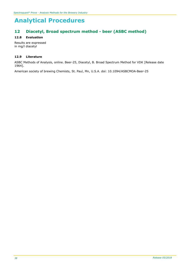# **12 Diacetyl, Broad spectrum method - beer (ASBC method)**

# **12.8 Evaluation**

Results are expressed in mg/l diacetyl

## **12.9 Literature**

ASBC Methods of Analysis, online. Beer-25, Diacetyl, B. Broad Spectrum Method for VDK [Release date 1964].

American society of brewing Chemists, St. Paul, Mn, U.S.A. doi: 10.1094/ASBCMOA-Beer-25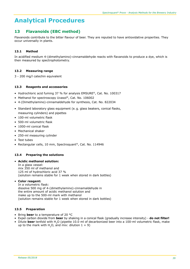# **13 Flavanoids (EBC method)**

Flavanoids contribute to the bitter flavour of beer. They are reputed to have antioxidative properties. They occur universally in plants.

# **13.1 Method**

In acidified medium 4-(dimethylamino)-cinnamaldehyde reacts with flavanoids to produce a dye, which is then measured by spectrophotometry.

## **13.2 Measuring range**

3 - 200 mg/l catechin equivalent

## **13.3 Reagents and accessories**

- Hydrochloric acid fuming 37 % for analysis EMSURE®, Cat. No. 100317
- Methanol for spectroscopy Uvasol®, Cat. No. 106002
- 4-(Dimethylamino)-cinnamaldehyde for synthesis, Cat. No. 822034
- Standard laboratory glass equipment (e. g. glass beakers, conical flasks, measuring cylinders) and pipettes
- 100-ml volumetric flask
- 500-ml volumetric flask
- 1000-ml conical flask
- Mechanical shaker
- 250-ml measuring cylinder
- Test tubes
- Rectangular cells, 10 mm, Spectroquant®, Cat. No. 114946

## **13.4 Preparing the solutions**

#### • **Acidic methanol solution:**

In a glass vessel: mix 350 ml of methanol and 125 ml of hydrochloric acid 37 % (solution remains stable for 1 week when stored in dark bottles)

## • **Color reagent:**

In a volumetric flask: dissolve 500 mg of 4-(dimethylamino)-cinnamaldehyde in the entire amount of acidic methanol solution and make up to the 500-ml mark with methanol (solution remains stable for 1 week when stored in dark bottles)

## **13.5 Preparation**

- Bring **beer** to a temperature of 20 °C
- Expel carbon dioxide from **beer** by shaking in a conical flask (gradually increase intensity) **do not filter!**
- Dilute **beer** tenfold with H<sub>2</sub>O (pipette 10.0 ml of decarbonized beer into a 100-ml volumetric flask, make up to the mark with H<sub>2</sub>O, and mix: dilution  $1 + 9$ )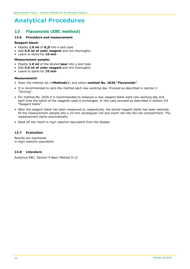# **13 Flavanoids (EBC method)**

# **13.6 Procedure and measurement**

#### **Reagent blank:**

- Pipette **1.0 ml** of **H2O** into a test tube
- Add **5.0 ml of color reagent** and mix thoroughly
- Leave to stand for **10 min**

#### **Measurement sample:**

- Pipette **1.0 ml** of the diluted **beer** into a test tube
- Add **5.0 ml of color reagent** and mix thoroughly
- Leave to stand for **10 min**

#### **Measurement:**

- Open the method list (**<Methods>**) and select **method No. 2626 "Flavanoids"**.
- It is recommended to zero the method each new working day. Proceed as described in section V "Zeroing".
- For method No. 2626 it is recommended to measure a new reagent blank each new working day and each time the batch of the reagents used is exchanged. In this case proceed as described in section VII "Reagent blank".
- After the reagent blank has been measured or, respectively, the stored reagent blank has been selected, fill the measurement sample into a 10-mm rectangular cell and insert cell into the cell compartment. The measurement starts automatically.
- Read off the result in mg/l catechin equivalent from the display.

#### **13.7 Evaluation**

Results are expressed in mg/l catechin equivalent

### **13.8 Literature**

Analytica-EBC, Section 9 Beer, Method 9.12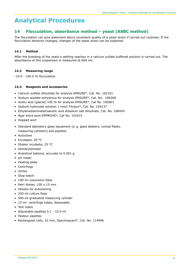# **14 Flocculation, absorbance method – yeast (ASBC method)**

The flocculation can give statement about consistent quality of a yeast strain if carried out routinely. If the flocculation behavior changes, changes of the yeast strain can be expected.

# **14.1 Method**

After the breeding of the yeast a settling reaction in a calcium sulfate buffered solution is carried out. The absorbance of this suspension is measured at 600 nm.

## **14.2 Measuring range**

-10.0 - 100.0 % flocculation

## **14.3 Reagents and accessories**

- Calcium sulfate dihydrate for analysis EMSURE®, Cat. No. 102161
- Sodium acetate anhydrous for analysis EMSURE®, Cat. No. 106268
- Acetic acid (glacial) 100 % for analysis EMSURE®, Cat No. 100063
- Sodium hydroxide solution 1 mol/l Titripur®, Cat. No. 109137
- Ethylenediaminetetraacetic acid disodium salt dihydrate, Cat. No. 108454
- Agar extra pure EMPROVE®, Cat No. 101615
- Hopped wort
- Standard laboratory glass equipment (e. g. glass beakers, conical flasks, measuring cylinders) and pipettes
- Autoclave
- Incubator, 25 °C
- Shaker incubator, 25 °C
- Hemacytometer
- Analytical balance, accurate to 0.001 g
- pH meter
- Heating plate
- Centrifuge
- Vortex
- Stop watch
- 100-ml volumetric flask
- Petri dishes, 100 x 15 mm
- Vessels for autoclaving
- 250-ml culture flask
- 500-ml graduated measuring cylinder
- 15-ml centrifuge tubes, disposable,
- Test tubes
- Adjustable pipettes 0.1 10.0 ml
- Pasteur pipettes
- Rectangular cells, 10 mm, Spectroquant®, Cat. No. 114946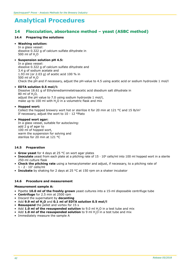# **14 Flocculation, absorbance method – yeast (ASBC method)**

## **14.4 Preparing the solutions**

#### • **Washing solution:**

In a glass vessel: dissolve 0.322 g of calcium sulfate dihydrate in 500 ml of H<sub>2</sub>O

#### • **Suspension solution pH 4.5:**

In a glass vessel: dissolve 0.322 g of calcium sulfate dihydrate and 3.4 g of sodium acetate and 1.93 ml (or 2.03 g) of acetic acid 100 % in 500 ml of H<sub>2</sub>O Check the pH and if necessary, adjust the pH-value to 4.5 using acetic acid or sodium hydroxide 1 mol/l

#### • **EDTA solution 0.5 mol/l:**

Dissolve 18.61 g of Ethylenediaminetetraacetic acid disodium salt dihydrate in 80 ml of H2O, adjust the pH value to 7.0 using sodium hydroxide 1 mol/l, make up to 100 ml with H<sub>2</sub>O in a volumetric flask and mix

#### • **Hopped wort:**

Collect the hopped brewery wort hot or sterilize it for 20 min at 121  $^{\circ}$ C and 15 lb/in<sup>2</sup> If necessary, adjust the wort to 10 - 12 °Plato

#### • **Hopped wort agar:**

In a glass vessel, suitable for autoclaving: add 2 g of agar to 100 ml of hopped wort, warm the suspension for solving and sterilize for 20 min at 121 °C

## **14.5 Preparation**

- **Grow yeast** for 4 days at 25 °C on wort agar plates
- **Inoculate** yeast from each plate at a pitching rate of 15 ∙ 106 cells/ml into 100 ml hopped wort in a sterile 250-ml culture flask
- **Check the pitching rate** using a hemacytometer and adjust, if necessary, to a pitching rate of 1 - 2 ∙ 107 cells/ml
- **Incubate** by shaking for 2 days at 25 °C at 150 rpm on a shaker incubator

## **14.6 Procedure and measurement**

#### **Measurement sample A:**

- Pipette **10.0 ml of the freshly grown** yeast cultures into a 15-ml disposable centrifuge tube
- **Centrifuge** for 2.5 min at 2500 rpm
- Discard the supernatant by **decanting**
- Add **9.9 ml of H2O** and **0.1 ml of EDTA solution 0.5 mol/l**
- **Resuspend** the pellet and vortex for 15 s
- Add 1.0 ml of the resuspended solution to 9.0 ml H<sub>2</sub>O in a test tube and mix
- Add **1.0 ml of the resuspended solution** to 9 ml H<sub>2</sub>O in a test tube and mix
- Immediately measure the sample A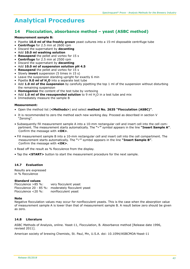# **14 Flocculation, absorbance method – yeast (ASBC method)**

#### **Measurement sample B:**

- Pipette **10.0 ml of the freshly grown** yeast cultures into a 15-ml disposable centrifuge tube
- **Centrifuge** for 2.5 min at 2600 rpm
- Discard the supernatant by **decanting**
- Add **10.0 ml washing solution**
- **Resuspend** the pellet and vortex for 15 s
- **Centrifuge** for 2.5 min at 2500 rpm
- Discard the supernatant by **decanting**
- Add **10.0 ml of suspension solution pH 4.5**
- **Resuspend** the pellet and vortex for 15 s
- Slowly **invert** suspension (5 times in 15 s)
- Leave the suspension standing upright for exactly 6 min
- Pipette **9.0 ml of H2O** into a separate test tube
- Add **1.0 ml of the suspension** by carefully pipetting the top 1 ml of the suspension without disturbing the remaining suspension
- **Homogenize** the content of the test tube by vortexing
- Add **1.0 ml of the resuspended solution** to 9 ml H<sub>2</sub>O in a test tube and mix
- Immediately measure the sample B

#### **Measurement:**

- Open the method list (**<Methods>**) and select **method No. 2635 "Flocculation (ASBC)"**.
- It is recommended to zero the method each new working day. Proceed as described in section V "Zeroing".
- Subsequently fill measurement sample A into a 10-mm rectangular cell and insert cell into the cell compartment. The measurement starts automatically. The **""** symbol appears in the line **"Insert Sample A"**. Confirm the message with **<OK>**.
- Fill measurement sample B into a 10-mm rectangular cell and insert cell into the cell compartment. The measurement starts automatically. The **""** symbol appears in the line **"Insert Sample B"**. Confirm the message with **<OK>**.
- Read off the result as % flocculence from the display.
- Tap the **<START>** button to start the measurement procedure for the next sample.

## **14.7 Evaluation**

Results are expressed in % flocculence

# **Standard values**<br>Flocculence >85 %:

very flocculent yeast Flocculence 20 - 85 %: moderately flocculent yeast<br>Flocculence <20 %: nonflocculent yeast nonflocculent yeast

#### **Note**

Negative flocculation values may occur for nonflocculent yeasts. This is the case when the absorption value of measurement sample A is lower than that of measurement sample B. A result below zero should be given as zero.

## **14.8 Literature**

ASBC Methods of Analysis, online. Yeast-11, Flocculation, B. Absorbance method [Release date 1996, revised 2011].

American society of brewing Chemists, St. Paul, Mn, U.S.A. doi: 10.1094/ASBCMOA-Yeast-11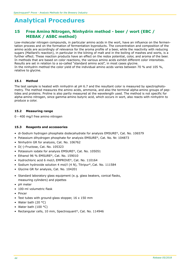# **15 Free Amino Nitrogen, Ninhydrin method - beer / wort (EBC / MEBAK / ASBC method)**

Low-molecular nitrogen compounds, in particular amino acids in the wort, have an influence on the fermentation process and on the formation of fermentation byproducts. The concentration and composition of the amino acids are accordingly of relevance for the aroma profile of a beer, while the reactivity with reducing sugars (Maillard's reaction), in particular in the kilning of malt and in the boiling of mashes and worts, is a further effect. These reaction products have an effect on the redox potential, color, and aroma of the beer. In methods that are based on color reactions, the various amino acids exhibit different color intensities. Results are set in relation to a so-called "standard amino acid", in most cases glycine. In the ninhydrin method the color yield of the individual amino acids varies between 70 % and 105 %, relative to glycine.

## **15.1 Method**

The test sample is heated with ninhydrin at pH 6.7 and the resultant color is measured by spectrophotometry. The method measures the amino acids, ammonia, and also the terminal alpha-amino groups of peptides and proteins. Proline is also partly measured at the wavelength used. The method is not specific for alpha-amino nitrogen, since gamma-amino butyric acid, which occurs in wort, also reacts with ninhydrin to produce a color.

## **15.2 Measuring range**

0 - 400 mg/l free amino nitrogen

## **15.3 Reagents and accessories**

- di-Sodium hydrogen phosphate dodecahydrate for analysis EMSURE®, Cat. No. 106579
- Potassium dihydrogen phosphate for analysis EMSURE®, Cat. No. Nr. 104873
- Ninhydrin GR for analysis, Cat. No. 106762
- D(-)-Fructose, Cat. No. 105323
- Potassium iodate for analysis EMSURE®, Cat. No. 105051
- Ethanol 96 % EMSURE®, Cat. No. 159010
- Hydrochloric acid 6 mol/L EMPROVE®, Cat. No. 110164
- Sodium hydroxide solution 4 mol/l (4 N), Titripur®, Cat. No. 111584
- Glycine GR for analysis, Cat. No. 104201
- Standard laboratory glass equipment (e. g. glass beakers, conical flasks, measuring cylinders) and pipettes
- pH meter
- 100-ml volumetric flask
- Pincer
- Test tubes with ground-glass stopper, 16 x 150 mm
- Water bath (20 $\degree$ C)
- Water bath  $(100 °C)$
- Rectangular cells, 10 mm, Spectroquant®, Cat. No. 114946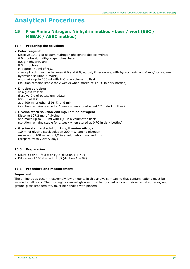# **15 Free Amino Nitrogen, Ninhydrin method - beer / wort (EBC / MEBAK / ASBC method)**

## **15.4 Preparing the solutions**

## • **Color reagent:**

Dissolve 10.0 g di-sodium hydrogen phosphate dodecahydrate, 6.0 g potassium dihydrogen phosphate, 0.5 g ninhydrin, and 0.3 g fructose in approx. 80 ml of  $H<sub>2</sub>O$ , check pH (pH must lie between 6.6 and 6.8; adjust, if necessary, with hydrochloric acid 6 mol/l or sodium hydroxide solution 4 mol/l), and make up to 100 ml with H<sub>2</sub>O in a volumetric flask (solution remains stable for 2 weeks when stored at  $+4$  °C in dark bottles)

## • **Dilution solution:**

In a glass vessel: dissolve 2 g of potassium iodate in 600 ml of H2O add 400 ml of ethanol 96 % and mix (solution remains stable for 1 week when stored at +4 °C in dark bottles)

- • **Glycine stock solution 200 mg/l amino nitrogen:** Dissolve 107.2 mg of glycine and make up to 100 ml with H<sub>2</sub>O in a volumetric flask (solution remains stable for 1 week when stored at 0 °C in dark bottles)
- • **Glycine standard solution 2 mg/l amino nitrogen:** 1.0 ml of glycine stock solution 200 mg/l amino nitrogen make up to 100 ml with H<sub>2</sub>O in a volumetric flask and mix (prepare freshly every day)

# **15.5 Preparation**

- Dilute **beer** 50-fold with  $H$ <sub>2</sub>O (dilution  $1 + 49$ )
- Dilute **wort** 100-fold with  $H_1O$  (dilution  $1 + 99$ )

## **15.6 Procedure and measurement**

## **Important:**

The amino acids occur in extremely low amounts in this analysis, meaning that contaminations must be avoided at all costs. The thoroughly cleaned glasses must be touched only on their external surfaces, and ground-glass stoppers etc. must be handled with pincers.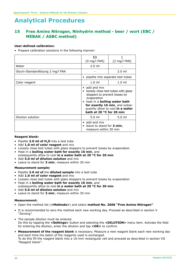# **15 Free Amino Nitrogen, Ninhydrin method - beer / wort (EBC / MEBAK / ASBC method)**

### **User-defined calibration:**

• Prepare calibration solutions in the following manner:

|                                  | E0<br>$[0 \text{ mg/l}$ FAN]                                                                                                             | $[2 \text{ mg/l} \text{ FAN}]$                                                                            |  |
|----------------------------------|------------------------------------------------------------------------------------------------------------------------------------------|-----------------------------------------------------------------------------------------------------------|--|
| Water                            | $2.0 \text{ ml}$                                                                                                                         |                                                                                                           |  |
| Glycin-Standardlösung 2 mg/l FAN |                                                                                                                                          | $2.0 \text{ ml}$                                                                                          |  |
|                                  |                                                                                                                                          | pipette into separate test tubes                                                                          |  |
| Color reagent                    | $1.0 \text{ ml}$                                                                                                                         | $1.0 \text{ ml}$                                                                                          |  |
|                                  | $\bullet$ add and mix<br>stoppers to prevent losses by<br>evaporation<br>heat in a <b>boiling water bath</b><br>bath at 20 °C for 20 min | loosely close test tubes with glass<br>for exactly 16 min, and subse-<br>quently allow to cool in a water |  |
| Dilution solution                | $5.0 \mathrm{m}$<br>$5.0 \text{ ml}$                                                                                                     |                                                                                                           |  |
|                                  | add and mix<br>leave to stand for <b>3 min</b> ;<br>measure within 30 min                                                                |                                                                                                           |  |

#### **Reagent blank:**

- Pipette **2.0 ml of H2O** into a test tube
- Add **1.0 ml of color reagent** and mix
- Loosely close test tubes with glass stoppers to prevent losses by evaporation
- Heat in a **boiling water bath for exactly 16 min**, and subsequently allow to cool **in a water bath at 20 °C for 20 min**
- Add **5.0 ml of dilution solution** and mix
- Leave to stand for **3 min**; measure within 30 min

#### **Measurement sample:**

- Pipette **2.0 ml of** the **diluted sample** into a test tube
- Add **1.0 ml of color reagent** and mix
- Loosely close test tubes with glass stoppers to prevent losses by evaporation • Heat in a **boiling water bath for exactly 16 min**, and
- subsequently allow to cool **in a water bath at 20 °C for 20 min**
- Add **5.0 ml of dilution solution** and mix
- Leave to stand for 3 min; measure within 30 min

#### **Measurement:**

- Open the method list (**<Methods>**) and select **method No. 2606 "Free Amino Nitrogen"**.
- It is recommended to zero the method each new working day. Proceed as described in section V "Zeroing".
- The sample dilution must be entered. Do this by tapping the **<Settings>** button and selecting the **<DILUTION>** menu item. Activate the field for entering the dilution, enter the dilution and tap **<OK>** to confirm.
- **Measurement of the reagent blank** is necessary. Measure a new reagent blank each new working day and each time the batch of the reagents used is exchanged. To do this fill the reagent blank into a 10-mm rectangular cell and proceed as described in section VII "Reagent blank".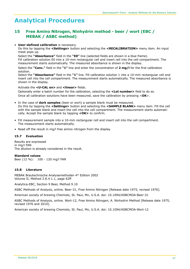# **15 Free Amino Nitrogen, Ninhydrin method - beer / wort (EBC / MEBAK / ASBC method)**

#### • **User-defined calibration** is necessary.

Do this by tapping the **<Settings>** button and selecting the **<RECALIBRATION>** menu item. An input mask pops up.

Select the **"Absorbance"** field in the **"E0"** line (selected fields are shown in a blue frame). Fill calibration solution E0 into a 10-mm rectangular cell and insert cell into the cell compartment. The measurement starts automatically. The measured absorbance is shown in the display.

Select the **"Conc."** field in the **"1"** line and enter the concentration of **2 mg/l** for the first calibration solution.

Select the **"Absorbance"** field in the **"1"** line. Fill calibration solution 1 into a 10-mm rectangular cell and insert cell into the cell compartment. The measurement starts automatically. The measured absorbance is shown in the display.

Activate the **<U-CAL on>** and **<linear>** fields.

Optionally enter a batch number for the calibration, selecting the **<Lot number>** field to do so. Once all calibration solutions have been measured, save the calibration by pressing <**OK**>.

- In the case of **dark samples** (beer or wort) a sample blank must be measured. Do this by tapping the **<Settings>** button and selecting the **<SAMPLE BLANK>** menu item. Fill the cell with the sample blank and insert the cell into the cell compartment. The measurement starts automatically. Accept the sample blank by tapping **<OK>** to confirm.
- Fill measurement sample into a 10-mm rectangular cell and insert cell into the cell compartment. The measurement starts automatically.
- Read off the result in mg/l free amino nitrogen from the display.

## **15.7 Evaluation**

Results are expressed in mg/l FAN The dilution is already considered in the result.

## **Standard values**

Beer (12 %): 100 - 120 mg/l FAN

## **15.8 Literature**

MEBAK Brautechnische Analysemethoden 4th Edition 2002 Volume II, Method 2.8.4.1.1, page 62ff

Analytica-EBC, Section 9 Beer, Method 9.10

ASBC Methods of Analysis, online. Beer-31, Free Amino Nitrogen [Release date 1975, revised 1976].

American society of brewing Chemists, St. Paul, Mn, U.S.A. doi: 10.1094/ASBCMOA-Beer-31

ASBC Methods of Analysis, online. Wort-12, Free Amino Nitrogen, A. Ninhydrin Method [Release date 1975, revised 1976 and 2010].

American society of brewing Chemists, St. Paul, Mn, U.S.A. doi: 10.1094/ASBCMOA-Wort-12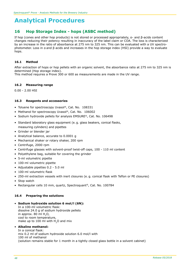# **16 Hop Storage Index - hops (ASBC method)**

If hop (cones and other hop products) is not stored or processed appropriately, α- and β-acids content changes reducing their potency resulting in inaccuracy of the label claim or COA. The loss is characterized by an increase in the ratio of absorbance at 275 nm to 325 nm. This can be evaluated with a UV spectrophotometer. Loss in α and β acids and increases in the hop storage index (HSI) provide a way to evaluate hops.

### **16.1 Method**

After extraction of hops or hop pellets with an organic solvent, the absorbance ratio at 275 nm to 325 nm is determined (Hop storage index).

This method requires a Prove 300 or 600 as measurements are made in the UV range.

#### **16.2 Measuring range**

0.00 - 2.00 HSI

#### **16.3 Reagents and accessories**

- Toluene for spectroscopy Uvasol®, Cat. No. 108331
- Methanol for spectroscopy Uvasol®, Cat. No. 106002
- Sodium hydroxide pellets for analysis EMSURE®, Cat. No. 106498
- Standard laboratory glass equipment (e. g. glass beakers, conical flasks, measuring cylinders) and pipettes
- Grinder or blender jar
- Analytical balance, accurate to 0.0001 g
- Mechanical shaker or rotary shaker, 200 rpm
- Centrifuge, 2000 rpm
- Centrifuge glasses with solvent-proof twist-off caps, 100 110 ml content
- Polyethylene bag, suitable for covering the grinder
- 5-ml volumetric pipette
- 100-ml volumetric pipette
- Adjustable pipettes 0.2 5.0 ml
- 100-ml volumetric flask
- 250-ml extraction vessels with inert closures (e. g. conical flask with Teflon or PE closures)
- Stop watch
- Rectangular cells 10 mm, quartz, Spectroquant®, Cat. No. 100784

## **16.4 Preparing the solutions**

• **Sodium hydroxide solution 6 mol/l (6N):** In a 100-ml volumetric flask: dissolve 24.0 g of sodium hydroxide pellets in approx. 80 ml  $H_2O$ , cool to room temperature, make up to 100 ml with H<sub>2</sub>O and mix

## • **Alkaline methanol:**

In a conical flask: mix 0.2 ml of sodium hydroxide solution 6.0 mol/l with 100 ml of methanol (solution remains stable for 1 month in a tightly closed glass bottle in a solvent cabinet)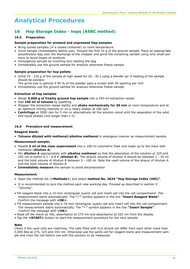# **16 Hop Storage Index - hops (ASBC method)**

### **16.5 Preparation**

#### **Sample preparation for pressed and unpressed Hop samples**

- Bring cooled samples (in a closed container) to room temperature
- Grind sample (immediately before use). Discard the first 10 g of the ground sample. Place an appropriate polyethylene bag over the discharge of the chopper and grind the remaining sample using only small portions to avoid losses of moisture
- Homogenize sample by inverting and rotating the bag
- Immediately use the ground sample for analysis otherwise freeze sample

#### **Sample preparation for hop pellets**

- Grind 75 125 g of the sample at high speed for 20 30 s using a blender jar. A heating of the sample should be avoided.
- The grind size is optimal if 95 % of the powder pass a screen with 20 opening per inch
- Immediately use the ground sample for analysis otherwise freeze sample

#### **Extraction of hop samples**

- Weigh **5.000 g of freshly ground hop sample** into a 250-ml extraction vessel
- Add **100 ml of toluene** by pipetting
- Stopper the extraction vessel tightly and **shake mechanically for 30 min** at room temperature and at an optimum mixing intensity or on a rotary shaker at 200 rpm
- **Centrifuge** at 2000 rpm for 5 min or alternatively let the solution stand until the separation of the solid and liquid phases (not longer than 1 h)

#### **16.6 Procedure and measurement**

#### **Reagent blank:**

• **Toluene diluted with methanol/alkaline methanol** in analogous manner as measurement sample

#### **Measurement sample:**

- Pipette **5 ml of the clear supernatant** into a 100-ml volumetric flask and make up to the mark with methanol (**dilution A**)
- Mix **dilution A** appropriately with **alkaline methanol** so that the absorption of the solution at 325 and 355 nm is within 0.1 - 0.8 A (**dilution B**). The aliquot volume of dilution A should be between 1 - 20 ml and the total volume of dilution B between 5 - 100 ml. Note the used volume of the aliquot of dilution A and the total volume of dilution B
- **Immediately measure** the sample to avoid decomposition

#### **Measurement:**

- Open the method list (**<Methods>**) and select **method No. 2634 "Hop Storage Index (HSI)"**.
- It is recommended to zero the method each new working day. Proceed as described in section V "Zeroing".
- Fill reagent blank into a 10-mm rectangular quartz cell and insert cell into the cell compartment. The measurement starts automatically. The **""** symbol appears in the line **"Insert Reagent Blank"**. Confirm the message with **<OK>**.
- Fill measurement sample into a 10-mm rectangular quartz cell and insert cell into the cell compartment. The measurement starts automatically. The **""** symbol appears in the line **"Insert Sample"**. Confirm the message with **<OK>**.
- Read off the result as HSI, absorbance at 275 nm and absorbance at 325 nm from the display.
- Tap the **<START>** button to start the measurement procedure for the next sample.

## **Note**

Check if the used cells are matching. The cells filled with H<sub>2</sub>O should not differ from each other more than 0.005 Abs at 275, 325 and 355 nm. Otherwise use the same cell for reagent blank and measurement sample and rinse the cell before use with the solution to be measured.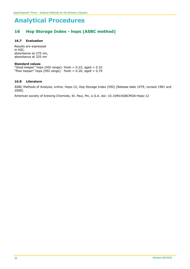# **16 Hop Storage Index - hops (ASBC method)**

## **16.7 Evaluation**

Results are expressed in HSI, absorbance at 275 nm, absorbance at 325 nm

#### **Standard values**

"Good keeper" hops (HSI range): fresh = 0.22; aged = 0.32 "Poor keeper" hops (HSI range): fresh = 0.26; aged = 0.79

#### **16.8 Literature**

ASBC Methods of Analysis, online. Hops-12, Hop Storage Index (HSI) [Release date 1979, revised 1981 and 2008].

American society of brewing Chemists, St. Paul, Mn, U.S.A. doi: 10.1094/ASBCMOA-Hops-12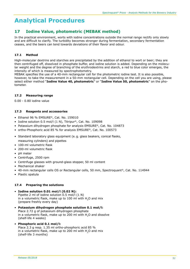# **17 Iodine Value, photometric (MEBAK method)**

In the practical environment, worts with iodine concentrations outside the normal range rectify only slowly and are difficult to clarify. The turbidity becomes stronger during fermentation, secondary fermentation ceases, and the beers can tend towards deviations of their flavor and odour.

# **17.1 Method**

High-molecular dextrins and starches are precipitated by the addition of ethanol to wort or beer; they are then centrifuged off, dissolved in phosphate buffer, and iodine solution is added. Depending on the molecular weight and the degree of branching of the erythrodextrins and starch, a red to blue color emerges, the intensity of which is measured by spectrophotometry.

MEBAK specifies the use of a 40-mm rectangular cell for the photometric iodine test. It is also possible, however, to take the measurement in a 50-mm rectangular cell. Depending on the cell you are using, please select either method "**Iodine Value 40, photometric**" or "**Iodine Value 50, photometric**" on the photometer.

# **17.2 Measuring range**

0.00 - 0.80 iodine value

## **17.3 Reagents and accessories**

- Ethanol 96 % EMSURE®, Cat. No. 159010
- Iodine solution 0.5 mol/l (1 N), Titripur®, Cat. No. 109098
- Potassium dihydrogen phosphate for analysis EMSURE®, Cat. No. 104873
- ortho-Phosphoric acid 85 % for analysis EMSURE®, Cat. No. 100573
- Standard laboratory glass equipment (e. g. glass beakers, conical flasks, measuring cylinders) and pipettes
- 100-ml volumetric flask
- 200-ml volumetric flask
- pH meter
- Centrifuge, 2500 rpm
- Centrifuge glasses with ground-glass stopper, 50 ml content
- Mechanical shaker
- 40-mm rectangular cells OS or Rectangular cells, 50 mm, Spectroquant®, Cat. No. 114944
- Plastic spatula

## **17.4 Preparing the solutions**

## • **Iodine solution 0.01 mol/l (0.02 N):**

Pipette 2 ml of iodine solution 0.5 mol/l (1 N) in a volumetric flask, make up to 100 ml with  $H<sub>2</sub>O$  and mix (prepare freshly every day)

• **Potassium dihydrogen phosphate solution 0.1 mol/l:** Place 2.72 g of potassium dihydrogen phosphate in a volumetric flask, make up to 200 ml with  $H<sub>2</sub>O$  and dissolve (shelf-life 4 weeks)

#### • **Phosphoric acid 0.1 mol/l:**  Place 2.3 g resp. 1.35 ml ortho-phosphoric acid 85 % in a volumetric flask, make up to 200 ml with  $H<sub>2</sub>O$  and mix (shelf-life 3 months)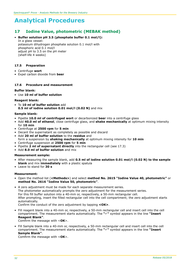# **17 Iodine Value, photometric (MEBAK method)**

## • **Buffer solution pH 3.5 (phosphate buffer 0.1 mol/l):**

In a glass vessel: potassium dihydrogen phosphate solution 0.1 mol/l with phosphoric acid 0.1 mol/l adjust pH to 3.5 on the pH meter (shelf-life 4 weeks)

### **17.5 Preparation**

- Centrifuge **wort**
- Expel carbon dioxide from **beer**

## **17.6 Procedure and measurement**

#### **Buffer blank:**

• Use **10 ml of buffer solution**

#### **Reagent blank:**

• To **10 ml of buffer solution** add **0.5 ml of iodine solution 0.01 mol/l (0.02 N)** and mix

#### **Sample blank:**

- Pipette **10.0 ml of centrifuged wort** or decarbonized **beer** into a centrifuge glass
- Add **40.0 ml of ethanol**, close centrifuge glass, and **shake mechanically** at optimum mixing intensity for **10 min**
- Centrifuge at **2500 rpm** for **5 min**
- Decant the supernatant as completely as possible and discard
- Add **20 ml of buffer solution** to the **residue** and form a suspension by **shaking mechanically** at optimum mixing intensity for **10 min**
- Centrifuge suspension at **2500 rpm** for **5 min**
- Pipette **2 ml of supernatant directly** into the rectangular cell (see 17.3)
- Add **8.0 ml of buffer solution** and mix

## **Measurement sample:**

- After measuring the sample blank, add **0.5 ml of iodine solution 0.01 mol/l (0.02 N) to the sample blank** and mix **immediately** with a plastic spatula
- Leave to stand for **30 s**

#### **Measurement:**

- Open the method list (**<Methods>**) and select **method No. 2615 "Iodine Value 40, photometric"** or **method No. 2616 "Iodine Value 50, photometric"**.
- A zero adjustment must be made for each separate measurement series. The photometer automatically prompts the zero adjustment for the measurement series. For this fill buffer solution into a 40-mm or, respectively, a 50-mm rectangular cell. After prompting, insert the filled rectangular cell into the cell compartment; the zero adjustment starts automatically. Confirm the conduct of the zero adjustment by tapping **<OK>**.
- Fill reagent blank into a 40-mm or, respectively, a 50-mm rectangular cell and insert cell into the cell compartment. The measurement starts automatically. The " $\checkmark$ " symbol appears in the line "Insert  **Reagent Blank"**. Comfirm the message with <**OK**>.
- Fill Sample blank into a 40-mm or, respectively, a 50-mm rectangular cell and insert cell into the cell compartment. The measurement starts automatically. The " $\checkmark$ " symbol appears in the line "Insert  **Sample Blank"**.

Comfirm the message with <**OK**>.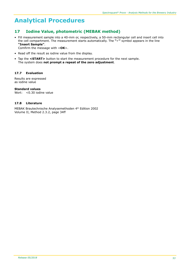# **17 Iodine Value, photometric (MEBAK method)**

• Fill measurement sample into a 40-mm or, respectively, a 50-mm rectangular cell and insert cell into the cell compartment. The measurement starts automatically. The "v" symbol appears in the line **"Insert Sample"**.

Comfirm the message with <**OK**>.

- Read off the result as iodine value from the display.
- Tap the **<START>** button to start the measurement procedure for the next sample. The system does **not prompt a repeat of the zero adjustment**.

## **17.7 Evaluation**

Results are expressed as iodine value

**Standard values**

Wort: <0.30 iodine value

## **17.8 Literature**

MEBAK Brautechnische Analysemethoden 4<sup>th</sup> Edition 2002 Volume II, Method 2.3.2, page 34ff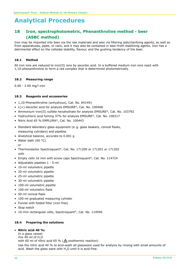# **18 Iron, spectrophotometric, Phenanthroline method - beer (ASBC method)**

Iron may be imported into beer via the raw materials and also via filtering aids/clarifying agents, as well as from apparatuses, pipes, or cans, and it may also be contained in beer-froth stabilizing agents. Iron has a detrimental effect on the colloidal stability, flavour, and the gushing tendency of the beer.

#### **18.1 Method**

All iron ions are reduced to iron(II) ions by ascorbic acid. In a buffered medium iron ions react with 1,10-phenanthroline to form a red complex that is determined photometrically.

#### **18.2 Measuring range**

0.00 - 3.00 mg/l iron

#### **18.3 Reagents and accessories**

- 1,10-Phenanthroline (anhydrous), Cat. No. 841491
- L(+)-Ascorbic acid for analysis EMSURE®, Cat. No. 100468
- Ammonium iron(II) sulfate hexahydrate for analysis EMSURE®, Cat. No. 103792
- Hydrochloric acid fuming 37% for analysis EMSURE®, Cat. No. 100317
- Nitric Acid 65 % EMPLURA®, Cat. No. 100443
- Standard laboratory glass equipment (e. g. glass beakers, conical flasks, measuring cylinders) and pipettes
- Analytical balance, accurate to 0.001 g
- Water bath (60 $\degree$ C) or
- Thermoreactor Spectroquant®, Cat. No. 171200 or 171201 or 171202 with
- Empty cells 16 mm with screw caps Spectroquant®, Cat. No. 114724
- Adjustable pipettes 1 5-ml
- 10-ml volumetric pipette
- 20-ml volumetric pipette
- 25-ml volumetric pipette
- 30-ml volumetric pipette
- 100-ml volumetric pipette
- 100-ml volumetric flask
- 50-ml conical flask
- 100-ml graduated measuring cylinder
- Funnel with folded filter (iron free)
- Stop watch
- 10-mm rectangular cells, Spectroquant®, Cat. No. 114946

## **18.4 Preparing the solutions**

#### • **Nitric acid 40 %:**

In a glass vessel: mix 40 ml of  $H<sub>2</sub>O$ with 60 ml of nitric acid 65 % ( $\triangle$  exothermic reaction) Use the nitric acid 40 % to acid-wash all glassware used for analysis by rinsing with small amounts of acid. Wash the glass ware with H<sub>2</sub>O until it is acid-free.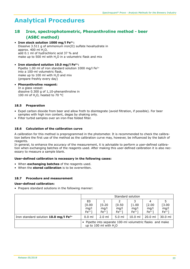# **18 Iron, spectrophotometric, Phenanthroline method - beer (ASBC method)**

• **Iron stock solution 1000 mg/l Fe2+:** Dissolve 3.511 g of ammonium iron(II) sulfate hexahydrate in approx.  $400$  ml  $H<sub>2</sub>O$ , add 0.1 ml of hydrochloric acid 37 % and make up to 500 ml with  $H<sub>2</sub>O$  in a volumetric flask and mix

• **Iron standard solution 10.0 mg/l Fe2+:** Pipette 1.00 ml of iron standard solution 1000 mg/l  $Fe<sup>2+</sup>$ into a 100-ml volumetric flask, make up to 100 ml with H<sub>2</sub>O and mix (prepare freshly every day)

• **Phenanthroline reagent:** In a glass vessel: dissolve 0.300 g of 1,10-phenanthroline in 100 ml of H<sub>2</sub>O, heated to 70 °C

## **18.5 Preparation**

- Expel carbon dioxide from beer and allow froth to disintegrate (avoid filtration, if possible). For beer samples with high iron content, degas by shaking only.
- Filter turbid samples over an iron-free folded filter.

#### **18.6 Calculation of the calibration curve**

A calibration for this method is preprogrammed in the photometer. It is recommended to check the calibration before the first use of the method as the calibration curve may, however, be influenced by the batch of reagents.

In general, to enhance the accuracy of the measurement, it is advisable to perform a user-defined calibration when exchanging batches of the reagents used. After making this user-defined calibration it is also necessary to measure a sample blank.

#### **User-defined calibration is necessary in the following cases:**

- When **exchanging batches** of the reagents used.
- When the **stored calibration** is to be overwritten.

#### **18.7 Procedure and measurement**

#### **User-defined calibration:**

• Prepare standard solutions in the following manner:

|                                                   | Standard solution                                                                    |                         |                          |                                 |                                |                          |  |  |
|---------------------------------------------------|--------------------------------------------------------------------------------------|-------------------------|--------------------------|---------------------------------|--------------------------------|--------------------------|--|--|
|                                                   | E0<br>[0.00]<br>mg/l<br>$Fe2+$ ]                                                     | [0.20<br>mg/l<br>$Fe2+$ | [0.50]<br>mg/l<br>$Fe2+$ | 3<br>$[1.00]$<br>mq/l<br>$Fe2+$ | 4<br>$[2.00$<br>mg/l<br>$Fe2+$ | [3.00]<br>mg/l<br>$Fe2+$ |  |  |
| Iron standard solution 10.0 mg/l Fe <sup>2+</sup> | $0.0$ ml                                                                             | $2.0$ ml                | $5.0$ ml                 | $10.0$ ml                       | $20.0$ ml                      | $30.0$ ml                |  |  |
|                                                   | • Pipette into separate 100-ml volumetric flasks and make<br>up to 100 ml with $H2O$ |                         |                          |                                 |                                |                          |  |  |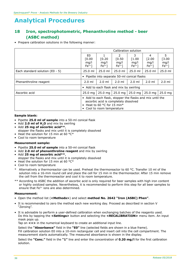# **18 Iron, spectrophotometric, Phenanthroline method - beer (ASBC method)**

• Prepare calibration solutions in the following manner:

|                                   | Calibration solution                                                                                                                                        |                          |                                           |                               |                                 |                                |  |
|-----------------------------------|-------------------------------------------------------------------------------------------------------------------------------------------------------------|--------------------------|-------------------------------------------|-------------------------------|---------------------------------|--------------------------------|--|
|                                   | E0<br>[0.00]<br>mq/l<br>$Fe2+$                                                                                                                              | [0.20]<br>mq/l<br>$Fe2+$ | $\mathcal{P}$<br>[0.50]<br>mq/l<br>$Fe2+$ | 3<br>[1.00]<br>mq/l<br>$Fe2+$ | 4<br>$[2.00]$<br>mq/l<br>$Fe2+$ | 5.<br>[3.00]<br>mg/l<br>$Fe2+$ |  |
| Each standard solution $(60 - 5)$ | $25.0$ ml                                                                                                                                                   | $25.0$ ml                | $25.0$ ml                                 | $25.0$ ml                     | $25.0$ ml                       | 25.0 ml                        |  |
|                                   | • Pipette into separate 50-ml conical flasks                                                                                                                |                          |                                           |                               |                                 |                                |  |
| Phenanthroline reagent            | $2.0$ ml                                                                                                                                                    | $2.0$ ml                 | $2.0$ ml                                  | $2.0$ ml                      | $2.0$ ml                        | $2.0$ ml                       |  |
|                                   | • Add to each flask and mix by swirling                                                                                                                     |                          |                                           |                               |                                 |                                |  |
| Ascorbic acid                     | $25.0$ mg                                                                                                                                                   | $25.0$ mg                | $25.0$ mg                                 | $25.0$ mg                     | $25.0$ mg                       | $25.0$ mg                      |  |
|                                   | • Add to each flask, stopper the flasks and mix until the<br>ascorbic acid is completely dissolved<br>Heat to 60 °C for 15 min*<br>Cool to room temperature |                          |                                           |                               |                                 |                                |  |

#### **Sample blank:**

- Pipette **25.0 ml of sample** into a 50-ml conical flask
- Add **2.0 ml of H2O** and mix by swirling • Add **25 mg of ascorbic acid\*\***,
- stopper the flasks and mix until it is completely dissolved
- Heat the solution for 15 min at 60 °C\*
- Cool to room temperature

#### **Measurement sample:**

- Pipette **25.0 ml of sample** into a 50-ml conical flask
- Add **2.0 ml of phenanthroline reagent** and mix by swirling
- Add **25 mg of ascorbic acid\*\***,
	- stopper the flasks and mix until it is completely dissolved
- Heat the solution for 15 min at 60 °C\*
- Cool to room temperature
- \* Alternatively a thermoreactor can be used. Preheat the thermoreactor to 60 °C. Transfer 10 ml of the solution into a 16-mm round cell and place the cell for 15 min in the thermoreactor. After 15 min remove the cell from the thermoreactor and cool it to room temperature.
- \*\* According to ASBC the addition of ascorbic acid is only required for beer samples with high iron content or highly oxidized samples. Nevertheless, it is recommended to perform this step for all beer samples to ensure that Fe3+ ions are also determined.

#### **Measurement:**

- Open the method list (**<Methods>**) and select **method No. 2642 "Iron (ASBC) Phen"**.
- It is recommended to zero the method each new working day. Proceed as described in section V "Zeroing".
- It is advisable to perform a user-defined calibration when exchanging batches of the reagents used. Do this by tapping the **<Settings>** button and selecting the **<RECALIBRATION>** menu item. An input mask pops up.

Tap on **<+>** in the numerical keyboard to create an additional input line.

Select the **"Absorbance"** field in the **"E0"** line (selected fields are shown in a blue frame). Fill calibration solution E0 into a 10-mm rectangular cell and insert cell into the cell compartment. The measurement starts automatically. The measured absorbance is shown in the display.

Select the **"Conc."** field in the **"1"** line and enter the concentration of **0.20 mg/l** for the first calibration solution.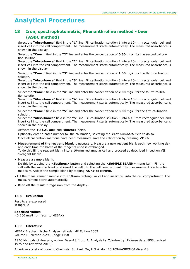# **18 Iron, spectrophotometric, Phenanthroline method - beer (ASBC method)**

Select the **"Absorbance"** field in the **"1"** line. Fill calibration solution 1 into a 10-mm rectangular cell and insert cell into the cell compartment. The measurement starts automatically. The measured absorbance is shown in the display.

Select the **"Conc."** field in the **"2"** line and enter the concentration of **0.50 mg/l** for the second calibration solution.

Select the **"Absorbance"** field in the **"2"** line. Fill calibration solution 2 into a 10-mm rectangular cell and insert cell into the cell compartment. The measurement starts automatically. The measured absorbance is shown in the display.

Select the **"Conc."** field in the **"3"** line and enter the concentration of **1.00 mg/l** for the third calibration solution.

Select the **"Absorbance"** field in the **"3"** line. Fill calibration solution 3 into a 10-mm rectangular cell and insert cell into the cell compartment. The measurement starts automatically. The measured absorbance is shown in the display.

Select the **"Conc."** field in the **"4"** line and enter the concentration of **2.00 mg/l** for the fourth calibration solution.

Select the **"Absorbance"** field in the **"4"** line. Fill calibration solution 4 into a 10-mm rectangular cell and insert cell into the cell compartment. The measurement starts automatically. The measured absorbance is shown in the display.

Select the **"Conc."** field in the **"5"** line and enter the concentration of **3.00 mg/l** for the fifth calibration solution.

Select the **"Absorbance"** field in the **"5"** line. Fill calibration solution 5 into a 10-mm rectangular cell and insert cell into the cell compartment. The measurement starts automatically. The measured absorbance is shown in the display.

Activate the **<U-CAL on>** and **<linear>** fields.

Optionally enter a batch number for the calibration, selecting the **<Lot number>** field to do so. Once all calibration solutions have been measured, save the calibration by pressing **<OK>**.

• **Measurement of the reagent blank** is necessary. Measure a new reagent blank each new working day and each time the batch of the reagents used is exchanged.

To do this fill the reagent blank into a 10-mm rectangular cell and proceed as described in section VII "Reagent blank".

• Measure a sample blank.

Do this by tapping the **<Settings>** button and selecting the **<SAMPLE BLANK>** menu item. Fill the cell with the sample blank and insert the cell into the cell compartment. The measurement starts automatically. Accept the sample blank by tapping **<OK>** to confirm.

- Fill the measurement sample into a 10-mm rectangular cell and insert cell into the cell compartment. The measurement starts automatically.
- Read off the result in mg/l iron from the display.

## **18.8 Evaluation**

Results are expressed in mg/l Fe

**Specified values** <0.200 mg/l iron (acc. to MEBAK)

## **18.9 Literature**

MEBAK Brautechnische Analysemethoden 4th Edition 2002 Volume II, Method 2.29.3, page 149ff

ASBC Methods of Analysis, online. Beer-18, Iron, A. Analysis by Colorimetry [Release date 1958, revised 1975 and reviewed 2015].

American society of brewing Chemists, St. Paul, Mn, U.S.A. doi: 10.1094/ASBCMOA-Beer-18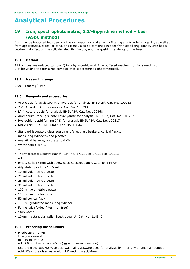# **19 Iron, spectrophotometric, 2,2'-Bipyridine method – beer (ASBC method)**

Iron may be imported into beer via the raw materials and also via filtering aids/clarifying agents, as well as from apparatuses, pipes, or cans, and it may also be contained in beer-froth stabilizing agents. Iron has a detrimental effect on the colloidal stability, flavour, and the gushing tendency of the beer.

## **19.1 Method**

All iron ions are reduced to iron(II) ions by ascorbic acid. In a buffered medium iron ions react with 2,2'-bipyridine to form a red complex that is determined photometrically.

#### **19.2 Measuring range**

0.00 - 3.00 mg/l iron

#### **19.3 Reagents and accessories**

- Acetic acid (glacial) 100 % anhydrous for analysis EMSURE®, Cat. No. 100063
- 2,2'-Bipyridine GR for analysis, Cat. No. 103098
- $L(+)$ -Ascorbic acid for analysis EMSURE®, Cat. No. 100468
- Ammonium iron(II) sulfate hexahydrate for analysis EMSURE®, Cat. No. 103792
- Hydrochloric acid fuming 37% for analysis EMSURE®, Cat. No. 100317
- Nitric Acid 65 % EMPLURA®, Cat. No. 100443
- Standard laboratory glass equipment (e. g. glass beakers, conical flasks, measuring cylinders) and pipettes
- Analytical balance, accurate to 0.001 g
- Water bath (60 °C) or
- Thermoreactor Spectroquant®, Cat. No. 171200 or 171201 or 171202 with
- Empty cells 16 mm with screw caps Spectroquant®, Cat. No. 114724
- Adjustable pipettes 1 5-ml
- 10-ml volumetric pipette
- 20-ml volumetric pipette
- 25-ml volumetric pipette
- 30-ml volumetric pipette
- 100-ml volumetric pipette
- 100-ml volumetric flask
- 50-ml conical flask
- 100-ml graduated measuring cylinder
- Funnel with folded filter (iron free)
- Stop watch
- 10-mm rectangular cells, Spectroquant®, Cat. No. 114946

## **19.4 Preparing the solutions**

## • **Nitric acid 40 %:**

In a glass vessel: mix 40 ml of  $H<sub>2</sub>O$ with 60 ml of nitric acid 65 % ( $\triangle$  exothermic reaction) Use the nitric acid 40 % to acid-wash all glassware used for analysis by rinsing with small amounts of acid. Wash the glass ware with  $H<sub>2</sub>O$  until it is acid-free.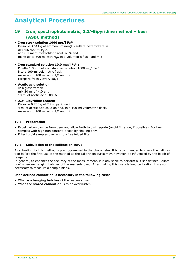# **19 Iron, spectrophotometric, 2,2'-Bipyridine method – beer (ASBC method)**

• **Iron stock solution 1000 mg/l Fe2+:** Dissolve 3.511 g of ammonium iron(II) sulfate hexahydrate in approx.  $400$  ml  $H<sub>2</sub>O$ , add 0.1 ml of hydrochloric acid 37 % and make up to 500 ml with  $H<sub>2</sub>O$  in a volumetric flask and mix

• **Iron standard solution 10.0 mg/l Fe2+:** Pipette 1.00 ml of iron standard solution 1000 mg/l  $Fe<sup>2+</sup>$ into a 100-ml volumetric flask, make up to 100 ml with H<sub>2</sub>O and mix (prepare freshly every day)

#### • **Acetic acid solution:** In a glass vessel: mix 20 ml of H<sub>2</sub>O and 10 ml of acetic acid 100 %

• **2,2'-Bipyridine reagent:** Dissolve 0.200 g of 2,2'-bipyridine in 4 ml of acetic acid solution and, in a 100-ml volumetric flask, make up to 100 ml with H<sub>2</sub>O and mix

## **19.5 Preparation**

- Expel carbon dioxide from beer and allow froth to disintegrate (avoid filtration, if possible). For beer samples with high iron content, degas by shaking only.
- Filter turbid samples over an iron-free folded filter.

#### **19.6 Calculation of the calibration curve**

A calibration for this method is preprogrammed in the photometer. It is recommended to check the calibration before the first use of the method as the calibration curve may, however, be influenced by the batch of reagents.

In general, to enhance the accuracy of the measurement, it is advisable to perform a "User-defined Calibration" when exchanging batches of the reagents used. After making this user-defined calibration it is also necessary to measure a sample blank.

#### **User-defined calibration is necessary in the following cases:**

- When **exchanging batches** of the reagents used.
- When the **stored calibration** is to be overwritten.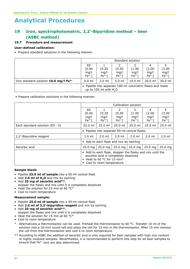# **19 Iron, spectrophotometric, 2,2'-Bipyridine method – beer (ASBC method)**

# **19.7 Procedure and measurement**

#### **User-defined calibration:**

• Prepare standard solutions in the following manner:

|                                                     | Standard solution                                                                    |                          |                         |                          |                              |                           |  |  |
|-----------------------------------------------------|--------------------------------------------------------------------------------------|--------------------------|-------------------------|--------------------------|------------------------------|---------------------------|--|--|
|                                                     | E0<br>[0.00]<br>mq/l<br>$Fe2+$ ]                                                     | [0.20]<br>mq/l<br>$Fe2+$ | [0.50<br>mg/l<br>$Fe2+$ | [1.00]<br>mq/l<br>$Fe2+$ | 4<br>[2.00<br>mq/l<br>$Fe2+$ | $[3.00$<br>mg/l<br>$Fe2+$ |  |  |
| Iron standard solution $10.0$ mg/l Fe <sup>2+</sup> | $0.0$ ml                                                                             | $2.0$ ml                 | $5.0 \mathrm{m}$        | $10.0$ ml                | $20.0$ ml                    | $30.0$ ml                 |  |  |
|                                                     | • Pipette into separate 100-ml volumetric flasks and make<br>up to 100 ml with $H2O$ |                          |                         |                          |                              |                           |  |  |

• Prepare calibration solutions in the following manner:

|                                   | Calibration solution                                                                                                                                                  |                          |                                             |                                 |                                 |                               |  |  |
|-----------------------------------|-----------------------------------------------------------------------------------------------------------------------------------------------------------------------|--------------------------|---------------------------------------------|---------------------------------|---------------------------------|-------------------------------|--|--|
|                                   | E <sub>0</sub><br>[0.00]<br>mq/l<br>$Fe2+$ ]                                                                                                                          | [0.20]<br>mq/l<br>$Fe2+$ | $\mathcal{P}$<br>[0.50]<br>mq/l<br>$Fe2+$ ] | 3<br>[1.00]<br>mq/l<br>$Fe2+$ ] | 4<br>$[2.00]$<br>mq/l<br>$Fe2+$ | 5<br>[3.00]<br>mg/l<br>$Fe2+$ |  |  |
| Each standard solution $(50 - 5)$ | $25.0$ ml                                                                                                                                                             | $25.0$ ml                | $25.0$ ml                                   | $25.0$ ml                       | $25.0$ ml                       | $25.0$ ml                     |  |  |
|                                   | • Pipette into separate 50-ml conical flasks                                                                                                                          |                          |                                             |                                 |                                 |                               |  |  |
| 2,2'-Bipyridine reagent           | $2.0 \text{ ml}$                                                                                                                                                      | $2.0$ ml                 | $2.0$ ml                                    | $2.0$ ml                        | $2.0$ ml                        | $2.0$ ml                      |  |  |
|                                   | • Add to each flask and mix by swirling                                                                                                                               |                          |                                             |                                 |                                 |                               |  |  |
| Ascorbic acid                     | $25.0$ mg                                                                                                                                                             | $25.0$ mg $ $            | $25.0$ mg                                   | $25.0$ mg                       | $25.0$ mg                       | $25.0$ mg                     |  |  |
|                                   | • Add to each flask, stopper the flasks and mix until the<br>ascorbic acid is completely dissolved<br>Heat to 60 $^{\circ}$ C for 15 min*<br>Cool to room temperature |                          |                                             |                                 |                                 |                               |  |  |

#### **Sample blank:**

- Pipette **25.0 ml of sample** into a 50-ml conical flask
- Add **2.0 ml of H2O** and mix by swirling
- Add **25 mg of ascorbic acid\*\***,
- stopper the flasks and mix until it is completely dissolved
- Heat the solution for 15 min at 60  $^{\circ}$ C<sup>\*</sup>
- Cool to room temperature

#### **Measurement sample:**

- Pipette **25.0 ml of sample** into a 50-ml conical flask
- Add **2.0 ml of 2,2'-bipyridine reagent** and mix by swirling
- Add **25 mg of ascorbic acid\*\***, stopper the flasks and mix until it is completely dissolved
- Heat the solution for 15 min at 60 °C\*
- Cool to room temperature
- Alternatively a thermoreactor can be used. Preheat the thermoreactor to 60 °C. Transfer 10 ml of the solution into a 16-mm round cell and place the cell for 15 min in the thermoreactor. After 15 min remove the cell from the thermoreactor and cool it to room temperature.
- \*\* According to ASBC the addition of ascorbic acid is only required for beer samples with high iron content or highly oxidized samples. Nevertheless, it is recommended to perform this step for all beer samples to ensure that  $Fe^{3+}$  ions are also determined.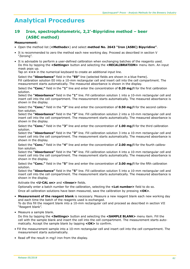# **19 Iron, spectrophotometric, 2,2'-Bipyridine method – beer (ASBC method)**

#### **Measurement:**

- Open the method list (**<Methods>**) and select **method No. 2643 "Iron (ASBC) Bipyridine"**.
- It is recommended to zero the method each new working day. Proceed as described in section V "Zeroing".
- It is advisable to perform a user-defined calibration when exchanging batches of the reagents used. Do this by tapping the **<Settings>** button and selecting the **<RECALIBRATION>** menu item. An input mask pops up.

Tap on **<+>** in the numerical keyboard to create an additional input line.

Select the **"Absorbance"** field in the **"E0"** line (selected fields are shown in a blue frame).

Fill calibration solution E0 into a 10-mm rectangular cell and insert cell into the cell compartment. The measurement starts automatically. The measured absorbance is shown in the display.

Select the **"Conc."** field in the **"1"** line and enter the concentration of **0.20 mg/l** for the first calibration solution.

Select the **"Absorbance"** field in the **"1"** line. Fill calibration solution 1 into a 10-mm rectangular cell and insert cell into the cell compartment. The measurement starts automatically. The measured absorbance is shown in the display.

Select the **"Conc."** field in the **"2"** line and enter the concentration of **0.50 mg/l** for the second calibration solution.

Select the **"Absorbance"** field in the **"2"** line. Fill calibration solution 2 into a 10-mm rectangular cell and insert cell into the cell compartment. The measurement starts automatically. The measured absorbance is shown in the display.

Select the **"Conc."** field in the **"3"** line and enter the concentration of **1.00 mg/l** for the third calibration solution.

Select the **"Absorbance"** field in the **"3"** line. Fill calibration solution 3 into a 10-mm rectangular cell and insert cell into the cell compartment. The measurement starts automatically. The measured absorbance is shown in the display.

Select the **"Conc."** field in the **"4"** line and enter the concentration of **2.00 mg/l** for the fourth calibration solution.

Select the **"Absorbance"** field in the **"4"** line. Fill calibration solution 4 into a 10-mm rectangular cell and insert cell into the cell compartment. The measurement starts automatically. The measured absorbance is shown in the display.

Select the **"Conc."** field in the **"5"** line and enter the concentration of **3.00 mg/l** for the fifth calibration solution.

Select the **"Absorbance"** field in the **"5"** line. Fill calibration solution 5 into a 10-mm rectangular cell and insert cell into the cell compartment. The measurement starts automatically. The measured absorbance is shown in the display.

Activate the **<U-CAL on>** and **<linear>** fields.

Optionally enter a batch number for the calibration, selecting the **<Lot number>** field to do so. Once all calibration solutions have been measured, save the calibration by pressing **<OK>**.

• **Measurement of the reagent blank** is necessary. Measure a new reagent blank each new working day and each time the batch of the reagents used is exchanged. To do this fill the reagent blank into a 10-mm rectangular cell and proceed as described in section VII "Reagent blank".

• Measure a sample blank.

Do this by tapping the **<Settings>** button and selecting the **<SAMPLE BLANK>** menu item. Fill the cell with the sample blank and insert the cell into the cell compartment. The measurement starts automatically. Accept the sample blank by tapping **<OK>** to confirm.

- Fill the measurement sample into a 10-mm rectangular cell and insert cell into the cell compartment. The measurement starts automatically.
- Read off the result in mg/l iron from the display.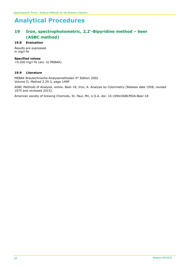# **19 Iron, spectrophotometric, 2,2'-Bipyridine method – beer (ASBC method)**

## **19.8 Evaluation**

Results are expressed in mg/l Fe

### **Specified values**

<0.200 mg/l Fe (acc. to MEBAK)

#### **19.9 Literature**

MEBAK Brautechnische Analysemethoden 4<sup>th</sup> Edition 2002 Volume II, Method 2.29.3, page 149ff

ASBC Methods of Analysis, online. Beer-18, Iron, A. Analysis by Colorimetry [Release date 1958, revised 1975 and reviewed 2015].

American society of brewing Chemists, St. Paul, Mn, U.S.A. doi: 10.1094/ASBCMOA-Beer-18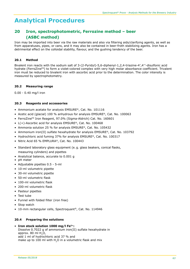# **20 Iron, spectrophotometric, Ferrozine method – beer (ASBC method)**

Iron may be imported into beer via the raw materials and also via filtering aids/clarifying agents, as well as from apparatuses, pipes, or cans, and it may also be contained in beer-froth stabilizing agents. Iron has a detrimental effect on the colloidal stability, flavour, and the gushing tendency of the beer.

## **20.1 Method**

Bivalent iron reacts with the sodium salt of 3-(2-Pyridyl)-5,6-diphenyl-1,2,4-triazine-4′,4′′-disulfonic acid hydrate (FerroZine<sup>TM</sup>) to form a violet-colored complex with very high molar absorbance coefficient. Trivalent iron must be reduced to bivalent iron with ascorbic acid prior to the determination. The color intensity is measured by spectrophotometry.

## **20.2 Measuring range**

0.00 - 0.40 mg/l iron

## **20.3 Reagents and accessories**

- Ammonium acetate for analysis EMSURE®, Cat. No. 101116
- Acetic acid (glacial) 100 % anhydrous for analysis EMSURE®, Cat. No. 100063
- FerroZine<sup>™</sup> Iron Reagent, 97.0% (Sigma-Aldrich) Cat. No. 160601
- $L(+)$ -Ascorbic acid for analysis EMSURE®, Cat. No. 100468
- Ammonia solution 25 % for analysis EMSURE®, Cat. No. 105432
- Ammonium iron(II) sulfate hexahydrate for analysis EMSURE®, Cat. No. 103792
- Hydrochloric acid fuming 37% for analysis EMSURE®, Cat. No. 100317
- Nitric Acid 65 % EMPLURA®, Cat. No. 100443
- Standard laboratory glass equipment (e. g. glass beakers, conical flasks, measuring cylinders) and pipettes
- Analytical balance, accurate to 0.001 g
- pH meter
- Adjustable pipettes 0.5 5-ml
- 10-ml volumetric pipette
- 30-ml volumetric pipette
- 50-ml volumetric flask
- 100-ml volumetric flask
- 200-ml volumetric flask
- Pasteur pipettes
- Test tube
- Funnel with folded filter (iron free)
- Stop watch
- 10-mm rectangular cells, Spectroquant®, Cat. No. 114946

## **20.4 Preparing the solutions**

## • **Iron stock solution 1000 mg/l Fe2+:**

Dissolve 0.7022 g of ammonium iron(II) sulfate hexahydrate in approx.  $80$  ml  $H<sub>2</sub>O$ , add 1 ml of hydrochloric acid 37 % and make up to 100 ml with H<sub>2</sub>O in a volumetric flask and mix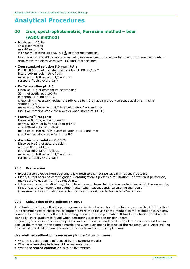# **20 Iron, spectrophotometric, Ferrozine method – beer (ASBC method)**

#### • **Nitric acid 40 %:**

In a glass vessel: mix 40 ml of  $H<sub>2</sub>O$ with 60 ml of nitric acid 65 % ( $\Lambda$  exothermic reaction) Use the nitric acid 40 % to acid-wash all glassware used for analysis by rinsing with small amounts of acid. Wash the glass ware with  $H$ <sub>2</sub>O until it is acid-free.

## • **Iron standard solution 5.0 mg/l Fe2+:**

Pipette 0.50 ml of iron standard solution 1000 mg/l Fe<sup>2+</sup> into a 100-ml volumetric flask, make up to 100 ml with H<sub>2</sub>O and mix (prepare freshly every day)

#### • **Buffer solution pH 4.3:**

Dissolve 15 g of ammonium acetate and 30 ml of acetic acid 100 % in approx.  $100$  ml of H<sub>2</sub>O, check pH (if necessary, adjust the pH-value to 4.3 by adding dropwise acetic acid or ammonia solution 25 %), make up to 200 ml with H2O in a volumetric flask and mix (solution remains stable for 4 weeks when stored at  $+4$  °C)

#### • **FerroZineTM reagent:**

Dissolve 0.263 g of FerroZine™ in approx. 80 ml of buffer solution pH 4.3 in a 100-ml volumetric flask, make up to 100 ml with buffer solution pH 4.3 and mix (solution remains stable for 1 month)

## • **Ascorbic acid solution 0.63 %:**

Dissolve 0.63 g of ascorbic acid in approx. 80 ml of H<sub>2</sub>O in a 100-ml volumetric flask, make up to 100 ml with H<sub>2</sub>O and mix (prepare freshly every day)

#### **20.5 Preparation**

- Expel carbon dioxide from beer and allow froth to disintegrate (avoid filtration, if possible)
- Clarify turbid beers be centrifugation. Centrifugation is preferred to filtration. If filtration is performed, make sure to use an iron-free folded filter.
- If the iron content is  $>0.40$  mg/l Fe, dilute the sample so that the iron content lies within the measuring range. Use the corresponding dilution factor when subsequently calculating the result (measurement result x dilution factor) or insert the dilution factor under <Settings>.

#### **20.6 Calculation of the calibration curve**

A calibration for this method is preprogrammed in the photometer with a factor given in the ASBC method. It is recommended to check the calibration before the first use of the method as the calibration curve may, however, be influenced by the batch of reagents and the sample matrix. It has been observed that a substantially lower gradient is found when performing a calibration for dark beers.

In general, to enhance the accuracy of the measurement, it is advisable to make a "User-defined Calibration" of the method in the sample matrix and when exchanging batches of the reagents used. After making this user-defined calibration it is also necessary to measure a sample blank.

#### **User-defined calibration is necessary in the following cases:**

- When the calibration is influenced by the **sample matrix**.
- When **exchanging batches** of the reagents used.
- When the **stored calibration** is to be overwritten.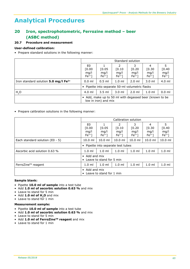# **20 Iron, spectrophotometric, Ferrozine method – beer (ASBC method)**

## **20.7 Procedure and measurement**

### **User-defined calibration:**

• Prepare standard solutions in the following manner:

|                                                  | Standard solution                                                             |                          |                                             |                                 |                                 |                          |  |  |
|--------------------------------------------------|-------------------------------------------------------------------------------|--------------------------|---------------------------------------------|---------------------------------|---------------------------------|--------------------------|--|--|
|                                                  | E0<br>[0.00]<br>mq/l<br>$Fe2+$                                                | [0.05]<br>mq/l<br>$Fe2+$ | $\mathcal{L}$<br>[0.10]<br>mg/l<br>$Fe2+$ ] | 3<br>[0.20]<br>mq/l<br>$Fe2+$ ] | 4<br>[0.30]<br>mg/l<br>$Fe2+$ ] | [0.40]<br>mg/l<br>$Fe2+$ |  |  |
| Iron standard solution 5.0 mg/l Fe <sup>2+</sup> | $0.0$ ml                                                                      | $0.5$ ml                 | $1.0 \text{ ml}$                            | $2.0$ ml                        | $3.0 \text{ ml}$                | $4.0$ ml                 |  |  |
|                                                  | • Pipette into separate 50-ml volumetric flasks                               |                          |                                             |                                 |                                 |                          |  |  |
| H <sub>2</sub> O                                 | 4.0 ml                                                                        | $3.5$ ml                 | $3.0 \mathrm{m}$                            | $2.0$ ml                        | $1.0 \text{ ml}$                | $0.0$ ml                 |  |  |
|                                                  | Add, make up to 50 ml with degassed beer (known to be<br>low in iron) and mix |                          |                                             |                                 |                                 |                          |  |  |

• Prepare calibration solutions in the following manner:

|                                   | Calibration solution                                           |                          |                               |                                 |                                 |                                |  |  |
|-----------------------------------|----------------------------------------------------------------|--------------------------|-------------------------------|---------------------------------|---------------------------------|--------------------------------|--|--|
|                                   | E <sub>0</sub><br>[0.00]<br>mq/l<br>$Fe2+$ ]                   | [0.05]<br>mq/l<br>$Fe2+$ | 2<br>[0.10]<br>mq/l<br>$Fe2+$ | 3<br>[0.20]<br>mq/l<br>$Fe2+$ ] | 4<br>[0.30]<br>mq/l<br>$Fe2+$ ] | 5.<br>[0.40]<br>mq/l<br>$Fe2+$ |  |  |
| Each standard solution $(50 - 5)$ | $10.0$ ml                                                      | $10.0$ ml                | $10.0$ ml                     | $10.0$ ml                       | $10.0$ ml                       | $10.0$ ml                      |  |  |
|                                   | • Pipette into separate test tubes                             |                          |                               |                                 |                                 |                                |  |  |
| Ascorbic acid solution 0.63 %     | $1.0 \text{ ml}$                                               | $1.0$ ml                 | $1.0$ ml                      | $1.0$ ml                        | $1.0$ ml                        | 1.0 <sub>m</sub>               |  |  |
|                                   | • Add and mix<br>• Leave to stand for 5 min                    |                          |                               |                                 |                                 |                                |  |  |
| FerroZine™ reagent                | $1.0$ ml                                                       | $1.0 \text{ ml}$         | $1.0$ ml                      | $1.0$ ml                        | $1.0 \text{ ml}$                | 1.0 <sub>m</sub>               |  |  |
|                                   | $\bullet$ Add and mix<br>Leave to stand for 1 min<br>$\bullet$ |                          |                               |                                 |                                 |                                |  |  |

#### **Sample blank:**

- Pipette **10.0 ml of sample** into a test tube
- Add **1.0 ml of ascorbic solution 0.63 %** and mix
- Leave to stand for 5 min
- Add **1.0 ml of H2O** and mix
- Leave to stand for 1 min

## **Measurement sample:**

- Pipette **10.0 ml of sample** into a test tube
- Add **1.0 ml of ascorbic solution 0.63 %** and mix
- Leave to stand for 5 min
- Add **1.0 ml of FerroZineTM reagent** and mix
- Leave to stand for 1 min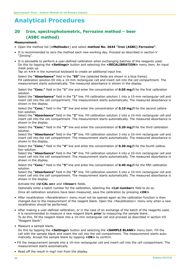# **20 Iron, spectrophotometric, Ferrozine method – beer (ASBC method)**

#### **Measurement:**

- Open the method list (**<Methods>**) and select **method No. 2644 "Iron (ASBC) Ferrozine"**.
- It is recommended to zero the method each new working day. Proceed as described in section V "Zeroing".
- It is advisable to perform a user-defined calibration when exchanging batches of the reagents used. Do this by tapping the **<Settings>** button and selecting the **<RECALIBRATION>** menu item. An input mask pops up.

Tap on **<+>** in the numerical keyboard to create an additional input line.

Select the **"Absorbance"** field in the **"E0"** line (selected fields are shown in a blue frame). Fill calibration solution E0 into a 10-mm rectangular cell and insert cell into the cell compartment. The measurement starts automatically. The measured absorbance is shown in the display.

Select the **"Conc."** field in the **"1"** line and enter the concentration of **0.05 mg/l** for the first calibration solution.

Select the **"Absorbance"** field in the **"1"** line. Fill calibration solution 1 into a 10-mm rectangular cell and insert cell into the cell compartment. The measurement starts automatically. The measured absorbance is shown in the display.

Select the **"Conc."** field in the **"2"** line and enter the concentration of **0.10 mg/l** for the second calibration solution.

Select the **"Absorbance"** field in the **"2"** line. Fill calibration solution 2 into a 10-mm rectangular cell and insert cell into the cell compartment. The measurement starts automatically. The measured absorbance is shown in the display.

Select the **"Conc."** field in the **"3"** line and enter the concentration of **0.20 mg/l** for the third calibration solution.

Select the **"Absorbance"** field in the **"3"** line. Fill calibration solution 3 into a 10-mm rectangular cell and insert cell into the cell compartment. The measurement starts automatically. The measured absorbance is shown in the display.

Select the **"Conc."** field in the **"4"** line and enter the concentration of **0.30 mg/l** for the fourth calibration solution.

Select the **"Absorbance"** field in the **"4"** line. Fill calibration solution 4 into a 10-mm rectangular cell and insert cell into the cell compartment. The measurement starts automatically. The measured absorbance is shown in the display.

Select the **"Conc."** field in the **"5"** line and enter the concentration of **0.40 mg/l** for the fifth calibration solution.

Select the **"Absorbance"** field in the **"5"** line. Fill calibration solution 5 into a 10-mm rectangular cell and insert cell into the cell compartment. The measurement starts automatically. The measured absorbance is shown in the display.

#### Activate the **<U-CAL on>** and **<linear>** fields.

Optionally enter a batch number for the calibration, selecting the **<Lot number>** field to do so. Once all calibration solutions have been measured, save the calibration by pressing **<OK>**.

- After recalibration <Recalibration> menu must not be opened again as the calibration function is then changed due to the measurement of the reagent blank. Open the <Recalibration> menu only when a new recalibration should be performed.
- After making a user-defined calibration, or in the case of an exchange of the batch of the reagents used, it is recommended to measure a new reagent blank **prior** to measuring the sample blank. To do this, fill the reagent blank into a 10-mm rectangular cell and proceed as described in section VII "Reagent blank".
- Measure a sample blank.

Do this by tapping the **<Settings>** button and selecting the **<SAMPLE BLANK>** menu item. Fill the cell with the sample blank and insert the cell into the cell compartment. The measurement starts automatically. Accept the sample blank by tapping **<OK>** to confirm.

- Fill the measurement sample into a 10-mm rectangular cell and insert cell into the cell compartment. The measurement starts automatically.
- Read off the result in mg/l iron from the display.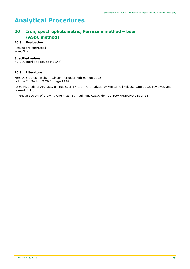# **20 Iron, spectrophotometric, Ferrozine method – beer (ASBC method)**

## **20.8 Evaluation**

Results are expressed in mg/l Fe

#### **Specified values**

<0.200 mg/l Fe (acc. to MEBAK)

#### **20.9 Literature**

MEBAK Brautechnische Analysenmethoden 4th Edition 2002 Volume II, Method 2.29.3, page 149ff

ASBC Methods of Analysis, online. Beer-18, Iron, C. Analysis by Ferrozine [Release date 1992, reviewed and revised 2015].

American society of brewing Chemists, St. Paul, Mn, U.S.A. doi: 10.1094/ASBCMOA-Beer-18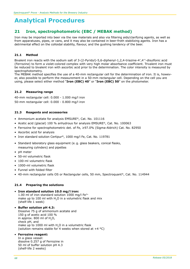# **21 Iron, spectrophotometric (EBC / MEBAK method)**

Iron may be imported into beer via the raw materials and also via filtering aids/clarifying agents, as well as from apparatuses, pipes, or cans, and it may also be contained in beer-froth stabilizing agents. Iron has a detrimental effect on the colloidal stability, flavour, and the gushing tendency of the beer.

# **21.1 Method**

Bivalent iron reacts with the sodium salt of 3-(2-Pyridyl)-5,6-diphenyl-1,2,4-triazine-4′,4′′-disulfonic acid (Ferrozine) to form a violet-colored complex with very high molar absorbance coefficient. Trivalent iron must be reduced to bivalent iron with ascorbic acid prior to the determination. The color intensity is measured by spectrophotometry.

The MEBAK method specifies the use of a 40-mm rectangular cell for the determination of iron. It is, however, also possible to perform the measurement in a 50-mm rectangular cell. Depending on the cell you are using, please select either method "**Iron (EBC) 40**" or "**Iron (EBC) 50**" on the photometer.

## **21.2 Measuring range**

40-mm rectangular cell: 0.000 - 1.000 mg/l iron 50-mm rectangular cell: 0.000 - 0.800 mg/l iron

## **21.3 Reagents and accessories**

- Ammonium acetate for analysis EMSURE®, Cat. No. 101116
- Acetic acid (glacial) 100 % anhydrous for analysis EMSURE®, Cat. No. 100063
- Ferrozine for spectrophotometric det. of Fe, ≥97.0% (Sigma-Aldrich) Cat. No. 82950
- Ascorbic acid for analysis
- Iron standard solution Certipur®, 1000 mg/l Fe, Cat. No. 119781
- Standard laboratory glass equipment (e. g. glass beakers, conical flasks, measuring cylinders) and pipettes
- pH meter
- 50-ml volumetric flask
- 100-ml volumetric flask
- 1000-ml volumetric flask
- Funnel with folded filter
- 40-mm rectangular cells OS or Rectangular cells, 50 mm, Spectroquant®, Cat. No. 114944

## **21.4 Preparing the solutions**

## • **Iron standard solution 10.0 mg/l iron:**

1.00 ml of iron standard solution  $1000$  mg/l Fe<sup>3+</sup> make up to 100 ml with  $H<sub>2</sub>O$  in a volumetric flask and mix (shelf-life 1 week)

• **Buffer solution pH 4.3:** Dissolve 75 g of ammonium acetate and 150 g of acetic acid 100 % in approx. 800 ml of  $H_2O$ , check pH, and make up to 1000 ml with  $H<sub>2</sub>O$  in a volumetric flask (solution remains stable for 4 weeks when stored at  $+4$  °C)

#### • **Ferrozine reagent:**

In a glass vessel: dissolve 0.257 g of Ferrozine in 50 ml of buffer solution pH 4.3 (shelf-life 2 weeks)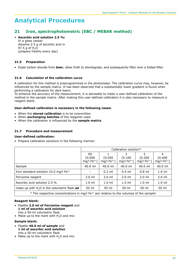# **21 Iron, spectrophotometric (EBC / MEBAK method)**

• **Ascorbic acid solution 2.5 %:** In a glass vessel: dissolve 2.5 g of ascorbic acid in 97.5  $a$  of H<sub>2</sub>O (prepare freshly every day)

# **21.5 Preparation**

• Expel carbon dioxide from **beer**, allow froth to disintegrate, and subsequently filter over a folded filter.

## **21.6 Calculation of the calibration curve**

A calibration for this method is preprogrammed in the photometer. The calibration curve may, however, be influenced by the sample matrix. It has been observed that a substantially lower gradient is found when performing a calibration for dark beers.

To enhance the accuracy of the measurement, it is advisable to make a user-defined calibration of the method in the sample matrix. After making this user-defined calibration it is also necessary to measure a reagent blank.

#### **User-defined calibration is necessary in the following cases:**

- When the **stored calibration** is to be overwritten.
- When **exchanging batches** of the reagents used.
- When the calibration is influenced by the **sample matrix**.

## **21.7 Procedure and measurement**

#### **User-defined calibration:**

• Prepare calibration solutions in the following manner:

|                                                                                                     | Calibration solution*          |                          |                                              |                                  |                                  |  |  |  |
|-----------------------------------------------------------------------------------------------------|--------------------------------|--------------------------|----------------------------------------------|----------------------------------|----------------------------------|--|--|--|
|                                                                                                     | E0<br>[0.000]<br>mg/l $Fe3+$ ] | [0.050]<br>mg/l $Fe3+$ ] | $\mathcal{P}$<br>[0.100]<br>mg/l $Fe^{3+}$ ] | 3<br>[0.200]<br>mg/l $Fe^{3+}$ ] | 4<br>[0.400]<br>mg/l $Fe^{3+}$ ] |  |  |  |
| Sample                                                                                              | 40.0 ml                        | $40.0$ ml                | $40.0$ ml                                    | 40.0 ml                          | 40.0 ml                          |  |  |  |
| Iron standard solution 10.0 mg/l Fe <sup>3+</sup>                                                   |                                | $0.2$ ml                 | $0.4$ ml                                     | $0.8$ ml                         | $1.6$ ml                         |  |  |  |
| Ferrozine reagent                                                                                   | $2.0$ ml                       | $2.0$ ml                 | $2.0$ ml                                     | $2.0$ ml                         | $2.0$ ml                         |  |  |  |
| Ascorbic acid solution 2.5 %                                                                        | $1.0 \text{ ml}$               | $1.0$ ml                 | $1.0 \text{ ml}$                             | $1.0 \text{ ml}$                 | $1.0$ ml                         |  |  |  |
| make up with H <sub>2</sub> O in the volumetric flask ad                                            | 50 ml                          | 50 ml                    | 50 ml                                        | 50 ml                            | 50 ml                            |  |  |  |
| * The respective concentrations in mg/I Fe <sup>3+</sup> are relative to the volumes of the sample! |                                |                          |                                              |                                  |                                  |  |  |  |

## **Reagent blank:**

- Pipette **2.0 ml of Ferrozine reagent** and  **1 ml of ascorbic acid solution** into a 50-ml volumetric flask
- Make up to the mark with H<sub>2</sub>O and mix

#### **Sample blank:**

- Pipette **40.0 ml of sample** and  **1 ml of ascorbic acid solution** into a 50-ml volumetric flask
- Make up to the mark with H<sub>2</sub>O and mix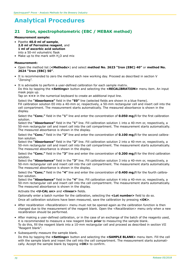# **21 Iron, spectrophotometric (EBC / MEBAK method)**

#### **Measurement sample:**

- Pipette **40.0 ml of sample**, **2.0 ml of Ferrozine reagent**, and  **1 ml of ascorbic acid solution** into a 50-ml volumetric flask
- Make up to the mark with H<sub>2</sub>O and mix

#### **Measurement:**

- Open the method list (**<Methods>**) and select **method No. 2623 "Iron (EBC) 40"** or **method No. 2624 "Iron (EBC) 50"**.
- It is recommended to zero the method each new working day. Proceed as described in section V "Zeroing".
- It is advisable to perform a user-defined calibration for each sample matrix. Do this by tapping the **<Settings>** button and selecting the **<RECALIBRATION>** menu item. An input mask pops up.

Tap on **<+>** in the numerical keyboard to create an additional input line.

Select the **"Absorbance"** field in the **"E0"** line (selected fields are shown in a blue frame). Fill calibration solution E0 into a 40-mm or, respectively, a 50-mm rectangular cell and insert cell into the cell compartment. The measurement starts automatically. The measured absorbance is shown in the display.

Select the **"Conc."** field in the **"1"** line and enter the concentration of **0.050 mg/l** for the first calibration solution.

Select the **"Absorbance"** field in the **"1"** line. Fill calibration solution 1 into a 40-mm or, respectively, a 50-mm rectangular cell and insert cell into the cell compartment. The measurement starts automatically. The measured absorbance is shown in the display.

Select the **"Conc."** field in the **"2"** line and enter the concentration of **0.100 mg/l** for the second calibration solution.

Select the **"Absorbance"** field in the **"2"** line. Fill calibration solution 2 into a 40-mm or, respectively, a 50-mm rectangular cell and insert cell into the cell compartment. The measurement starts automatically. The measured absorbance is shown in the display.

Select the **"Conc."** field in the **"3"** line and enter the concentration of **0.200 mg/l** for the third calibration solution.

Select the **"Absorbance"** field in the **"3"** line. Fill calibration solution 3 into a 40-mm or, respectively, a 50-mm rectangular cell and insert cell into the cell compartment. The measurement starts automatically. The measured absorbance is shown in the display.

Select the **"Conc."** field in the **"4"** line and enter the concentration of **0.400 mg/l** for the fourth calibration solution.

Select the **"Absorbance"** field in the **"4"** line. Fill calibration solution 4 into a 40-mm or, respectively, a 50-mm rectangular cell and insert cell into the cell compartment. The measurement starts automatically. The measured absorbance is shown in the display.

#### Activate the **<U-CAL on>** and **<linear>** fields.

Optionally enter a batch number for the calibration, selecting the **<Lot number>** field to do so. Once all calibration solutions have been measured, save the calibration by pressing **<OK>**.

- After recalibration <Recalibration> menu must not be opened again as the calibration function is then changed due to the measurement of the reagent blank. Open the <Recalibration> menu only when a new recalibration should be performed.
- After making a user-defined calibration, or in the case of an exchange of the batch of the reagents used, it is recommended to measure a new reagent blank **prior** to measuring the sample blank. To do this, fill the reagent blank into a 10-mm rectangular cell and proceed as described in section VII "Reagent blank".
- Subsequently measure the sample blank.

Do this by tapping the **<Settings>** button and selecting the **<SAMPLE BLANK>** menu item. Fill the cell with the sample blank and insert the cell into the cell compartment. The measurement starts automatically. Accept the sample blank by tapping **<OK>** to confirm.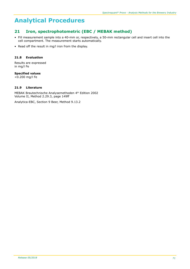# **21 Iron, spectrophotometric (EBC / MEBAK method)**

- Fill measurement sample into a 40-mm or, respectively, a 50-mm rectangular cell and insert cell into the cell compartment. The measurement starts automatically.
- Read off the result in mg/l iron from the display.

# **21.8 Evaluation**

Results are expressed in mg/l Fe

# **Specified values**

<0.200 mg/l Fe

## **21.9 Literature**

MEBAK Brautechnische Analysemethoden 4th Edition 2002 Volume II, Method 2.29.3, page 149ff

Analytica-EBC, Section 9 Beer, Method 9.13.2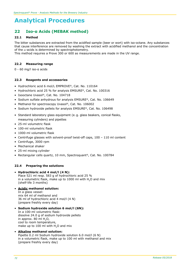# **22 Iso-α Acids (MEBAK method)**

## **22.1 Method**

The bitter substances are extracted from the acidified sample (beer or wort) with iso-octane. Any substances that cause interference are removed by washing the extract with acidified methanol and the concentration of the  $\alpha$ -acids is determined by spectrophotometry.

This method requires a Prove 300 or 600 as measurements are made in the UV range.

#### **22.2 Measuring range**

0 - 60 mg/l iso-α acids

#### **22.3 Reagents and accessories**

- Hydrochloric acid 6 mol/L EMPROVE®, Cat. No. 110164
- Hydrochloric acid 25 % for analysis EMSURE®, Cat. No. 100316
- Isooctane Uvasol®, Cat. No. 104718
- Sodium sulfate anhydrous for analysis EMSURE®, Cat. No. 106649
- Methanol for spectroscopy Uvasol®, Cat. No. 106002
- Sodium hydroxide pellets for analysis EMSURE®, Cat. No. 106498
- Standard laboratory glass equipment (e. g. glass beakers, conical flasks, measuring cylinders) and pipettes
- 25-ml volumetric flask
- 100-ml volumetric flask
- 1000-ml volumetric flask
- Centrifuge glasses with solvent-proof twist-off caps, 100 110 ml content
- Centrifuge, 3000 rpm
- Mechanical shaker
- 25-ml mixing cylinder
- Rectangular cells quartz, 10 mm, Spectroquant®, Cat. No. 100784

## **22.4 Preparing the solutions**

#### • **Hydrochloric acid 4 mol/l (4 N):**

Place 521 ml resp. 583 g of hydrochloric acid 25 % in a volumetric flask, make up to 1000 ml with  $H_2O$  and mix (shelf-life 3 months)

## • **Acidic methanol solution:**

In a glass vessel: mix 64 ml of methanol and 36 ml of hydrochloric acid 4 mol/l (4 N) (prepare freshly every day)

• **Sodium hydroxide solution 6 mol/l (6N):** In a 100-ml volumetric flask: dissolve 24.0 g of sodium hydroxide pellets in approx.  $80$  ml  $H<sub>2</sub>O$ , cool to room temperature, make up to 100 ml with H<sub>2</sub>O and mix

#### • **Alkaline methanol solution:**

Pipette 0.2 ml Sodium hydroxide solution 6.0 mol/l (6 N) in a volumetric flask, make up to 100 ml with methanol and mix (prepare freshly every day)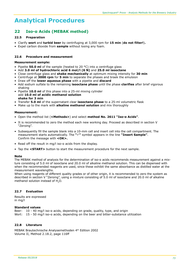# **22 Iso-α Acids (MEBAK method)**

## **22.5 Preparation**

- Clarify **wort** and **turbid beer** by centrifuging at 3,000 rpm for **15 min** (**do not filter!**)**.**
- Expel carbon dioxide from **sample** without losing any foam.

## **22.6 Procedure and measurement**

### **Measurement sample:**

- Pipette **50.0 ml** of the sample (heated to 20 °C) into a centrifuge glass
- Add **3.0 ml of hydrochloric acid 6 mol/l (6 N)** and **25.0 ml isooctane**
- Close centrifuge glass and **shake mechanically** at optimum mixing intensity for **30 min**
- Centrifuge at **3000 rpm** for **5 min** to separate the phases and braek the emulsion
- Draw off the **lower aqueous phase** with a pipette and **discard**
- Add sodium sulfate to the remaining **isooctane phase** until the phase **clarifies** after brief vigorous shaking
- Pipette **10.0 ml** of this phase into a 25-ml mixing cylinder add **10.0 ml of acidic methanol solution shake for 3 min**
- Transfer **5.0 ml** of the supernatant clear **isooctane phase** to a 25-ml volumetric flask
- Make up to the mark with **alkaline methanol solution** and mix thoroughly

#### **Measurement:**

- Open the method list (**<Methods>**) and select **method No. 2611 "Iso-α Acids"**.
- It is recommended to zero the method each new working day. Proceed as described in section V "Zeroing".
- Subsequently fill the sample blank into a 10-mm cell and insert cell into the cell compartment. The measurement starts automatically. The "v" symbol appears in the line "Insert Sample". Confirm the message with <OK>.
- Read off the result in mg/l iso-α acids from the display.
- Tap the **<START>** button to start the measurement procedure for the next sample.

#### **Note**

The MEBAK method of analysis for the determination of iso-α acids recommends measurement against a mixture consisting of 5.0 ml of isooctane and 20.0 ml of alkaline methanol solution. This can be dispensed with when the recommended reagents are used, since these exhibit the same absorbance as distilled water at the measurement wavelengths.

When using reagents of different quality grades or of other origin, it is recommended to zero the system as described in section V "Zeroing", using a mixture consisting of 5.0 ml of isooctane and 20.0 ml of alkaline methanol solution instead of H2O.

## **22.7 Evaluation**

Results are expressed in mg/l

#### **Standard values**

Beer: 10 - 40 mg/l iso-a acids, depending on grade, quality, type, and origin Wort: 15 - 50 mg/l iso-a acids, depending on the beer and bitter-substance utilization

#### **22.8 Literature**

MEBAK Brautechnische Analysemethoden 4th Edition 2002 Volume II, Method 2.18.2, page 116ff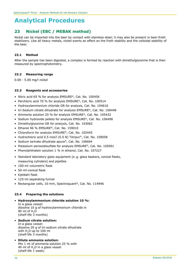# **23 Nickel (EBC / MEBAK method)**

Nickel can be imported into the beer by contact with stainless steel; it may also be present in beer-froth stabilizers. Like all heavy metals, nickel exerts an effect on the froth stability and the colloidal stability of the beer.

## **23.1 Method**

After the sample has been digested, a complex is formed by reaction with dimethylglyoxime that is then measured by spectrophotometry.

## **23.2 Measuring range**

0.00 - 5.00 mg/l nickel

### **23.3 Reagents and accessories**

- Nitric acid 65 % for analysis EMSURE®, Cat. No. 100456
- Perchloric acid 70 % for analysis EMSURE®, Cat. No. 100514
- Hydroxylammonium chloride GR for analysis, Cat. No. 104616
- tri-Sodium citrate dihydrate for analysis EMSURE®, Cat. No. 106448
- Ammonia solution 25 % for analysis EMSURE®, Cat. No. 105432
- Sodium hydroxide pellets for analysis EMSURE®, Cat. No. 106498
- Dimethylglyoxime GR for analysis, Cat. No. 103062
- Ethanol 96 % EMSURE®, Cat. No. 159010
- Chloroform for analysis EMSURE®, Cat. No. 102445
- Hydrochloric acid 0.5 mol/l (0.5 N) Titripur®, Cat. No. 109058
- Sodium tartrate dihydrate apura®, Cat. No. 106664
- Potassium peroxodisulfate for analysis EMSURE®, Cat. No. 105091
- Phenolphthalein solution 1 % in ethanol, Cat. No. 107227
- Standard laboratory glass equipment (e. g. glass beakers, conical flasks, measuring cylinders) and pipettes
- 100-ml volumetric flask
- 50-ml-conical flask
- Kjeldahl flask
- 125-ml separating funnel
- Rectangular cells, 10 mm, Spectroquant®, Cat. No. 114946

## **23.4 Preparing the solutions**

- • **Hydroxylammonium chloride solution 10 %:** In a glass vessel: dissolve 10 g of hydroxylammonium chloride in 90 ml of H<sub>2</sub>O (shelf-life 3 months)
- • **Sodium citrate solution:** In a glass vessel: dissolve 20 g of tri-sodium citrate dihydrate with H<sub>2</sub>O up to 100 ml (shelf-life 3 months)
- • **Dilute ammonia solution:** Mix 1 ml of ammonia solution 25 % with 49 ml of H<sub>2</sub>O in a glass vessel (shelf-life  $\overline{1}$  week)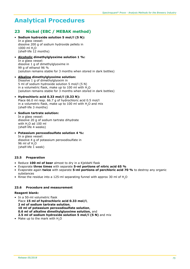# **23 Nickel (EBC / MEBAK method)**

• **Sodium hydroxide solution 5 mol/l (5 N):** In a glass vessel: dissolve 200 g of sodium hydroxide pellets in 1000 ml H2O (shelf-life 12 months)

## • **Alcoholic dimethylglyoxime solution 1 %:**

In a glass vessel: dissolve 1 g of dimethylglyoxime in 99 g of ethanol 96 % (solution remains stable for 3 months when stored in dark bottles)

• **Alkaline dimethylglyoxime solution:** Dissolve 1 g of dimethylglyoxim in 5 ml of sodium hydroxide solution 5 mol/l (5 N) in a volumetric flask, make up to 100 ml with  $H<sub>2</sub>O$ (solution remains stable for 3 months when stored in dark bottles)

#### • **Hydrochloric acid 0.33 mol/l (0.33 N):** Place 66.0 ml resp. 66.7 g of hydrochloric acid 0.5 mol/l

in a volumetric flask, make up to  $100$  ml with  $H<sub>2</sub>O$  and mix (shelf-life 3 months)

• **Sodium tartrate solution:**

In a glass vessel: dissolve 20 g of sodium tartrate dihydrate with  $H<sub>2</sub>O$  ad 100 ml (shelf-life 4 weeks)

### • **Potassium peroxodisulfate solution 4 %:**

In a glass vessel: dissolve 4 g of potassium peroxodisulfate in 96 ml of H2O (shelf-life  $\overline{1}$  week)

## **23.5 Preparation**

- Reduce **100 ml of beer** almost to dry in a Kjeldahl flask
- Evaporate **three times** with separate **5-ml portions of nitric acid 65 %**
- Evaporate again **twice** with separate **5-ml portions of perchloric acid 70 %** to destroy any organic substances
- Rinse the residue into a 125-ml separating funnel with approx 30 ml of H2O

## **23.6 Procedure and measurement**

#### **Reagent blank:**

- In a 50-ml volumetric flask Place **15 ml of hydrochloric acid 0.33 mol/l**, **2 ml of sodium tartrate solution**, **10 ml of potassium peroxodisulfate solution**, **0.6 ml of alkaline dimethylglyoxime solution,** and **2.5 ml of sodium hydroxide solution 5 mol/l (5 N)** and mix
- Make up to the mark with H<sub>2</sub>O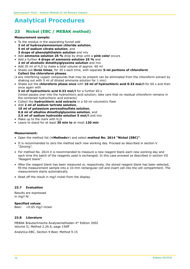# **23 Nickel (EBC / MEBAK method)**

#### **Measurement sample:**

- To the residue in the separating funnel add **2 ml of hydroxylammonium chloride solution**, **5 ml of sodium citrate solution**, and **3 drops of phenolphthalein solution** and mix
- Add **ammonia solution 25 %** drop by drop until a **pink color** occurs
- Add a further **4 drops of ammonia solution 25 %** and **2 ml of alcoholic dimethylglyoxime solution** and mix
- Add 20 ml of H<sub>2</sub>O to make a total volume of approx. 60 ml
- Shake out **three times**, for 30 s each time, with separate **5-ml portions of chloroform Collect the chloroform phases**
- (• any interfering copper compounds that may be present can be eliminated from the chloroform extract by shaking out with 5 ml of diluted ammonia solution for 1 min)
- Shake out the **chloroform phase once** with **10 ml of hydrochloric acid 0.33 mol/l** for 60 s and then once again with

**5 ml of hydrochloric acid 0.33 mol/l** for a further 60 s (nickel passes over into the hydrochloric acid solution; take care that no residual chloroform remains in the combined hydrochloric acid extracts)

- Collect the **hydrochloric acid extracts** in a 50-ml volumetric flask
- Add **2 ml of sodium tartrate solution**, **10 ml of potassium peroxodisulfate solution**, **0.6 ml of alkaline dimethylglyoxime solution**, and **2.5 ml of sodium hydroxide solution 5 mol/l** and mix
- Make up to the mark with H<sub>2</sub>O
- Leave to stand for at least **30 min to** at most **120 min**

### **Measurement:**

- Open the method list (**<Methods>**) and select **method No. 2614 "Nickel (EBC)"**.
- It is recommended to zero the method each new working day. Proceed as described in section V "Zeroing".
- For method No. 2614 it is recommended to measure a new reagent blank each new working day and each time the batch of the reagents used is exchanged. In this case proceed as described in section VII "Reagent blank".
- After the reagent blank has been measured or, respectively, the stored reagent blank has been selected, fill the measurement sample into a 10-mm rectangular cell and insert cell into the cell compartment. The measurement starts automatically.
- Read off the result in mg/l nickel from the display.

#### **23.7 Evaluation**

Results are expressed in mg/l Ni

**Specified values** Beer: <0.05 mg/l nickel

## **23.8 Literature**

MEBAK Brautechnische Analysemethoden 4th Edition 2002 Volume II, Method 2.26.6, page 156ff

Analytica-EBC, Section 9 Beer, Method 9.15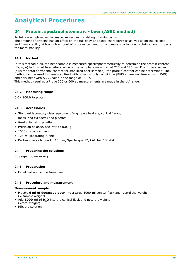# **24 Protein, spectrophotometric - beer (ASBC method)**

Proteins are high molecular macro molecules consisting of amino acids.

The amount of proteins has an effect on the full-body and taste characteristics as well as on the colloidal and foam stability. A too high amount of proteins can lead to haziness and a too low protein amount impairs the foam stability.

# **24.1 Method**

In this method a diluted beer sample is measured spectrophotometrically to determine the protein content (%, w/w) in finished beer. Absorbance of the sample is measured at 215 and 225 nm. From these values (plus the total polyphenol content for stabilized beer samples), the protein content can be determined. The method can be used for beer stabilized with polyvinyl polypyrrolidone (PVPP), beer not treated with PVPP, and dark beer with ASBC color in the range of 15 - 50.

This method requires a Prove 300 or 600 as measurements are made in the UV range.

### **24.2 Measuring range**

0.0 - 100.0 % protein

### **24.3 Accessories**

- Standard laboratory glass equipment (e. g. glass beakers, conical flasks, measuring cylinders) and pipettes
- 6-ml volumetric pipette
- Precision balance, accurate to 0.01 g
- 1000-ml-conical flask
- 125-ml separating funnel
- Rectangular cells quartz, 10 mm, Spectroquant®, Cat. No. 100784

## **24.4 Preparing the solutions**

No preparing necessary

#### **24.5 Preparation**

• Expel carbon dioxide from beer

#### **24.6 Procedure and measurement**

#### **Measurement sample:**

- Pipette **6 ml of degassed beer** into a tared 1000-ml conical flask and record the weight  $( =$  sample weight)
- Add **1000 ml of H2O** into the conical flask and note the weight
- (=total weight)
- **Mix** the solution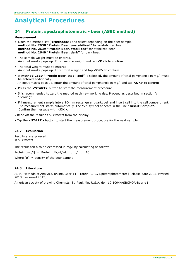# **24 Protein, spectrophotometric - beer (ASBC method)**

#### **Measurement:**

- Open the method list (**<Methods>**) and select depending on the beer sample **method No. 2638 "Protein Beer, unstabilized"** for unstabilized beer **method No. 2639 "Protein Beer, stabilized"** for stabilized beer **method No. 2640 "Protein Beer, dark"** for dark beer.
- The sample weight must be entered. An input masks pops up. Enter sample weight and tap **<OK>** to confirm
- The total weight must be entered. An input masks pops up. Enter total weight and tap **<OK>** to confirm
- If **method 2639 "Protein Beer, stabilized"** is selected, the amount of total polyphenols in mg/l must be entered additionally. An input masks pops up. Enter the amount of total polyphenols in mg/l and tap **<OK>** to confirm
- Press the **<START>** button to start the measurement procedure
- It is recommended to zero the method each new working day. Proceed as described in section V "Zeroing".
- Fill measurement sample into a 10-mm rectangular quartz cell and insert cell into the cell compartment. The measurement starts automatically. The **"**ü**"** symbol appears in the line **"Insert Sample"**. Confirm the message with **<OK>**.
- Read off the result as % (wt/wt) from the display.
- Tap the **<START>** button to start the measurement procedure for the next sample.

### **24.7 Evaluation**

Results are expressed in  $% (wt/wt)$ 

The result can also be expressed in mg/l by calculating as follows:

Protein  $[mq/l]$  = Protein  $[\%$ , wt/wt $] \cdot p$   $[q/ml] \cdot 10$ 

Where " $\rho$ " = density of the beer sample

#### **24.8 Literature**

ASBC Methods of Analysis, online, Beer-11, Protein, C. By Spectrophotometer [Release date 2005, revised 2013, reviewed 2015].

American society of brewing Chemists, St. Paul, Mn, U.S.A. doi: 10.1094/ASBCMOA-Beer-11.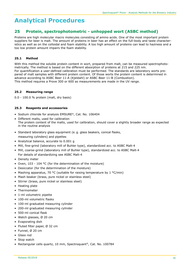# **25 Protein, spectrophotometric - unhopped wort (ASBC method)**

Proteins are high molecular macro molecules consisting of amino acids. One of the most important protein suppliers for beer is malt. The amount of proteins in beer has an effect on the full-body and taste characteristics as well as on the colloidal and foam stability. A too high amount of proteins can lead to haziness and a too low protein amount impairs the foam stability.

# **25.1 Method**

With this method the soluble protein content in wort, prepared from malt, can be measured spectrophotometrically. The method is based on the different absorption of proteins at 215 and 225 nm. For quantification a user-defined calibration must be performed. The standards are laboratory worts prepared of malt samples with different protein content. Of those worts the protein content is determined in advance according to ASBC Beer 11-A (Kjeldahl) or ASBC Beer 11-B (Combustion). This method requires a Prove 300 or 600 as measurements are made in the UV range.

## **25.2 Measuring range**

0.0 - 100.0 % protein (malt, dry basis)

### **25.3 Reagents and accessories**

- Sodium chloride for analysis EMSURE®, Cat. No. 106404
- Different malts, used for calibration The protein content of the malts, used for calibration, should cover a slightly broader range as expected in the routine analysis
- Standard laboratory glass equipment (e. g. glass beakers, conical flasks, measuring cylinders) and pipettes
- Analytical balance, accurate to 0.001 g
- Mill, fine-grind (laboratory mill of Buhler type), standardized acc. to ASBC Malt-4
- Mill, coarse-grind (laboratory mill of Buhler type), standardized acc. to ASBC Malt-4 For details of standardizing see ASBC Malt-4
- Density meter
- Oven, 103 104 °C (for the determination of the moisture)
- Desiccator (for the determination of the moisture)
- Mashing apparatus, 70 °C (suitable for raising temperature by  $1 °C/min$ )
- Mash beaker (brass, pure nickel or stainless steel)
- Stirrer (brass, pure nickel or stainless steel)
- Heating plate
- Thermometer
- 1-ml volumetric pipette
- 100-ml volumetric flasks
- 100-ml graduated measuring cylinder
- 200-ml graduated measuring cylinder
- 500-ml conical flask
- Watch glasses, Ø 20 cm
- Evaporating dish
- Fluted filter paper, Ø 32 cm
- Funnel, Ø 20 cm
- Glass rod
- Stop watch
- Rectangular cells quartz, 10 mm, Spectroquant®, Cat. No. 100784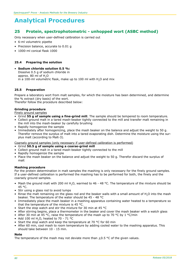# **25 Protein, spectrophotometric - unhopped wort (ASBC method)**

Only necessary when user-defined calibration is carried out

- 6-ml volumetric pipette
- Precision balance, accurate to 0.01 g
- 1000-ml conical flask 1000

#### **25.4 Preparing the solution**

• **Sodium chloride solution 0.5 %:** Dissolve 0.5 g of sodium chloride in approx. 80 ml of H<sub>2</sub>O in a 100-ml volumetric flask, make up to 100 ml with H<sub>2</sub>O and mix

### **25.5 Preparation**

Prepare a laboratory wort from malt samples, for which the moisture has been determined, and determine the % extract (dry basis) of the wort.

Therefor follow the procedure described below:

#### **Grinding procedure**

Finely ground samples

- Grind **55 g of sample using a fine-grind mill**. The sample should be tempered to room temperature.
- Collect ground malt in a tared mash-beaker tightly connected to the mill and transfer malt remaining in the mill into the mash-beaker by carefully brushing
- Rapidly homogenize the sample
- Immediately after homogenizing, place the mash beaker on the balance and adjust the weight to 50 g. Therefor remove the surplus of malt into a tared evaporating dish. Determine the moisture using the surplus malt (according to Malt-3).

Coarsely ground samples (only necessary if user-defined calibration is performed)

- Grind **50.5 g of sample using a coarse-grind mill**
- Collect ground malt in a tared mash-beaker tightly connected to the mill
- Rapidly homogenize the sample
- Place the mash beaker on the balance and adjust the weight to 50 g. Therefor discard the surplus of malt

#### **Mashing procedure**

For the protein determination in malt samples the mashing is only necessary for the finely ground samples. If a user-defined calibration is performed the mashing has to be performed for both, the finely and the coarsely ground samples.

- Mash the ground malt with 200 ml H<sub>2</sub>O, warmed to 46 48 °C. The temperature of the mixture should be 45 °C.
- Stir using a glass rod to avoid lumps
- Rinse the malt remaining on the glass rod and the beaker walls with a small amount of H<sub>2</sub>O into the mash beaker. The temperature of the water should be 45 - 48 °C
- Immediately place the mash beaker in a mashing apparatus containing water heated to a temperature so that the temperature of the mixture is 45 °C.
- Start the stop watch and stir the mixture for 30 min at 45 °C
- After stirring begins, place a thermometer in the beaker and cover the mash beaker with a watch glass
- After 30 min at 45 °C, raise the temperature of the mash up to 70 °C by 1 °C/min
- Add 100 ml H<sub>2</sub>O, heated to 70 71 °C
- Start the stop watch and keep the temperature at 70 °C for 60 min
- After 60 min, cool mash to room temperature by adding cooled water to the mashing apparatus. This should take between 10 - 15 min.

#### **Note**

The temperature of the mash may not deviate more than  $\pm 0.5$  °C of the given values.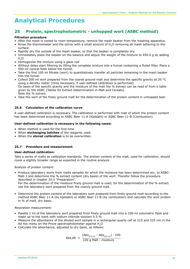# **25 Protein, spectrophotometric - unhopped wort (ASBC method)**

#### **Filtration procedure**

- After the mash is cooled to room temperature, remove the mash beaker from the mashing apparatus.
- Rinse the thermometer and the stirrer with a small amount of H2O removing all mash adhering to the surface.
- Rapidly dry the outside of the mash beaker, so that the beaker is completely dry.
- Immediately place the beaker on the balance and adjust the weight of the mixture to 450.0 g by adding  $H<sub>2</sub>O$
- Homogenize the mixture using a glass rod
- Without delay start filtering by filling the complete mixture into a funnel containing a fluted filter. Place a 500-ml conical flask below the funnel.
- Take the first 100 ml filtrate (wort) to quantitatively transfer all particles remaining in the mash beaker into the funnel
- Collect 200 ml wort prepared from the coarse ground malt and determine the specific gravity at 20 °C using a density meter. (Only necessary, if user-defined calibration is performed) On basis of the specific gravity and the moisture of the malt the % extract can be read of from a table given by the ASBC (Tables for Extract Determination in Malt and Cereals). Note the % extract.
- Take the wort of the finely ground malt for the determination of the protein content in unhopped beer.

### **25.6 Calculation of the calibration curve**

A user-defined calibration is necessary. The calibration is performed with malt of which the protein content has been determined according to ASBC Beer 11-A (Kjeldahl) or ASBC Beer 11-B (Combustion).

#### **User-defined calibration is necessary in the following cases:**

- When method is used for the first time
- When **exchanging batches** of the reagents used.
- When the **stored calibration** is to be overwritten.

## **25.7 Procedure and measurement**

#### **User-defined calibration:**

Take a series of malts as calibration standards. The protein content of the malt, used for calibration, should cover a slightly broader range as expected in the routine analysis.

Analysis of protein content:

• Produce laboratory worts from malts samples for which the moisture has been determined acc. to ASBC-Malt-3 and determine the % extract content (dry basis) of the wort. Therefor follow the procedure described in chapter 25.5 "Preparation".

For the determination of the moisture finely ground malt is used, for the determination of the % extract use the laboratory wort prepared from the coarsly ground malt.

• Determine the protein content of the laboratory wort prepared from finely ground malt according to the method ASBC Beer 11-A (by Kjeldahl) or ASBC Beer 11-B (by combustion) and calculate the wort protein in % of malt, dry basis.

#### Absorption measurement:

- Pipette 1 ml of the laboratory wort prepared from finely ground malt into a 100-ml volumetric flask and make up to the mark with sodium chloride solution 0.5 %
- Measure the absorbance of the diluted wort sample in a rectangular quartz cell at 215 and 225 nm in the Ad hoc menu on the Prove spectrophotometer against H<sub>2</sub>O
- Calculate the absorbance, adjusted to dry basis, as follows:

 $\mathsf{Abs, db} = \frac{(\mathsf{Abs}_{215 \text{ nm}} - \mathsf{Abs}_{225 \text{ nm}}) \cdot 100}{\mathsf{A \cdot \mathsf{D \cdot \mathsf{A \cdot \mathsf{A \cdot \mathsf{A \cdot \mathsf{A \cdot \mathsf{A \cdot \mathsf{A \cdot \mathsf{A \cdot \mathsf{A \cdot \mathsf{A \cdot \mathsf{A \cdot \mathsf{A \cdot \mathsf{A \cdot \mathsf{A \cdot \mathsf{A \cdot \mathsf{A \cdot \mathsf{A \cdot \mathsf{A \cdot \mathsf{A \cdot \mathsf{A \cdot \mathsf{A \cdot \mathsf{A \cdot \mathsf{A \cdot \mathsf$ 100 g Malt - moisture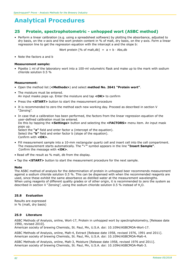# **25 Protein, spectrophotometric - unhopped wort (ASBC method)**

• Perform a linear calibration (e.g. using a spreadsheet software) by plotting the absorbance, adjusted to dry basis, on the x-axis and the wort protein content in % of malt, dry basis, on the y-axis. Form a linear regression line to get the regression equation with the intercept a and the slope b:

Wort protein  $[% \circ f \circ m]$  = a + b ⋅ Abs,db

• Note the factors a and b

#### **Measurement sample:**

• Pipette 1 ml of the laboratory wort into a 100-ml volumetric flask and make up to the mark with sodium chloride solution 0.5 %

#### **Measurement:**

- Open the method list (**<Methods>**) and select **method No. 2641 "Protein wort"**.
- The moisture must be entered. An input masks pops up. Enter the moisture and tap **<OK>** to confirm
- Press the **<START>** button to start the measurement procedure
- It is recommended to zero the method each new working day. Proceed as described in section V "Zeroing".
- In case that a calibration has been performed, the factors from the linear regression equation of the user-defined calibration must be entered. Do this by tapping the **<Settings>** button and selecting the **<FACTORS>** menu item. An input mask pops up. Select the **"a"** field and enter factor a (intercept of the equation). Select the **"b"** field and enter factor b (slope of the equation). Confirm with **<OK>**.
- Fill measurement sample into a 10-mm rectangular quartz cell and insert cell into the cell compartment. The measurement starts automatically. The **"**ü**"** symbol appears in the line **"Insert Sample"**. Confirm the message with **<OK>**.
- Read off the result as % malt, db from the display.
- Tap the **<START>** button to start the measurement procedure for the next sample.

#### **Note**

The ASBC method of analysis for the determination of protein in unhopped beer recommends measurement against a sodium chloride solution 0.5 %. This can be dispensed with when the recommended reagents are used, since these exhibit the same absorbance as distilled water at the measurement wavelengths. When using reagents of different quality grades or of other origin, it is recommended to zero the system as described in section V "Zeroing", using the sodium chloride solution 0.5 % instead of H<sub>2</sub>O.

#### **25.8 Evaluation**

Results are expressed in % (malt, dry basis)

#### **25.9 Literature**

ASBC Methods of Analysis, online, Wort-17, Protein in unhopped wort by spectrophotometry, [Release date 1990, revised 2010].

American society of brewing Chemists, St. Paul, Mn, U.S.A. doi: 10.1094/ASBCMOA-Wort-17.

ASBC Methods of Analysis, online, Malt-4, Extract [Release date 1958, revised 1976, 1991 and 2011]. American society of brewing Chemists, St. Paul, Mn, U.S.A. doi: 10.1094/ASBCMOA-Malt-4.

ASBC Methods of Analysis, online, Malt-3, Moisture [Release date 1958, revised 1976 and 2011]. American society of brewing Chemists, St. Paul, Mn, U.S.A. doi: 10.1094/ASBCMOA-Malt-3.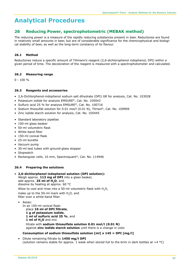# **26 Reducing Power, spectrophotometric (MEBAK method)**

The reducing power is a measure of the rapidly reducing substances present in beer. Reductones are found in relatively small amounts in beer, but are of considerable significance for the chemicophysical and biological stability of beer, as well as the long-term constancy of its flavour.

# **26.1 Method**

Reductones reduce a specific amount of Tillmann's reagent (2,6-dichlorophenol indophenol, DPI) within a given period of time. The decoloration of the reagent is measured with a spectrophotometer and calculated.

# **26.2 Measuring range**

 $0 - 100 %$ 

## **26.3 Reagents and accessories**

- 2,6-Dichlorphenol-indophenol sodium salt dihydrate (DPI) GR for analysis, Cat. No. 103028
- Potassium iodide for analysis EMSURE®, Cat. No. 105043
- Sulfuric acid 25 % for analysis EMSURE®, Cat. No. 100716
- Sodium thiosulfat solution for 0.01 mol/l (0.01 N), Titrisol®, Cat. No. 109909
- Zinc iodide starch solution for analysis, Cat. No. 105445
- Standard laboratory pipettes
- 100-ml glass beaker
- 50-ml volumetric flask
- White-band filter
- 150-ml conical flask
- 25-ml burette
- Vacuum pump
- 30-ml test tubes with ground-glass stopper
- Stopwatch
- Rectangular cells, 10 mm, Spectroquant®, Cat. No. 114946

## **26.4 Preparing the solutions**

• **2,6-dichlorphenol indophenol solution (DPI solution):** Weigh approx. **113 mg of DPI** into a glass beaker, add approx. **25 ml of H2O**, and dissolve by heating at approx. 60 °C Allow to cool and rinse into a 50-ml volumetric flask with  $H_2O$ ,

make up to the 50-ml mark with  $H_2O$ , and filter over a white-band filter.

• Assay: In an 150-ml conical flask: place **10 ml of DPI filtrate**, **1 g of potassium iodide**, **1 ml of sulfuric acid 25 %**, and **1 ml of H2O** and mix

 titrate with **sodium thiosulfate solution 0.01 mol/l (0.01 N)** against **zinc iodide starch solution** until there is a change in color

## **Consumption of sodium thiosulfate solution [ml] x 145 = DPI [mg/l]**

• Dilute remaining filtrate to **1450 mg/l DPI** (solution remains stable for approx. 1 week when stored full to the brim in dark bottles at  $+4$  °C)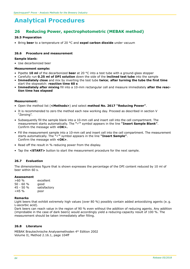# **26 Reducing Power, spectrophotometric (MEBAK method)**

#### **26.5 Preparation**

• Bring **beer** to a temperature of 20 °C and **expel carbon dioxide** under vacuum

#### **26.6 Procedure and measurement**

#### **Sample blank:**

• Use decarbonized beer

#### **Measurement sample:**

- Pipette **10 ml** of the decarbonized **beer** at 20 °C into a test tube with a ground-glass stopper
- Carefully run **0.25 ml of DPI solution** down the side of the **inclined test tube** into the sample
- **Immediately close** and mix by inverting the test tube **twice**; **after turning the tube the first time** start the stopwatch: **reaction time 60 s**
- **Immediately after mixing** fill into a 10-mm rectangular cell and measure immediately **after the reac tion time has elapsed**

#### **Measurement:**

- Open the method list (**<Methods>**) and select **method No. 2617 "Reducing Power"**.
- It is recommended to zero the method each new working day. Proceed as described in section V "Zeroing".
- Subsequently fill the sample blank into a 10-mm cell and insert cell into the cell compartment. The measurement starts automatically. The **"**ü**"** symbol appears in the line **"Insert Sample Blank"**. Confirm the message with **<OK>.**
- Fill the measurement sample into a 10-mm cell and insert cell into the cell compartment. The measurement starts automatically. The **"**ü**"** symbol appears in the line **"Insert Sample"**. Confirm the message with **<OK>**.
- Read off the result in % reducing power from the display.
- Tap the **<START>** button to start the measurement procedure for the next sample.

#### **26.7 Evaluation**

The dimensionless figure that is shown expresses the percentage of the DPI content reduced by 10 ml of beer within 60 s.

#### **Assessment**

| >60%        | excellent    |
|-------------|--------------|
| $50 - 60 %$ | good         |
| 45 - 50 %   | satisfactory |
| $<$ 45 %    | poor         |

#### **Remarks**

Light beers that exhibit extremely high values (over 80 %) possibly contain added antoxidizing agents (e. g. L-ascorbic acid).

Dark beers can reach value in the region of 90 % even without the addition of reducing agents. Any addition (improbable in the case of dark beers) would accordingly yield a reducing-capacity result of 100 %. The measurement should be taken immediately after filling.

#### **26.8 Literature**

MEBAK Brautechnische Analysemethoden 4th Edition 2002 Volume II, Method 2.16.1, page 104ff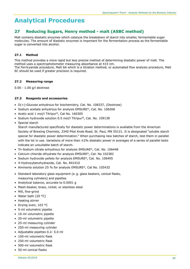# **27 Reducing Sugars, Henry method - malt (ASBC method)**

Malt contains diastatic enzymes which catalyze the breakdown of starch into smaller, fermentable sugar molecules. The amount of diastatic enzymes is important for the fermentation process as the fermentable sugar is converted into alcohol.

# **27.1 Method**

This method provides a more rapid but less precise method of determining diastatic power of malt. The method uses a spectrophotometer measuring absorbance at 415 nm.

The Ferricyanide procedure, Malt 6A which is a titration method, or automated flow analysis procedure, Malt 6C should be used if greater precision is required.

## **27.2 Measuring range**

0.00 - 1.00 g/l dextrose

## **27.3 Reagents and accessories**

- D(+)-Glucose anhydrous for biochemistry, Cat. No. 108337, (Dextrose)
- Sodium acetate anhydrous for analysis EMSURE®, Cat. No. 106268
- Acetic acid 1 mol/l Titripur®, Cat No. 160305
- Sodium hydroxide solution 0.5 mol/l Titripur®, Cat. No. 109138
- Special starch

Starch manufactured specifically for diastatic power determinations is available from the American Society of Brewing Chemists, 3340 Pilot Knob Road, St. Paul, MN 55121. It is designated "soluble starch special for diastatic power determination." When purchasing new batches of starch, test them in parallel with the lot in use. Variations of more than  $\pm 2\%$  diastatic power in averages of a series of parallel tests indicate an unsuitable batch of starch.

- Tri-Sodium citrate anhydrous for analysis EMSURE®, Cat. No. 106448
- Calcium chloride dihydrate for analysis EMSURE®, Cat. No 102382
- Sodium hydroxide pellets for analysis EMSURE®, Cat. No. 106495
- 4-Hydroxybenzhydrazide, Cat. No. 841410
- Ammonia solution 25 % for analysis EMSURE®, Cat No. 105432
- Standard laboratory glass equipment (e. g. glass beakers, conical flasks, measuring cylinders) and pipettes
- Analytical balance, accurate to 0.0001 g
- Mash-beaker, brass, nickel, or stainless steal
- Mill, fine-grind
- Water bath (20 °C)
- Heating stirrer
- Drying oven, 103 °C
- 5-ml volumetric pipette
- 10-ml volumetric pipette
- 20-ml volumetric pipette
- 25-ml measuring cylinder
- 250-ml measuring cylinder
- Adjustable pipettes 0.2- 5.0 ml
- 100-ml volumetric flask
- 250-ml volumetric flask
- 500-ml volumetric flask
- 50-ml conical flasks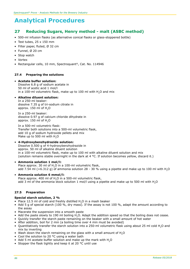# **27 Reducing Sugars, Henry method - malt (ASBC method)**

- 500-ml infusion flasks (as alternative conical flasks or glass-stoppered bottle)
- Test tubes, 25 x 150 mm
- Filter paper, fluted, Ø 32 cm
- Funnel, Ø 20 cm
- Stop watch
- Vortex
- Rectangular cells, 10 mm, Spectroquant®, Cat. No. 114946

## **27.4 Preparing the solutions**

#### • **Acetate buffer solution:**

Dissolve 6.8 g of sodium acetate in 50 ml of acetic acid 1 mol/l in a 100-ml volumetric flask, make up to 100 ml with  $H<sub>2</sub>O$  and mix

### • **Alkaline diluent solution:**

In a 250-ml beaker: dissolve 7.35 g of tri-sodium citrate in approx.  $150$  ml of  $H<sub>2</sub>O$ 

In a 250-ml beaker: dissolve 0.97 g of calcium chloride dihydrate in approx. 150 ml of H<sub>2</sub>O

In a 500-ml volumetric flask: Transfer both solutions into a 500-ml volumetric flask, add 10 g of sodium hydroxide pellets and mix Make up to 500 ml with H<sub>2</sub>O

#### • **4-Hydroxybenzhydrazide solution:** Dissolve 0.500 g of 4-hydroxybenzhydrazide in approx. 50 ml of alkaline diluent solution in a 100-ml volumetric flask, make up to 100 ml with alkaline diluent solution and mix (solution remains stable overnight in the dark at 4 °C. If solution becomes yellow, discard it.)

#### • **Ammonia solution 1 mol/l:**

Place approx. 30 ml of H<sub>2</sub>O in a 100-ml volumetric flask, add 7.54 ml  $(=6.312 \text{ g})$  of ammonia solution 28 - 30 % using a pipette and make up to 100 ml with H<sub>2</sub>O

#### • **Ammonia solution 6 mmol/l:**

Place approx. 400 ml of H<sub>2</sub>O in a 500-ml volumetric flask, add 3 ml of the ammonia stock solution 1 mol/l using a pipette and make up to 500 ml with H<sub>2</sub>O

## **27.5 Preparation**

#### **Special starch solution, 2 %**

- Place 12.5 ml of cold and freshly distilled  $H_2O$  in a mash beaker<br>• Add 5.9 of special starch (100 % dry mass). If the assay is not
- Add 5 g of special starch (100 %, dry mass). If the assay is not 100 %, adapt the amount according to the assay
- Macerate the suspension into a smooth paste
- Add the paste slowly to 190 ml boiling H<sub>2</sub>O. Adapt the addition speed so that the boiling does not cease.
- Quickly transfer the starch paste remaining on the beaker with a small amount of hot water
- After addition, boil for 2 min (a boiling time over 4 min must be avoided)
- Quantitatively transfer the starch solution into a 250-ml volumetric flask using about 25 ml cold H2O and mix by inverting
- Wash down the starch remaining on the glass with a small amount of H<sub>2</sub>O
- Cool the solution to 20 °C using a water bath
- Add 5 ml acetate buffer solution and make up the mark with H<sub>2</sub>O
- Stopper the flask tightly and keep it at 20 °C until use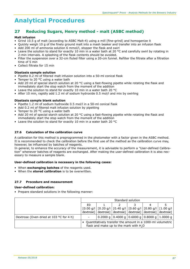# **27 Reducing Sugars, Henry method - malt (ASBC method)**

### **Malt infusion**

- Grind 10.5 g of malt (according to ASBC Malt-4) using a mill (fine-grind) and homogenize it
- Quickly weigh 10 g of the finely ground malt into a mash beaker and transfer into an infusion flask
- Add 200 ml of ammonia solution 6 mmol/l, stopper the flask and swirl
- Leave the solution to stand for exactly 10 min in a water bath at 20  $^{\circ}$ C and carefully swirl by rotating in 2-min intervals. A splashing of the flask contents should be avoided.
- Filter the suspension over a 32-cm fluted filter using a 20-cm funnel. Refilter the filtrate after a filtration time of 5 min
- Collect filtrate for 15 min

### **Diastasis sample solution**

- Pipette 0.2 ml of filtered malt infusion solution into a 50-ml conical flask
- Temper to 20 °C using a water bath
- Add 20 ml of special starch solution at 20 °C using a fast-flowing pipette while rotating the flask and immediately start the stop watch from the moment of the addition
- Leave the solution to stand for exactly 10 min in a water bath 20 °C
- After 10 min, rapidly add 1.2 ml of sodium hydroxide 0.5 mol/l and mix by swirling

### **Diastasis sample blank solution**

- Pipette 1.2 ml of sodium hydroxide 0.5 mol/l in a 50-ml conical flask
- Add 0.2 ml of filtered malt infusion solution by pipetting
- Temper to 20 $\degree$ C using a water bath
- Add 20 ml of special starch solution at 20 °C using a fast-flowing pipette while rotating the flask and immediately start the stop watch from the moment of the addition
- Leave the solution to stand for exactly 10 min in a water bath 20 °C

## **27.6 Calculation of the calibration curve**

A calibration for this method is preprogrammed in the photometer with a factor given in the ASBC method. It is recommended to check the calibration before the first use of the method as the calibration curve may, however, be influenced by batches of reagents.

In general, to enhance the accuracy of the measurement, it is advisable to perform a "User-defined Calibration" whenever batches of reagents are exchanged. After making the user-defined calibration it is also necessary to measure a sample blank.

#### **User-defined calibration is necessary in the following cases:**

- When **exchanging batches** of the reagents used.
- When the **stored calibration** is to be overwritten.

## **27.7 Procedure and measurement**

#### **User-defined calibration:**

• Prepare standard solutions in the following manner:

|                                         | Standard solution |  |  |                                          |                                                                                                                           |  |
|-----------------------------------------|-------------------|--|--|------------------------------------------|---------------------------------------------------------------------------------------------------------------------------|--|
|                                         | E0                |  |  |                                          |                                                                                                                           |  |
|                                         |                   |  |  |                                          | $[0.00 \text{ g/l}   [0.20 \text{ g/l}   [0.40 \text{ g/l}   [0.60 \text{ g/l}   [0.80 \text{ g/l}   [1.00 \text{ g/l}  $ |  |
|                                         |                   |  |  |                                          | dextrose]   dextrose]   dextrose]   dextrose]   dextrose]   dextrose]                                                     |  |
| Dextrose (Oven dried at 103 °C for 4 h) |                   |  |  |                                          | 0.2000 g   0.4000 g   0.6000 g   0.8000 g   1.0000 g                                                                      |  |
|                                         |                   |  |  | flask and make up to the mark with $H2O$ | • Quantitatively transfer the amount in a 1000-ml volumetric                                                              |  |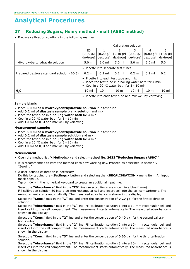# **27 Reducing Sugars, Henry method - malt (ASBC method)**

• Prepare calibration solutions in the following manner:

|                                            |                                                                                                                                               | Calibration solution    |                          |                         |                          |                         |
|--------------------------------------------|-----------------------------------------------------------------------------------------------------------------------------------------------|-------------------------|--------------------------|-------------------------|--------------------------|-------------------------|
|                                            | E0                                                                                                                                            |                         | 2                        | 3                       | 4                        | 5                       |
|                                            | [0.00 g/l]<br>dextrosel                                                                                                                       | [0.20 g/l]<br>dextrosel | $[0.40$ g/l<br>dextrosel | [0.60 g/l]<br>dextrosel | $[0.80$ q/l<br>dextrose] | [1.00 g/l]<br>dextrose] |
| 4-Hydroxybenzhydrazide solution            | $5.0$ ml                                                                                                                                      | $5.0 \text{ ml}$        | $5.0$ ml                 | $5.0 \text{ ml}$        | $5.0 \text{ ml}$         | $5.0 \text{ ml}$        |
|                                            | • Pipette into separate test tubes                                                                                                            |                         |                          |                         |                          |                         |
| Prepared dextrose standard solution (E0-5) | $0.2$ ml                                                                                                                                      | $0.2$ ml                | $0.2$ ml                 | $0.2$ ml                | $0.2$ ml                 | $0.2$ ml                |
|                                            | • Pipette into each test tube and mix<br>Place the test tube in a boiling water bath for 4 min<br>• Cool in a 20 °C water bath for 5 - 10 min |                         |                          |                         |                          |                         |
| H <sub>2</sub> O                           | $10 \text{ ml}$                                                                                                                               | $10 \mathrm{m}$         | $10 \text{ ml}$          | $10 \mathrm{m}$         | $10 \mathrm{ml}$         | $10 \mathrm{m}$         |
|                                            | • Pipette into each test tube and mix well by vortexing                                                                                       |                         |                          |                         |                          |                         |

### **Sample blank:**

- Place **5.0 ml of 4-hydroxybenzhydrazide solution** in a test tube
- Add **0.2 ml of diastasis sample blank solution** and mix
- Place the test tube in a **boiling water bath** for 4 min
- Cool in a 20 °C water bath for 5 10 min
- Add **10 ml of H2O** and mix well by vortexing

#### **Measurement sample:**

- Place **5.0 ml of 4-hydroxybenzhydrazide solution** in a test tube
- Add **0.2 ml of diastasis sample solution** and mix
- Place the test tube in a **boiling water bath** for 4 min
- Cool in a 20 °C water bath for 5 10 min
- Add **10 ml of H2O** and mix well by vortexing

## **Measurement:**

- Open the method list (**<Methods>**) and select **method No. 2632 "Reducing Sugars (ASBC)"**.
- It is recommended to zero the method each new working day. Proceed as described in section V "Zeroing".
- A user-defined calibration is necessary.

Do this by tapping the **<Settings>** button and selecting the **<RECALIBRATION>** menu item. An input mask pops up.

Tap on **<+>** in the numerical keyboard to create an additional input line.

Select the **"Absorbance"** field in the **"E0"** line (selected fields are shown in a blue frame). Fill calibration solution E0 into a 10-mm rectangular cell and insert cell into the cell compartment. The measurement starts automatically. The measured absorbance is shown in the display.

Select the **"Conc."** field in the **"1"** line and enter the concentration of **0.20 g/l** for the first calibration solution.

Select the **"Absorbance"** field in the **"1"** line. Fill calibration solution 1 into a 10-mm rectangular cell and insert cell into the cell compartment. The measurement starts automatically. The measured absorbance is shown in the display.

Select the **"Conc."** field in the **"2"** line and enter the concentration of **0.40 g/l** for the second calibration solution.

Select the **"Absorbance"** field in the **"2"** line. Fill calibration solution 2 into a 10-mm rectangular cell and insert cell into the cell compartment. The measurement starts automatically. The measured absorbance is shown in the display.

Select the **"Conc."** field in the **"3"** line and enter the concentration of **0.60 g/l** for the third calibration solution.

Select the **"Absorbance"** field in the **"3"** line. Fill calibration solution 3 into a 10-mm rectangular cell and insert cell into the cell compartment. The measurement starts automatically. The measured absorbance is shown in the display.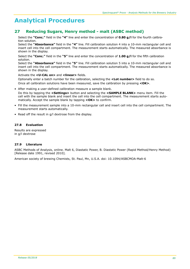# **27 Reducing Sugars, Henry method - malt (ASBC method)**

Select the **"Conc."** field in the **"4"** line and enter the concentration of **0.80 g/l** for the fourth calibration solution.

Select the **"Absorbance"** field in the **"4"** line. Fill calibration solution 4 into a 10-mm rectangular cell and insert cell into the cell compartment. The measurement starts automatically. The measured absorbance is shown in the display.

Select the **"Conc."** field in the **"5"** line and enter the concentration of **1.00 g/l** for the fifth calibration solution.

Select the **"Absorbance"** field in the **"5"** line. Fill calibration solution 5 into a 10-mm rectangular cell and insert cell into the cell compartment. The measurement starts automatically. The measured absorbance is shown in the display.

Activate the **<U-CAL on>** and **<linear>** fields.

Optionally enter a batch number for the calibration, selecting the **<Lot number>** field to do so. Once all calibration solutions have been measured, save the calibration by pressing **<OK>**.

- After making a user-defined calibration measure a sample blank. Do this by tapping the **<Settings>** button and selecting the **<SAMPLE BLANK>** menu item. Fill the cell with the sample blank and insert the cell into the cell compartment. The measurement starts automatically. Accept the sample blank by tapping **<OK>** to confirm.
- Fill the measurement sample into a 10-mm rectangular cell and insert cell into the cell compartment. The measurement starts automatically.
- Read off the result in g/l dextrose from the display.

# **27.8 Evaluation**

Results are expressed in g/l dextrose

## **27.9 Literature**

ASBC Methods of Analysis, online. Malt 6, Diastatic Power, B. Diastatic Power (Rapid Method/Henry Method) [Release date 1991, revised 2010].

American society of brewing Chemists, St. Paul, Mn, U.S.A. doi: 10.1094/ASBCMOA-Malt-6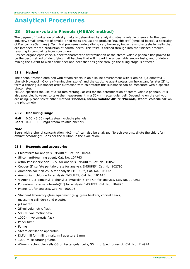# **28 Steam-volatile Phenols (MEBAK method)**

The degree of fumigation of whisky malts is determined by analyzing steam-volatile phenols. In the beer industry, small amounts of smoke-dried malts are used to produce "Rauchbiere" (smoked beers), a specialty of Franconia (Germany). Technical problems during kilning can, however, impart a smoky taste to malts that are intended for the production of normal beers. This taste is carried through into the finished product, resulting in complaints from consumers.

Besides organoleptic checks, spectrophotometric determination of the steam-volatile phenols has proved to be the best method of identifying malt batches that will impart the undesirable smoky taste, and of determining the extent to which tank beer and beer that has gone through the filling stage is affected.

### **28.1 Method**

The phenol fraction obtained with steam reacts in an alkaline environment with 4-amino-2,3-dimethyl-1 phenyl-3-pyrazolin-5-one (4-aminophenazone) and the oxidizing agent potassium hexacyanoferrate(III) to form a coloring substance; after extraction with chloroform this substance can be measured with a spectrophotometer.

MEBAK specifies the use of a 40-mm rectangular cell for the determination of steam-volatile phenols. It is also possible, however, to take the measurement in a 50-mm rectangular cell. Depending on the cell you are using, please select either method "**Phenols, steam-volatile 40**" or "**Phenols, steam-volatile 50**" on the photometer.

### **28.2 Measuring range**

**Malt:** 0.00 - 3.00 mg/kg steam-volatile phenols **Beer:** 0.00 - 0.30 mg/l steam-volatile phenols

#### **Note**

Beers with a phenol concentration >0.3 mg/l can also be analyzed. To achieve this, dilute the chloroform extract accordingly. Consider the dilution in the evaluation.

#### **28.3 Reagents and accessories**

- Chloroform for analysis EMSURE®, Cat. No. 102445
- Silicon anti-foaming agent, Cat. No. 107743
- ortho-Phosphoric acid 85 % for analysis EMSURE®, Cat. No. 100573
- Copper(II) sulfate pentahydrate for analysis EMSURE®, Cat. No. 102790
- Ammonia solution 25 % for analysis EMSURE®, Cat. No. 105432
- Ammonium chloride for analysis EMSURE®, Cat. No. 101145
- 4-Amino-2,3-dimethyl-1-phenyl-3-pyrazolin-5-one GR for analysis, Cat. No. 107293
- Potassium hexacyanoferrate(III) for analysis EMSURE®, Cat. No. 104973
- Phenol GR for analysis, Cat. No. 100206
- Standard laboratory glass equipment (e. g. glass beakers, conical flasks, measuring cylinders) and pipettes
- pH meter
- 25-ml volumetric flask
- 500-ml volumetric flask
- 1000-ml volumetric flask
- Paper filter
- Funnel
- Steam distillation apparatus
- DLFU mill for milling malt, mill aperture 1 mm
- 1000-ml separating funnel
- 40-mm rectangular cells OS or Rectangular cells, 50 mm, Spectroquant®, Cat. No. 114944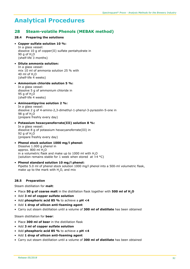# **28 Steam-volatile Phenols (MEBAK method)**

## **28.4 Preparing the solutions**

## • **Copper sulfate solution 10 %:**

In a glass vessel: dissolve 10 g of copper(II) sulfate pentahydrate in 90 g of  $H$ <sub>2</sub>O (shelf-life 3 months)

- • **Dilute ammonia solution:** In a glass vessel: mix 10 ml of ammonia solution 25 % with 40 ml of  $H<sub>2</sub>O$ (shelf-life  $\overline{4}$  weeks)
- • **Ammonium chloride solution 5 %:** In a glass vessel: dissolve 5 g of ammonium chloride in 95  $q$  of H<sub>2</sub>O (shelf-life 4 weeks)
- • **Aminoantipyrine solution 2 %:** In a glass vessel: dissolve 2 g of 4-amino-2,3-dimethyl-1-phenyl-3-pyrazolin-5-one in 98 g of H<sub>2</sub>O (prepare freshly every day)
- **Potassium hexacyanoferrate(III) solution 8 %:** In a glass vessel: dissolve 8 g of potassium hexacyanoferrate(III) in 92  $q$  of H<sub>2</sub>O (prepare freshly every day)
- • **Phenol stock solution 1000 mg/l phenol:** Dissolve 1.000 g phenol in approx.  $800$  ml  $H<sub>2</sub>O$ in a volumetric flask and make up to 1000 ml with  $H<sub>2</sub>O$ (solution remains stable for 1 week when stored at  $+4$  °C)
- • **Phenol standard solution 10 mg/l phenol:** Pipette 5.0 ml of phenol stock solution 1000 mg/l phenol into a 500-ml volumetric flask, make up to the mark with H<sub>2</sub>O, and mix

## **28.5 Preparation**

Steam distillation for **malt**:

- Place **50 g of coarse malt** in the distillation flask together with **500 ml of H2O**
- Add **3 ml of copper sulfate solution**
- Add **phosphoric acid 85 %** to achieve a **pH <4**
- Add **1 drop of silicon anti-foaming agent**
- Carry out steam distillation until a volume of **300 ml of distillate** has been obtained

Steam distillation for **beer**:

- Place **300 ml of beer** in the distillation flask
- Add **3 ml of copper sulfate solution**
- Add **phosphoric acid 85 %** to achieve a **pH <4**
- Add **1 drop of silicon anti-foaming agent**
- Carry out steam distillation until a volume of **300 ml of distillate** has been obtained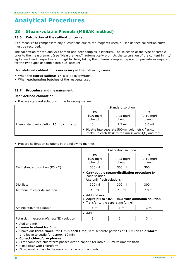# **28 Steam-volatile Phenols (MEBAK method)**

### **28.6 Calculation of the calibration curve**

As a measure to compensate any fluctuations due to the reagents used, a user-defined calibration curve must be recorded.

The calibration for the analysis of malt and beer samples is identical. The selection of the type of sample prior to the measurement (see "Measurement") automatically prompts the calculation of the content in mg/ kg for malt and, respectively, in mg/l for beer, taking the different sample-preparation procedures required for the two types of sample into due account.

### **User-defined calibration is necessary in the following cases:**

- When the **stored calibration** is to be overwritten.
- When **exchanging batches** of the reagents used.

#### **28.7 Procedure and measurement**

#### **User-defined calibration:**

• Prepare standard solutions in the following manner:

|                                         | Standard solution                                                                                                |                                  |                                  |  |
|-----------------------------------------|------------------------------------------------------------------------------------------------------------------|----------------------------------|----------------------------------|--|
|                                         | E0<br>$[0.0$ mg/l<br>phenol]                                                                                     | $[0.05 \text{ mg/l}]$<br>phenol] | $[0.10 \text{ mg/l}]$<br>phenol] |  |
| Phenol standard solution 10 mg/l phenol | $0 \text{ ml}$                                                                                                   | $2.5$ ml                         | $5.0 \mathrm{m}$                 |  |
|                                         | Pipette into separate 500-ml volumetric flasks,<br>make up each flask to the mark with H <sub>2</sub> O, and mix |                                  |                                  |  |

• Prepare calibration solutions in the following manner:

|                                          | Calibration solution                                 |                                                |                              |  |
|------------------------------------------|------------------------------------------------------|------------------------------------------------|------------------------------|--|
|                                          | E <sub>0</sub><br>$[0.0 \text{ mg/l}]$<br>phenol]    | 1<br>$[0.05 \text{ mg/l}]$<br>phenol]          | 2<br>$[0.10$ mg/l<br>phenol] |  |
| Each standard solution $(50 - 2)$        | 300 ml                                               | 300 ml                                         | 300 ml                       |  |
|                                          | each solution.<br>Use only fresh solutions!          | Carry out the steam-distillation procedure for |                              |  |
| Distillate                               | 300 ml                                               | 300 ml                                         | 300 ml                       |  |
| Ammonium chloride solution               | $10 \text{ ml}$                                      | $10 \text{ ml}$                                | $10 \text{ ml}$              |  |
|                                          | • Add and mix<br>• Transfer to the separating funnel | Adjust pH to 10.1 - 10.3 with ammonia solution |                              |  |
| Aminoantipyrine solution                 | $3 \text{ ml}$                                       | $3 \text{ ml}$                                 | 3 ml                         |  |
|                                          | $\bullet$ Add                                        |                                                |                              |  |
| Potassium hexacyanoferrate(III) solution | 3 ml                                                 | 3 ml                                           | 3 ml                         |  |

• Add and mix

• **Leave to stand for 3 min** 

- Shake out **three times**, for **1 min each time**, with separate portions of **10 ml of chloroform**, and leave to settle for approx. 10 min
- **Collect chloroform phases**
- Filter combined chloroform phases over a paper filter into a 25-ml volumetric flask

• Rinse filter with chloroform

• Fill volumetric flask to the mark with chloroform and mix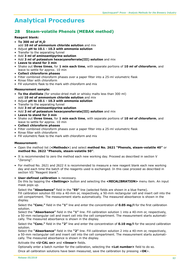# **28 Steam-volatile Phenols (MEBAK method)**

#### **Reagent blank:**

- **To 300 ml of H2O**
- add **10 ml of ammonium chloride solution** and mix
- Adjust **pH to 10.1 - 10.3 with ammonia solution**
- Transfer to the separating funnel
- Add **3 ml of aminoantipyrine solution**
- Add **3 ml of potassium hexacyanoferrate(III) solution** and mix
- **Leave to stand for 3 min**
- Shake out **three times**, for **1 min each time**, with separate portions of **10 ml of chloroform**, and leave to settle for approx. 10 min
- **Collect chloroform phases**
- Filter combined chloroform phases over a paper filter into a 25-ml volumetric flask
- Rinse filter with chloroform
- Fill volumetric flask to the mark with chloroform and mix

#### **Measurement sample:**

- **To the distillate** (for smoke-dried malt or whisky malts less than 300 ml) add **10 ml of ammonium chloride solution** and mix
- Adjust **pH to 10.1 - 10.3 with ammonia solution**
- Transfer to the separating funnel
- Add **3 ml of aminoantipyrine solution**
- Add **3 ml of potassium hexacyanoferrate(III) solution** and mix
- **Leave to stand for 3 min**
- Shake out **three times**, for **1 min each time**, with separate portions of **10 ml of chloroform**, and leave to settle for approx. 10 min
- **Collect chloroform phases**
- Filter combined chloroform phases over a paper filter into a 25-ml volumetric flask
- Rinse filter with chloroform
- Fill volumetric flask to the mark with chloroform and mix

#### **Measurement:**

- Open the method list (**<Methods>**) and select **method No. 2621 "Phenols, steam-volatile 40"** or **method No. 2622 "Phenols, steam-volatile 50"**.
- It is recommended to zero the method each new working day. Proceed as described in section V "Zeroing".
- For method No. 2621 and 2622 it is recommended to measure a new reagent blank each new working day and each time the batch of the reagents used is exchanged. In this case proceed as described in section VII "Reagent blank".
- **User-defined calibration** is necessary.

Do this by tapping the **<Settings>** button and selecting the **<RECALIBRATION>** menu item. An input mask pops up.

Select the **"Absorbance"** field in the **"E0"** line (selected fields are shown in a blue frame). Fill calibration solution E0 into a 40-mm or, respectively, a 50-mm rectangular cell and insert cell into the cell compartment. The measurement starts automatically. The measured absorbance is shown in the display.

Select the **"Conc."** field in the **"1"** line and enter the concentration of **0.05 mg/l** for the first calibration solution.

Select the **"Absorbance"** field in the **"1"** line. Fill calibration solution 1 into a 40-mm or, respectively, a 50-mm rectangular cell and insert cell into the cell compartment. The measurement starts automatically. The measured absorbance is shown in the display.

Select the **"Conc."** field in the **"2"** line and enter the concentration of **0.10 mg/l** for the second calibration solution.

Select the **"Absorbance"** field in the **"2"** line. Fill calibration solution 2 into a 40-mm or, respectively, a 50-mm rectangular cell and insert cell into the cell compartment. The measurement starts automatically. The measured absorbance is shown in the display.

#### Activate the **<U-CAL on>** and **<linear>** fields.

Optionally enter a batch number for the calibration, selecting the **<Lot number>** field to do so. Once all calibration solutions have been measured, save the calibration by pressing <**OK**>.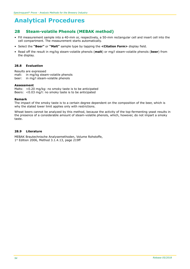# **28 Steam-volatile Phenols (MEBAK method)**

- Fill measurement sample into a 40-mm or, respectively, a 50-mm rectangular cell and insert cell into the cell compartment. The measurement starts automatically.
- Select the **"Beer"** or **"Malt"** sample type by tapping the **<Citation Form>** display field.
- Read off the result in mg/kg steam-volatile phenols (**malt**) or mg/l steam-volatile phenols (**beer**) from the display.

### **28.8 Evaluation**

Results are expressed malt: in mg/kg steam-volatile phenols beer: in mg/l steam-volatile phenols

#### **Assessment**

Malts: <0.20 mg/kg: no smoky taste is to be anticipated Beers: <0.03 mg/l: no smoky taste is to be anticipated

#### **Remark**

The impact of the smoky taste is to a certain degree dependent on the composition of the beer, which is why the stated lower limit applies only with restrictions.

Wheat beers cannot be analyzed by this method, because the activity of the top-fermenting yeast results in the presence of a considerable amount of steam-volatile phenols, which, however, do not impart a smoky taste.

#### **28.9 Literature**

MEBAK Brautechnische Analysemethoden, Volume Rohstoffe, 1st Edition 2006, Method 3.1.4.13, page 219ff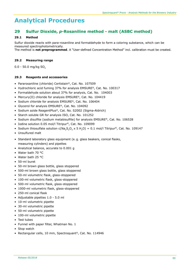# **29 Sulfur Dioxide,** *p***-Rosaniline method - malt (ASBC method)**

## **29.1 Method**

Sulfur dioxide reacts with para-rosaniline and formaldehyde to form a coloring substance, which can be measured spectrophotometrically.

The method is **not preprogrammed**. A "User-defined Concentration Method" incl. calibration must be created.

## **29.2 Measuring range**

 $0.0 - 50.0$  mg/kg SO<sub>2</sub>

### **29.3 Reagents and accessories**

- Pararosaniline (chloride) Certistain®, Cat. No. 107509
- Hydrochloric acid fuming 37% for analysis EMSURE®, Cat. No. 100317
- Formaldehyde solution about 37% for analysis, Cat. No. 104003
- Mercury(II) chloride for analysis EMSURE®, Cat. No. 104419
- Sodium chloride for analysis EMSURE®, Cat. No. 106404
- Glycerol for analysis EMSURE®, Cat. No. 104092
- Sodium azide ReagentPlus®, Cat. No. S2002 (Sigma-Aldrich)
- Starch soluble GR for analysis ISO, Cat. No. 101252
- Sodium disulfite (sodium metabisulfite) for analysis EMSURE®, Cat. No. 106528
- Iodine solution 0.05 mol/l Titripur®, Cat. No. 109099
- Sodium thiosulfate solution  $c(Na_2S_2O_3 \times 5 H_2O) = 0.1$  mol/l Titripur®, Cat. No. 109147
- Unsulfured malt
- Standard laboratory glass equipment (e. g. glass beakers, conical flasks, measuring cylinders) and pipettes
- Analytical balance, accurate to 0.001 g
- Water bath 70 °C
- Water bath 25 °C
- 50-ml buret
- 50-ml brown glass bottle, glass stoppered
- 500-ml brown glass bottle, glass stoppered
- 50-ml volumetric flask, glass-stoppered
- 100-ml volumetric flask, glass-stoppered
- 500-ml volumetric flask, glass-stoppered
- 1000-ml volumetric flask, glass-stoppered
- 250-ml conical flask
- Adjustable pipettes 1.0 5.0 ml
- 10-ml volumetric pipette
- 30-ml volumetric pipette
- 50-ml volumetric pipette
- 100-ml volumetric pipette
- Test tubes
- Funnel with paper filter, Whatman No. 1
- Stop watch
- Rectangular cells, 10 mm, Spectroquant®, Cat. No. 114946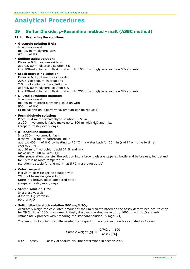# **29 Sulfur Dioxide,** *p***-Rosaniline method - malt (ASBC method)**

### **29.4 Preparing the solutions**

#### • **Glycerole solution 5 %:**

In a glass vessel: mix 25 ml of glycerol with 475 ml of  $H$ <sub>2</sub>O

#### • **Sodium azide solution:**

Dissolve 0.3 g sodium azide in approx. 80 ml glyercole solution 5% in a 100-ml volumetric flask, make up to 100 ml with glycerol solution 5% and mix

#### • **Stock extracting solution:** Dissolve 6.8 g of mercury chloride, 2.925 g of sodium chloride and 2.5 ml of sodium azide solution in approx. 80 ml glycerol solution 5%

in a 250-ml volumetric flask, make up to 250 ml with glycerol solution 5% and mix

### • **Diluted extracting solution:**

In a glass vessel: mix 60 ml of stock extracting solution with 900 ml of H2O (if no calibration is performed, amount can be reduced)

#### • **Formaldehyde solution:**

Place 0.54 ml of formaldehyde solution 37 % in a 100-ml volumetric flask, make up to 100 ml with  $H_2O$  and mix. (prepare freshly every day)

#### • *p***-Rosaniline solution:**

In a 500-ml volumetric flask: dissolve 200 mg of pararosaniline in approx. 400 ml of H<sub>2</sub>O by heating to 70 °C in a water bath for 20 min (swirl from time to time) cool to 20 °C, add 30 ml of hydrochloric acid 37 % and mix make up to 500 ml with H<sub>2</sub>O. After preparation, transfer the solution into a brown, glass-stoppered bottle and before use, let it stand for 15 min at room temperature. (solution is stable for one month at 5 °C in a brown bottle)

#### • **Color reagent:**

Mix 25 ml of *p*-rosaniline solution with 25 ml of formaldehyde solution Store in a brown, glass stoppered bottle (prepare freshly every day)

#### • **Starch solution 1 %:**

In a glass vessel: dissolve 1 g starch in 99 g of  $H<sub>2</sub>O$ 

### • **Sulfur dioxide stock solution 500 mg/l SO2:**

Accurately weigh the calculated amount of sodium disulfite based on the assay determined acc. to chapter 29.5 into a 1000-ml volumetric flask, dissolve in water, make up to 1000 ml with H2O and mix. Immediately proceed with preparing the standard solution 25 mg/l SO<sub>2</sub>.

The amount of sodium disulfite needed for preparing the stock solution is calculated as follows:

Sample weight  $[g] = \frac{0.742 \text{ g} \cdot 100}{\text{assay } [\%]}$ 

with assay assay of sodium disulfite determined in section 29.5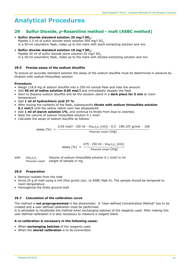# **29 Sulfur Dioxide,** *p***-Rosaniline method - malt (ASBC method)**

- **Sulfur dioxide standard solution 25 mg/l SO2:** Pipette 2.5 ml of sulfur dioxide stock solution  $500 \text{ mg/l}$  SO<sub>2</sub> in a 50-ml volumetric flask, make up to the mark with stock extracting solution and mix
- **Sulfur dioxide standard solution 10 mg/l SO2:** Pipette 20 ml of sulfur dioxide stock solution 25  $mg/$  SO<sub>2</sub> in a 50-ml volumetric flask, make up to the mark with diluted extracting solution and mix

## **29.5 Precise assay of the sodium disulfite**

To ensure an accurate standard solution the assay of the sodium disulfite must be determined in advance by titration with sodium thiosulfate solution

## **Procedure:**

- Weigh 118.8 mg of sodium disulfite into a 250-ml conical flask and note the amount
- Add **50 ml of iodine solution 0.05 mol/l** and immediately stopper the flask
- Swirl to dissolve sodium disulfite and let the solution stand in a **dark place for 5 min** at room temperature
- Add **1 ml of hydrochloric acid 37 %**
- After mixing the contents of the flask, subsequently **titrate with sodium thiosulfate solution 0.1 mol/l** until the yellow iodine color has disappeared
- Add **1 ml of starch solution 1%**, and continue to titrate from blue to colorless
- Note the volume of sodium thiosulfate solution 0.1 mol/l
- Calculate the assay of sodium disulfite as follows:

\n
$$
\text{assay } [\%] = \frac{0.05 \, \text{mol}}{1 \cdot (50 \, \text{ml} - \text{V} \cdot \text{Na}_2, 520} \cdot [\text{ml}]) \cdot 0.5 \cdot 190.107 \, \text{g/mol} \cdot 100}{\text{msample weight [mg]}}
$$
\n

assay [%]  $=$   $\frac{475 \cdot (50 \text{ ml} - \text{V} \text{Na}_2 \text{S}_2 \text{O}_3 \text{ [ml]})}{250 \cdot (100 \text{ ml} - \text{V} \text{Na}_2 \text{S}_2 \text{O}_3 \text{ [ml]})}$  $\begin{bmatrix} 70 \end{bmatrix}$  -  $\begin{bmatrix} \text{msgn} \\ \text{msgn} \end{bmatrix}$ 

with  $V_{\text{Na},S,Q_3}$  Volume of sodium thiosulfate solution 0.1 mol/l in ml msample weight weight of sample in mg

## **29.6 Preparation**

- Remove rootlets from the malt
- Grind 25 g of malt using a mill (fine grind) (acc. to ASBC Malt-4). The sample should be tempered to room temperature
- Homogenize the finely around malt

# **29.7 Calculation of the calibration curve**

The method is **not preprogrammed** in the photometer. A "User-defined Concentration Method" has to be created and a user-defined calibration must be performed.

It is advisable to recalibrate the method when exchanging batches of the reagents used. After making this user-defined calibration it is also necessary to measure a reagent blank.

#### **A re-calibration is necessary in the following cases:**

- When **exchanging batches** of the reagents used.
- When the **stored calibration** is to be overwritten.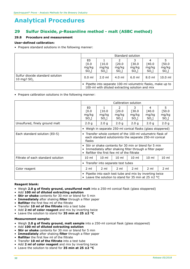# **29 Sulfur Dioxide,** *p***-Rosaniline method - malt (ASBC method)**

# **29.8 Procedure and measurement**

### **User-defined calibration:**

• Prepare standard solutions in the following manner:

|                                                             |                                                                                                                 | Standard solution |                  |                  |                  |                  |
|-------------------------------------------------------------|-----------------------------------------------------------------------------------------------------------------|-------------------|------------------|------------------|------------------|------------------|
|                                                             | E0                                                                                                              |                   |                  | 3                | 4                |                  |
|                                                             | [0.0]                                                                                                           | [10.0             | [20.0            | [30.0            | [40.0            | [50.0]           |
|                                                             | mg/kg<br>$SO2$ ]                                                                                                | mg/kg<br>$SO2$ ]  | mg/kg<br>$SO2$ ] | mg/kg<br>$SO2$ ] | mg/kg<br>$SO2$ ] | mg/kg<br>$SO2$ ] |
| Sulfur dioxide standard solution<br>10 mg/l SO <sub>2</sub> | $0.0$ ml                                                                                                        | $2.0$ ml          | $4.0$ ml         | $6.0$ ml         | $8.0 \text{ ml}$ | $10.0$ ml        |
|                                                             | • Pipette into separate 100-ml volumetric flasks, make up to<br>100-ml with diluted extracting solution and mix |                   |                  |                  |                  |                  |

• Prepare calibration solutions in the following manner:

|                                    |                                                                                                                                                                             | Calibration solution      |                                             |                                 |                                 |                                  |
|------------------------------------|-----------------------------------------------------------------------------------------------------------------------------------------------------------------------------|---------------------------|---------------------------------------------|---------------------------------|---------------------------------|----------------------------------|
|                                    | E <sub>0</sub><br>[0.0]<br>mg/kg<br>$SO2$ ]                                                                                                                                 | [10.0<br>mg/kg<br>$SO2$ ] | $\mathcal{P}$<br>[20.0]<br>mg/kg<br>$SO2$ ] | 3<br>[30.0]<br>mg/kg<br>$SO2$ ] | 4<br>[40.0]<br>mg/kg<br>$SO2$ ] | 5<br>$[50.0$<br>mg/kg<br>$SO2$ ] |
| Unsulfured, finely ground malt     | 2.0 <sub>g</sub>                                                                                                                                                            | 2.0 <sub>g</sub>          | 2.0 <sub>g</sub>                            | 2.0 <sub>q</sub>                | 2.0 <sub>q</sub>                | 2.0 <sub>g</sub>                 |
|                                    | • Weigh in separate 250-ml conical flasks (glass stoppered)                                                                                                                 |                           |                                             |                                 |                                 |                                  |
| Each standard solution (E0-5)      | Transfer whole content of the 100-ml volumetric flask of<br>each standard solutioninto the separate 250-ml conical<br>flasks                                                |                           |                                             |                                 |                                 |                                  |
|                                    | • Stir or shake contents for 30 min or blend for 5 min<br>Immediately after shaking filter through a filter paper<br>Refilter the first few ml of the filtrate<br>$\bullet$ |                           |                                             |                                 |                                 |                                  |
| Filtrate of each standard solution | $10 \text{ ml}$                                                                                                                                                             | $10 \text{ ml}$           | $10 \text{ ml}$                             | $10 \mathrm{m}$                 | $10 \mathrm{m}$                 | $10 \text{ ml}$                  |
|                                    | • Transfer into separate test tubes                                                                                                                                         |                           |                                             |                                 |                                 |                                  |
| Color reagent                      | 2 ml                                                                                                                                                                        | 2 ml                      | $2 \text{ ml}$                              | $2 \text{ ml}$                  | 2 ml                            | 2 ml                             |
|                                    | Pipette into each test tube and mix by inverting twice<br>$\bullet$<br>Leave the solution to stand for 35 min at 25 $\pm$ 2 °C                                              |                           |                                             |                                 |                                 |                                  |

#### **Reagent blank:**

- Weigh **2.0 g of finely ground, unsulfured malt** into a 250-ml conical flask (glass stoppered)
- Add **100 ml of diluted extracting solution**
- **Stir or shake** contents for 30 min or blend for 5 min
- **Immediately** after shaking **filter** through a filter paper
- **Refilter** the first few ml of the filtrate
- Transfer **10 ml of the filtrate** into a test tube
- Add **2 ml of color reagent** and mix by inverting twice
- Leave the solution to stand for **35 min at 25 ±2 °C**

#### **Measurement sample:**

- Weigh **2.0 g of finely ground, malt sample** into a 250-ml conical flask (glass stoppered)
- Add **100 ml of diluted extracting solution**
- **Stir or shake** contents for 30 min or blend for 5 min
- **Immediately** after shaking **filter** through a filter paper
- **Refilter** the first few ml of the filtrate
- Transfer **10 ml of the filtrate** into a test tube
- Add **2 ml of color reagent** and mix by inverting twice
- Leave the solution to stand for **35 min at 25 ±2 °C**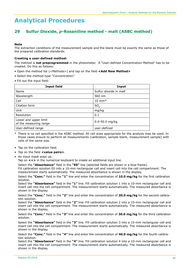# **29 Sulfur Dioxide,** *p***-Rosaniline method - malt (ASBC method)**

### **Note**

The extraction conditions of the measurement sample and the blank must be exactly the same as those of the prepared calibration standards.

### **Creating a user-defined method:**

The method is **not preprogrammed** in the photometer. A "User-defined Concentration Method" has to be created. Do this as follows:

- Open the method list (<Methods>) and tap on the field **<Add New Method>**
- Select the method type "Concentration"
- Fill out the input field:

| <b>Input field</b>                              | Input                  |
|-------------------------------------------------|------------------------|
| Name                                            | Sulfur dioxide in malt |
| Wavelength                                      | 560 nm                 |
| Cell                                            | $10 \text{ mm}^*$      |
| Citation form                                   | SO,                    |
| Unit                                            | mg/kg                  |
| Resolution                                      | 0.1                    |
| Lower and upper limit<br>of the measuring range | $0.0 - 50.0$ mg/kg     |
| User-defined range                              | user-defined           |

There is no cell specified in the ASBC method. All cell sizes appropriate for the analysis may be used. In those cases ensure to perform all measurements (calibration, sample blank, measurement sample) with cells of the same size.

- Tap on the calibration field.
- Tap on the field **<value pairs>**.
- An input mask pops up.

Tap on **<+>** in the numerical keyboard to create an additional input line.

Select the **"Absorbance"** field in the **"E0"** line (selected fields are shown in a blue frame).

Fill calibration solution E0 into a 10-mm rectangular cell and insert cell into the cell compartment. The measurement starts automatically. The measured absorbance is shown in the display.

Select the **"Conc."** field in the **"1"** line and enter the concentration of **10.0 mg/kg** for the first calibration solution.

Select the **"Absorbance"** field in the **"1"** line. Fill calibration solution 1 into a 10-mm rectangular cell and insert cell into the cell compartment. The measurement starts automatically. The measured absorbance is shown in the display.

Select the **"Conc."** field in the **"2"** line and enter the concentration of **20.0 mg/kg** for the second calibration solution.

Select the **"Absorbance"** field in the **"2"** line. Fill calibration solution 2 into a 10-mm rectangular cell and insert cell into the cell compartment. The measurement starts automatically. The measured absorbance is shown in the display.

Select the **"Conc."** field in the **"3"** line and enter the concentration of **30.0 mg/kg** for the third calibration solution.

Select the **"Absorbance"** field in the **"3"** line. Fill calibration solution 3 into a 10-mm rectangular cell and insert cell into the cell compartment. The measurement starts automatically. The measured absorbance is shown in the display.

Select the **"Conc."** field in the **"4"** line and enter the concentration of **40.0 mg/kg** for the fourth calibration solution.

Select the **"Absorbance"** field in the **"4"** line. Fill calibration solution 4 into a 10-mm rectangular cell and insert cell into the cell compartment. The measurement starts automatically. The measured absorbance is shown in the display.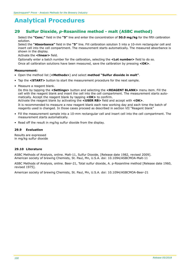# **29 Sulfur Dioxide,** *p***-Rosaniline method - malt (ASBC method)**

Select the **"Conc."** field in the **"5"** line and enter the concentration of **50.0 mg/kg** for the fifth calibration solution.

Select the **"Absorbance"** field in the **"5"** line. Fill calibration solution 5 into a 10-mm rectangular cell and insert cell into the cell compartment. The measurement starts automatically. The measured absorbance is shown in the display.

Activate the **<linear>** field.

Optionally enter a batch number for the calibration, selecting the **<Lot number>** field to do so.

Once all calibration solutions have been measured, save the calibration by pressing **<OK>**.

### **Measurement:**

- Open the method list (**<Methods>**) and select **method "Sulfur dioxide in malt"**.
- Tap the **<START>** button to start the measurement procedure for the next sample.
- Measure a reagent blank.

Do this by tapping the **<Settings>** button and selecting the **<REAGENT BLANK>** menu item. Fill the cell with the reagent blank and insert the cell into the cell compartment. The measurement starts automatically. Accept the reagent blank by tapping **<OK>** to confirm.

Activate the reagent blank by activating the **<USER RB>** field and accept with **<OK>**.

It is recommended to measure a new reagent blank each new working day and each time the batch of reagents used is changed. In those cases proceed as described in section VII "Reagent blank"

- Fill the measurement sample into a 10-mm rectangular cell and insert cell into the cell compartment. The measurement starts automatically.
- Read off the result in mg/kg sulfur dioxide from the display.

### **29.9 Evaluation**

Results are expressed in mg/kg sulfur dioxide

## **29.10 Literature**

ASBC Methods of Analysis, online. Malt-11, Sulfur Dioxide, [Release date 1982, revised 2009]. American society of brewing Chemists, St. Paul, Mn, U.S.A. doi: 10.1094/ASBCMOA-Malt-11

ASBC Methods of Analysis, online. Beer-21, Total sulfur dioxide, A. p-Rosaniline method [Release date 1960, revised 1975].

American society of brewing Chemists, St. Paul, Mn, U.S.A. doi: 10.1094/ASBCMOA-Beer-21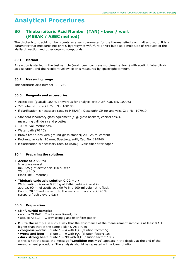# **30 Thiobarbituric Acid Number (TAN) - beer / wort (MEBAK / ASBC method)**

The thiobarbituric acid number counts as a sum parameter for the thermal effects on malt and wort. It is a parameter that measures not only 5-hydroxymethylfurfural (HMF) but also a multitude of products of the Maillard reaction and other organic compounds.

## **30.1 Method**

A reaction is started in the test sample (wort, beer, congress wort/malt extract) with acetic thiobarbituric acid solution, and the resultant yellow color is measured by spectrophotometry.

## **30.2 Measuring range**

Thiobarbituric acid number: 0 - 250

## **30.3 Reagents and accessories**

- Acetic acid (glacial) 100 % anhydrous for analysis EMSURE®, Cat. No. 100063
- 2-Thiobarbituric acid, Cat. No. 108180
- if clarification is necessary (acc. to MEBAK): Kieselguhr GR for analysis, Cat. No. 107910
- Standard laboratory glass equipment (e. g. glass beakers, conical flasks, measuring cylinders) and pipettes
- 100-ml volumetric flask
- Water bath (70 °C)
- Brown test tubes with ground-glass stopper, 20 25 ml content
- Rectangular cells, 10 mm, Spectroquant®, Cat. No. 114946
- if clarification is necessary (acc. to ASBC): Glass fiber filter paper

## **30.4 Preparing the solutions**

- • **Acetic acid 90 %:** In a glass vessel: mix 225 g of acetic acid 100 % with 25 g of  $H$ <sub>2</sub>O (shelf-life 3 months)
- • **Thiobarbituric acid solution 0.02 mol/l:** With heating dissolve 0.288 g of 2-thiobarbituric acid in approx. 90 ml of acetic acid 90 % in a 100-ml volumetric flask Cool to 20 °C and make up to the mark with acetic acid 90 % (prepare freshly every day)

## **30.5 Preparation**

- Clarify **turbid samples**:
	- acc. to MEBAK: Clarify over Kieselguhr
	- acc. to ASBC: Clarify using glass fiber filter paper
- **Dilute the sample** in such a way that the absorbance of the measurement sample is at least 0.1 A higher than that of the sample blank. As a rule:
	- **congress worts:** dilute  $1 + 4$  with  $H_2O$  (dilution factor: 5)<br>• worts and beer: dilute  $1 + 9$  with  $H_2O$  (dilution factor: 10)
	- dilute  $1 + 9$  with H<sub>2</sub>O (dilution factor: 10)
	- **dark strong beer:** dilute  $1 + 99$  with  $H$ <sub>2</sub>O (dilution factor: 100)

 If this is not the case, the message **"Condition not met"** appears in the display at the end of the measurement procedure. The analysis should be repeated with a lower dilution.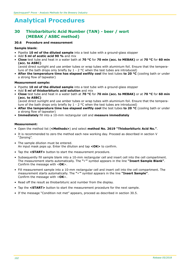# **30 Thiobarbituric Acid Number (TAN) - beer / wort (MEBAK / ASBC method)**

#### **30.6 Procedure and measurement**

#### **Sample blank:**

- Pipette **10 ml of the diluted sample** into a test tube with a ground-glass stopper
- Add **5 ml of acetic acid 90 %** and mix
- **Close** test tube and heat in a water bath at **70 °C** for **70 min (acc. to MEBAK)** or at **70 °C** for **60 min (acc. to ASBC)**

(avoid direct sunlight and use amber tubes or wrap tubes with aluminium foil. Ensure that the temperature of the bath drops only briefly by  $1 - 2$  °C when the test tubes are introduced)

• **After the temperature time has elapsed swiftly cool** the test tubes **to 20 °C** (cooling bath or under a strong flow of tapwater)

### **Measurement sample:**

- Pipette **10 ml of the diluted sample** into a test tube with a ground-glass stopper
- Add **5 ml of thiobarbituric acid solution** and mix
- **Close** test tube and heat in a water bath at **70 °C** for **70 min (acc. to MEBAK)** or at **70 °C** for **60 min (acc. to ASBC)**

(avoid direct sunlight and use amber tubes or wrap tubes with aluminium foil. Ensure that the temperature of the bath drops only briefly by  $1 - 2$  °C when the test tubes are introduced)

- **After the temperature time has elapsed swiftly cool** the test tubes **to 20 °C** (cooling bath or under a strong flow of tapwater)
- **Immediately** fill into a 10-mm rectangular cell and **measure immediately**

#### **Measurement:**

- Open the method list (**<Methods>**) and select **method No. 2619 "Thiobarbituric Acid No."**.
- It is recommended to zero the method each new working day. Proceed as described in section V "Zeroing".
- The sample dilution must be entered. An input mask pops up. Enter the dilution and tap **<OK>** to confirm.
- Tap the **<START>** button to start the measurement procedure.
- Subsequently fill sample blank into a 10-mm rectangular cell and insert cell into the cell compartment. The measurement starts automatically. The **"**ü**"** symbol appears in the line **"Insert Sample Blank"**. Confirm the message with <**OK**>.
- Fill measurement sample into a 10-mm rectangular cell and insert cell into the cell compartment. The measurement starts automatically. The "v" symbol appears in the line "Insert Sample". Confirm the message with <**OK**>.
- Read off the result as thiobarbituric acid number from the display.
- Tap the **<START>** button to start the measurement procedure for the next sample.
- If the message "Condition not met" appears, proceed as described in section 30.5.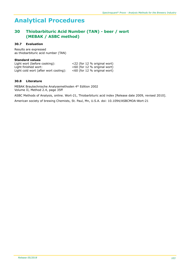# **30 Thiobarbituric Acid Number (TAN) - beer / wort (MEBAK / ASBC method)**

## **30.7 Evaluation**

Results are expressed as thiobarbituric acid number (TAN)

#### **Standard values**

| Light wort (before cooking):          | <22 (for 12 % original wort)    |
|---------------------------------------|---------------------------------|
| Light finished wort:                  | $<$ 60 (for 12 % original wort) |
| Light cold wort (after wort cooling): | $<$ 60 (for 12 % original wort) |

## **30.8 Literature**

MEBAK Brautechnische Analysemethoden 4th Edition 2002 Volume II, Method 2.4, page 35ff

ASBC Methods of Analysis, online. Wort-21, Thiobarbituric acid index [Release date 2009, revised 2010].

American society of brewing Chemists, St. Paul, Mn, U.S.A. doi: 10.1094/ASBCMOA-Wort-21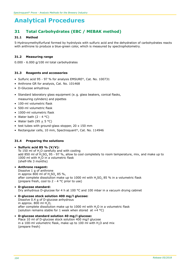# **31 Total Carbohydrates (EBC / MEBAK method)**

## **31.1 Method**

5-Hydroxymethylfurfural formed by hydrolysis with sulfuric acid and the dehydration of carbohydrates reacts with anthrone to produce a blue-green color, which is measured by spectrophotometry.

## **31.2 Measuring range**

0.000 - 6.000 g/100 ml total carbohydrates

### **31.3 Reagents and accessories**

- Sulfuric acid 95 97 % for analysis EMSURE®, Cat. No. 100731
- Anthrone GR for analysis, Cat. No. 101468
- D-Glucose anhydrous
- Standard laboratory glass equipment (e. g. glass beakers, conical flasks, measuring cylinders) and pipettes
- 100-ml volumetric flask
- 500-ml volumetric flask
- 1000-ml volumetric flask
- Water bath  $(2 4 °C)$
- Water bath  $(95 + 5 °C)$
- test tubes with ground-glass stopper, 20 x 150 mm
- Rectangular cells, 10 mm, Spectroquant®, Cat. No. 114946

## **31.4 Preparing the solutions**

#### • **Sulfuric acid 85 % (V/V):**

To 150 ml of H<sub>2</sub>O carefully and with cooling add 850 ml of  $H_2SO_4$  95 - 97 %, allow to cool completely to room temperature, mix, and make up to 1000 ml with H<sub>2</sub>O in a volumetric flask (shelf-life 3 months)

### • **Anthrone reagent:**

Dissolve 1 g of anthrone in approx 800 ml of  $H_2SO_4$  85 %, after complete dissolution make up to 1000 ml with  $H$ <sub>5</sub>O<sub>4</sub> 85 % in a volumetric flask (prepare fresh, cool to 2 - 4 °C prior to use)

#### • **D-glucose standard:**

Dry anhydrous D-glucose for 4 h at 100 °C and 100 mbar in a vacuum drying cabinet

#### • **D-glucose stock solution 400 mg/l glucose:**

Dissolve 0.4 g of D-glucose anhydrous in approx. 800 ml  $H<sub>2</sub>O<sub>t</sub>$ after complete dissolution make up to 1000 ml with H2O in a volumetric flask (solution remains stable for 1 week when stored at  $+\bar{4}$  °C)

• **D-glucose standard solution 40 mg/l glucose:**

Place 10 ml of D-glucose stock solution 400 mg/l glucose in a 100-ml volumetric flask, make up to 100 ml with  $H<sub>2</sub>O$  and mix (prepare fresh)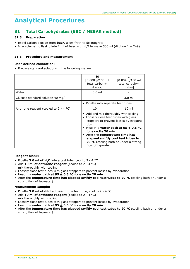# **31 Total Carbohydrates (EBC / MEBAK method)**

## **31.5 Preparation**

- Expel carbon dioxide from **beer**, allow froth to disintegrate.
- In a volumetric flask dilute 2 ml of beer with H<sub>2</sub>O to make 500 ml (dilution  $1 + 249$ ).

# **31.6 Procedure and measurement**

### **User-defined calibration:**

• Prepare standard solutions in the following manner:

|                                         | E0<br>[0.000 g/100 m]<br>total carbohy-<br>drates]                                                                                                                                                                                                    | $[0.004 \text{ g}/100 \text{ ml}]$<br>total carbohy-<br>drates]                                                       |
|-----------------------------------------|-------------------------------------------------------------------------------------------------------------------------------------------------------------------------------------------------------------------------------------------------------|-----------------------------------------------------------------------------------------------------------------------|
| Water                                   | $3.0 \text{ ml}$                                                                                                                                                                                                                                      |                                                                                                                       |
| Glucose standard solution 40 mg/l       |                                                                                                                                                                                                                                                       | $3.0 \text{ ml}$                                                                                                      |
|                                         | Pipette into separate test tubes                                                                                                                                                                                                                      |                                                                                                                       |
| Anthrone reagent (cooled to $2 - 4$ °C) | $10 \mathrm{m}$                                                                                                                                                                                                                                       | $10 \mathrm{m}$                                                                                                       |
|                                         | • Add and mix thoroughly with cooling<br>Loosely close test tubes with glass<br>$\bullet$<br>tion<br>• Heat in a water bath at 95 $\pm$ 0.5 °C<br>for <b>exactly 20 min</b><br>After the <b>temperature time has</b><br>$\bullet$<br>flow of tapwater | stoppers to prevent losses by evapora-<br>elapsed swiftly cool test tubes to<br>20 °C (cooling bath or under a strong |

## **Reagent blank:**

- Pipette **3.0 ml of H2O** into a test tube, cool to 2 4 °C
- Add **10 ml of anthrone reagent** (cooled to 2 4 °C)
- mix thoroughly with cooling
- Loosely close test tubes with glass stoppers to prevent losses by evaporation
- Heat in a **water bath at 95 + 0.5 °C** for **exactly 20 min**
- After the **temperature time has elapsed swiftly cool test tubes to 20 °C** (cooling bath or under a strong flow of tapwater)

#### **Measurement sample:**

- Pipette **3.0 ml of diluted beer** into a test tube, cool to 2 4 °C
- Add **10 ml of anthrone reagent** (cooled to 2 4 °C) mix thoroughly with cooling
- Loosely close test tubes with glass stoppers to prevent losses by evaporation
- Heat in a **water bath at 95 + 0.5 °C** for **exactly 20 min**
- After the **temperature time has elapsed swiftly cool test tubes to 20 °C** (cooling bath or under a strong flow of tapwater)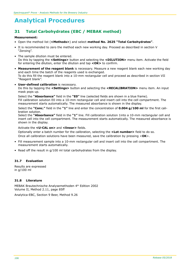# **31 Total Carbohydrates (EBC / MEBAK method)**

#### **Measurement:**

- Open the method list (**<Methods>**) and select **method No. 2625 "Total Carbohydrates"**.
- It is recommended to zero the method each new working day. Proceed as described in section V "Zeroing".
- The sample dilution must be entered. Do this by tapping the **<Settings>** button and selecting the **<DILUTION>** menu item. Activate the field for entering the dilution, enter the dilution and tap **<OK>** to confirm.
- **Measurement of the reagent blank** is necessary. Measure a new reagent blank each new working day and each time the batch of the reagents used is exchanged. To do this fill the reagent blank into a 10-mm rectangular cell and proceed as described in section VII "Reagent blank".
- **User-defined calibration** is necessary.

Do this by tapping the **<Settings>** button and selecting the **<RECALIBRATION>** menu item. An input mask pops up.

Select the **"Absorbance"** field in the **"E0"** line (selected fields are shown in a blue frame). Fill calibration solution E0 into a 10-mm rectangular cell and insert cell into the cell compartment. The measurement starts automatically. The measured absorbance is shown in the display.

Select the **"Conc."** field in the **"1"** line and enter the concentration of **0.004 g/100 ml** for the first calibration solution.

Select the **"Absorbance"** field in the **"1"** line. Fill calibration solution 1into a 10-mm rectangular cell and insert cell into the cell compartment. The measurement starts automatically. The measured absorbance is shown in the display.

### Activate the **<U-CAL on>** and **<linear>** fields.

Optionally enter a batch number for the calibration, selecting the **<Lot number>** field to do so. Once all calibration solutions have been measured, save the calibration by pressing <**OK**>.

- Fill measurement sample into a 10-mm rectangular cell and insert cell into the cell compartment. The measurement starts automatically.
- Read off the result in g/100 ml total carbohydrates from the display.

## **31.7 Evaluation**

Results are expressed in g/100 ml

## **31.8 Literature**

MEBAK Brautechnische Analysemethoden 4th Edition 2002 Volume II, Method 2.11, page 85ff

Analytica-EBC, Section 9 Beer, Method 9.26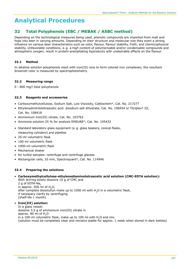# **32 Total Polyphenols (EBC / MEBAK / ASBC method)**

Depending on the technological measures being used, phenolic compounds are imported from malt and hops into beer in varying amounts. Depending on their structure and molecular size they exert a strong influence on various beer characteristics such as color, flavour, flavour stability, froth, and chemicophysical stability. Unfavorable conditions, e. g. a high content of polymerizable and/or condensable compounds and atmospheric oxygen, result in protein-precipitating byproducts with undesirable effects on the flavour.

# **32.1 Method**

In alkaline solution polyphenols react with iron(III) ions to form colored iron complexes; the resultant brownish color is measured by spectrophotometry.

## **32.2 Measuring range**

0 - 800 mg/l total polyphenols

# **32.3 Reagents and accessories**

- Carboxymethylcellulose, Sodium Salt, Low Viscosity, Calbiochem®, Cat. No. 217277
- Ethylenedinitrilotetraacetic acid disodium salt dihydrate, Cat. No. 108454 or Titriplex® III, Cat. No. 108418
- Ammonium iron(III) citrate, Cat. No. 103762
- Ammonia solution 25 % for analysis EMSURE®, Cat. No. 105432
- Standard laboratory glass equipment (e. g. glass beakers, conical flasks, measuring cylinders) and pipettes
- 25-ml volumetric flask
- 100-ml volumetric flask
- 1000-ml volumetric flask
- Mechanical shaker
- for turbid samples: centrifuge and centrifuge glasses
- Rectangular cells, 10 mm, Spectroquant®, Cat. No. 114946

## **32.4 Preparing the solutions**

- • **Carboxymethylcellulose-ethylenediaminotetraacetic acid solution (CMC-EDTA solution):** With stirring slowly dissolve 10 g of CMC and 2 g of  $EDTA-Na$ in approx. 500 ml of  $H_2O$ , after complete dissolution make up to 1000 ml with H<sub>2</sub>O in a volumetric flask,
	- if necessary clarify by centrifuging (shelf-life 1 month)

## • **Iron(III) solution:**

In a glass vessel: dissolve 3.5 g of ammonium iron(III) citrate in approx. 80 ml of H<sub>2</sub>O in a 100-ml volumetric flask, make up to 100 ml with H<sub>2</sub>O and mix (solution must be completely clear and remains stable for approx. 1 week when stored in dark bottles)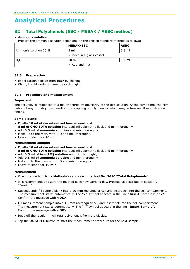# **32 Total Polyphenols (EBC / MEBAK / ASBC method)**

#### • **Ammonia solution:**

Prepare the ammonia solution depending on the chosen standard method as follows:

|                       | <b>MEBAK/EBC</b>          | <b>ASBC</b> |
|-----------------------|---------------------------|-------------|
| Ammonia solution 25 % | $5 \text{ ml}$            | 5.8 ml      |
|                       | • Place in a glass vessel |             |
| H <sub>2</sub> O      | 10 ml                     | 9.2 ml      |
|                       | • Add and mix             |             |

#### **32.5 Preparation**

- Expel carbon dioxide from **beer** by shaking.
- Clarify turbid worts or beers by centrifuging.

### **32.6 Procedure and measurement**

#### **Important:**

The accuracy is influenced to a major degree by the clarity of the test solution. At the same time, the elimination of any turbidity may result in the stripping of polyphenols, which may in turn result in a false-low finding.

#### **Sample blank:**

- Pipette **10 ml of decarbonized beer** or **wort** and **8 ml of CMC-EDTA solution** into a 25-ml volumetric flask and mix thoroughly
- Add **0.5 ml of ammonia solution** and mix thoroughly
- Make up to the mark with  $H<sub>2</sub>O$  and mix thoroughly
- Leave to stand for **10 min**

#### **Measurement sample:**

- Pipette **10 ml of decarbonized beer** or **wort** and **8 ml of CMC-EDTA solution** into a 25-ml volumetric flask and mix thoroughly
- Add **0.5 ml of iron(III) solution** and mix thoroughly
- Add **0.5 ml of ammonia solution** and mix thoroughly
- Make up to the mark with  $H<sub>2</sub>O$  and mix thoroughly
- Leave to stand for **10 min**

#### **Measurement:**

- Open the method list (**<Methods>**) and select **method No. 2610 "Total Polyphenols"**.
- It is recommended to zero the method each new working day. Proceed as described in section V "Zeroing".
- Subsequently fill sample blank into a 10-mm rectangular cell and insert cell into the cell compartment. The measurement starts automatically. The **"**ü**"** symbol appears in the line **"Insert Sample Blank"**. Confirm the message with **<OK>**.
- Fill measurement sample into a 10-mm rectangular cell and insert cell into the cell compartment. The measurement starts automatically. The **"**ü**"** symbol appears in the line **"Insert Sample"**. Confirm the message with **<OK>**.
- Read off the result in mg/l total polyphenols from the display.
- Tap the **<START>** button to start the measurement procedure for the next sample.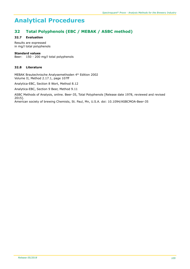# **32 Total Polyphenols (EBC / MEBAK / ASBC method)**

## **32.7 Evaluation**

Results are expressed in mg/l total polyphenols

## **Standard values**

Beer: 150 - 200 mg/l total polyphenols

## **32.8 Literature**

MEBAK Brautechnische Analysemethoden 4<sup>th</sup> Edition 2002 Volume II, Method 2.17.1, page 107ff

Analytica-EBC, Section 8 Wort, Method 8.12

Analytica-EBC, Section 9 Beer, Method 9.11

ASBC Methods of Analysis, online. Beer-35, Total Polyphenols [Release date 1978, reviewed and revised 2015].

American society of brewing Chemists, St. Paul, Mn, U.S.A. doi: 10.1094/ASBCMOA-Beer-35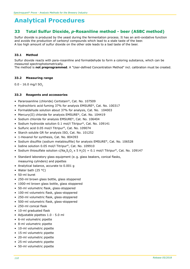# **33 Total Sulfur Dioxide,** *p***-Rosaniline method - beer (ASBC method)**

Sulfur dioxide is produced by the yeast during the fermentation process. It has an anti-oxidative function and avoids the production of carbonyl compounds which lead to a stale taste of the beer. A too high amount of sulfur dioxide on the other side leads to a bad taste of the beer.

## **33.1 Method**

Sulfur dioxide reacts with para-rosaniline and formaldehyde to form a coloring substance, which can be measured spectrophotometrically.

The method is **not preprogrammed**. A "User-defined Concentration Method" incl. calibration must be created.

#### **33.2 Measuring range**

 $0.0 - 16.0$  mg/l SO<sub>2</sub>

#### **33.3 Reagents and accessories**

- Pararosaniline (chloride) Certistain®, Cat. No. 107509
- Hydrochloric acid fuming 37% for analysis EMSURE®, Cat. No. 100317
- Formaldehyde solution about 37% for analysis, Cat. No. 104003
- Mercury(II) chloride for analysis EMSURE®, Cat. No. 104419
- Sodium chloride for analysis EMSURE®, Cat. No. 106404
- Sodium hydroxide solution 0.1 mol/l Titripur®, Cat. No. 109141
- Sulfuric acid 0.05 mol/l Titripur®, Cat. No. 109074
- Starch soluble GR for analysis ISO, Cat. No. 101252
- 1-Hexanol for synthesis, Cat. No. 804393
- Sodium disulfite (sodium metabisulfite) for analysis EMSURE®, Cat. No. 106528
- Iodine solution 0.05 mol/l Titripur®, Cat. No. 109910
- Sodium thiosulfate solution  $c(Na_2S_2O_3 \times 5 H_2O) = 0.1$  mol/l Titripur®, Cat. No. 109147
- Standard laboratory glass equipment (e. g. glass beakers, conical flasks, measuring cylinders) and pipettes
- Analytical balance, accurate to 0.001 g
- Water bath (25 °C)
- 50-ml buret
- 250-ml brown glass bottle, glass stoppered
- 1000-ml brown glass bottle, glass stoppered
- 50-ml volumetric flask, glass-stoppered
- 100-ml volumetric flask, glass-stoppered
- 250-ml volumetric flask, glass-stoppered
- 500-ml volumetric flask, glass-stoppered
- 250-ml conical flask
- 10-ml graduated flask
- Adjustable pipettes 1.0 5.0 ml
- 6-ml volumetric pipette
- 8-ml volumetric pipette
- 10-ml volumetric pipette
- 15-ml volumetric pipette
- 20-ml volumetric pipette
- 25-ml volumetric pipette
- 50-ml volumetric pipette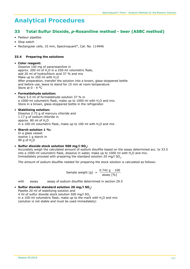# **33 Total Sulfur Dioxide,** *p***-Rosaniline method - beer (ASBC method)**

- Pasteur pipettes
- Stop watch
- Rectangular cells, 10 mm, Spectroquant®, Cat. No. 114946

## **33.4 Preparing the solutions**

#### • **Color reagent:**

Dissolve 100 mg of pararosaniline in approx. 200 ml of  $H<sub>2</sub>O$  in a 250-ml volumetric flask, add 20 ml of hydrochloric acid 37 % and mix Make up to 250 ml with H<sub>2</sub>O After preparation, transfer the solution into a brown, glass-stoppered bottle and before use, leave to stand for 15 min at room temperature Store at 0 - 4 °C

## • **Formaldehyde solution:**

Place 5.0 ml of formaldehyde solution 37 % in a 1000-ml volumetric flask, make up to 1000 ml with H<sub>2</sub>O and mix. Store in a brown, glass-stoppered bottle in the refrigerator.

#### • **Stabilizing solution:**

Dissolve 2.72 g of mercury chloride and 1.17 g of sodium chloride in approx. 80 ml of  $H<sub>2</sub>O$ in a 100-ml volumetric flask, make up to 100 ml with  $H<sub>2</sub>O$  and mix

#### • **Starch solution 1 %:**

In a glass vessel: issolve 1 g starch in 99 g of H<sub>2</sub>O

## • **Sulfur dioxide stock solution 500 mg/l SO2:**

Accurately weigh the calculated amount of sodium disulfite based on the assay determined acc. to 33.5 into a 1000-ml volumetric flask, dissolve in water, make up to 1000 ml with H<sub>2</sub>O and mix. Immediately proceed with preparing the standard solution 20 mg/l  $SO<sub>2</sub>$ .

The amount of sodium disulfite needed for preparing the stock solution is calculated as follows:

Sample weight [g] = 
$$
\frac{0.742 \text{ g} \cdot 100}{\text{assay [%]}}
$$

with assay assay of sodium disulfite determined in section 29.5

## • **Sulfur dioxide standard solution 20 mg/l SO2:**

Pipette 20 ml of stabilizing solution and 4 ml of sulfur dioxide stock solution 500 mg/l SO<sub>2</sub> in a 100-ml volumetric flask, make up to the mark with H<sub>2</sub>O and mix (solution is not stable and must be used immediately)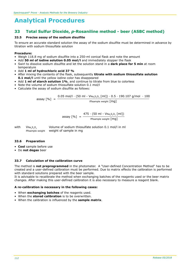# **33 Total Sulfur Dioxide,** *p***-Rosaniline method - beer (ASBC method)**

#### **33.5 Precise assay of the sodium disulfite**

To ensure an accurate standard solution the assay of the sodium disulfite must be determined in advance by titration with sodium thiosulfate solution

#### **Procedure:**

- Weigh 118.8 mg of sodium disulfite into a 250-ml conical flask and note the amount
- Add **50 ml of iodine solution 0.05 mol/l** and immediately stopper the flask
- Swirl to dissolve sodium disulfite and let the solution stand in a **dark place for 5 min** at room temperature
- Add **1 ml of hydrochloric acid 37 %**
- After mixing the contents of the flask, subsequently **titrate with sodium thiosulfate solution 0.1 mol/l** until the yellow iodine color has disappeared
- Add **1 ml of starch solution 1%**, and continue to titrate from blue to colorless
- Note the volume of sodium thiosulfate solution 0.1 mol/l
- Calculate the assay of sodium disulfite as follows:

assay [%] = 0.05 mol/l ∙ (50 ml - VNa2S2O3 [ml]) ∙ 0.5 ∙ 190.107 g/mol ∙ 100 msample weight [mg]

$$
assay [%] = \frac{475 \cdot (50 \text{ ml} - V_{\text{Na}_2\text{S}_2\text{O}_3} \text{[ml]})}{\text{msample weight [mg]}}
$$

with  $V_{\text{Na}_2\text{S}_2\text{O}_3}$  Volume of sodium thiosulfate solution 0.1 mol/l in ml<br>msample weight weight of sample in mg weight of sample in mg

#### **33.6 Preparation**

- **Cool** sample before use
- Do **not degas** beer

## **33.7 Calculation of the calibration curve**

The method is **not preprogrammed** in the photometer. A "User-defined Concentration Method" has to be created and a user-defined calibration must be performed. Due to matrix effects the calibration is performed with standard solutions prepared with the beer sample.

It is advisable to recalibrate the method when exchanging batches of the reagents used or the beer matrix changes. After making this user-defined calibration it is also necessary to measure a reagent blank.

#### **A re-calibration is necessary in the following cases:**

- When **exchanging batches** of the reagents used.
- When the **stored calibration** is to be overwritten.
- When the calibration is influenced by the **sample matrix**.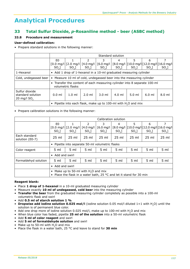# **33 Total Sulfur Dioxide,** *p***-Rosaniline method - beer (ASBC method)**

## **33.8 Procedure and measurement**

#### **User-defined calibration:**

• Prepare standard solutions in the following manner:

|                                                      | Standard solution                                                                             |                                                          |               |                      |         |                  |          |                                                                                     |
|------------------------------------------------------|-----------------------------------------------------------------------------------------------|----------------------------------------------------------|---------------|----------------------|---------|------------------|----------|-------------------------------------------------------------------------------------|
|                                                      | E0                                                                                            |                                                          | $\mathcal{L}$ | 3                    | 4       | 5                | 6        |                                                                                     |
|                                                      |                                                                                               | $[0.0 \text{ mg/l}][2.0 \text{ mg/l}][4.0 \text{ mg/l}]$ |               | $[6.0 \text{ mg}/1]$ |         |                  |          | $[8.0 \text{ mg/l}   [10.0 \text{ mg/l}   [12.0 \text{ mg/l}   [16.0 \text{ mg/l}]$ |
|                                                      | $SO2$ ]                                                                                       | $SO2$ ]                                                  | $SO2$ ]       | $SO2$ ]              | $SO2$ ] | $SO2$ ]          | $SO2$ ]  | $SO2$ ]                                                                             |
| 1-Hexanol                                            | • Add 1 drop of 1-hexanol in a 10-ml graduated measuring cylinder                             |                                                          |               |                      |         |                  |          |                                                                                     |
| Cold, undegassed beer                                | Measure 10 ml of cold, undegassed beer into the measuring cylinder<br>$\bullet$               |                                                          |               |                      |         |                  |          |                                                                                     |
|                                                      | • Transfer the content of each measuring cylinder into 8 separate 100-ml<br>volumetric flasks |                                                          |               |                      |         |                  |          |                                                                                     |
| Sulfur dioxide<br>standard solution<br>20 mg/l $SO2$ | $0.0$ ml                                                                                      | $1.0 \text{ ml}$                                         | $2.0$ ml      | $3.0$ ml             | 4.0 ml  | $5.0 \text{ ml}$ | $6.0$ ml | $8.0 \text{ ml}$                                                                    |
|                                                      | • Pipette into each flask, make up to 100-ml with $H2O$ and mix                               |                                                          |               |                      |         |                  |          |                                                                                     |

• Prepare calibration solutions in the following manner:

|                                  | Calibration solution                                                                                                      |                                        |                 |                 |                 |                 |                 |                                                                                  |
|----------------------------------|---------------------------------------------------------------------------------------------------------------------------|----------------------------------------|-----------------|-----------------|-----------------|-----------------|-----------------|----------------------------------------------------------------------------------|
|                                  | E0                                                                                                                        |                                        | 2               | 3               | 4               | 5               | 6               | $\overline{7}$                                                                   |
|                                  |                                                                                                                           | $[0.0 \text{ mg/l}][2.0 \text{ mg/l}]$ | $[4.0$ mg/l     | $[6.0$ mg/l     |                 |                 |                 | $[8.0 \text{ mg/l}$ $ [10.0 \text{ mg/l}][12.0 \text{ mg/l}][16.0 \text{ mg/l}]$ |
|                                  | $SO2$ ]                                                                                                                   | $SO2$ ]                                | $SO2$ ]         | $SO2$ ]         | $SO2$ ]         | $SO2$ ]         | $SO2$ ]         | $SO2$ ]                                                                          |
| Each standard<br>solution (E0-7) | $25 \text{ ml}$                                                                                                           | $25$ ml                                | $25$ ml         | $25 \text{ ml}$ | $25$ ml         | $25$ ml         | $25$ ml         | $25$ ml                                                                          |
|                                  | Pipette into separate 50-ml volumetric flasks<br>$\bullet$                                                                |                                        |                 |                 |                 |                 |                 |                                                                                  |
| Color reagent                    | 5 <sub>ml</sub>                                                                                                           | 5 <sub>ml</sub>                        | $5 \text{ ml}$  | 5 ml            | 5 <sub>ml</sub> | 5 <sub>ml</sub> | 5 <sub>ml</sub> | 5 <sub>ml</sub>                                                                  |
|                                  | • Add and swirl                                                                                                           |                                        |                 |                 |                 |                 |                 |                                                                                  |
| Formaldehyd solution             | 5 <sub>ml</sub>                                                                                                           | 5 <sub>m</sub>                         | 5 <sub>ml</sub> | 5 <sub>ml</sub> | 5 <sub>ml</sub> | 5 <sub>ml</sub> | 5 <sub>ml</sub> | 5 <sub>ml</sub>                                                                  |
|                                  | • Add and swirl                                                                                                           |                                        |                 |                 |                 |                 |                 |                                                                                  |
|                                  | • Make up to 50-ml with $H_2O$ and mix<br>Place the flask in a water bath, 25 °C and let it stand for 30 min<br>$\bullet$ |                                        |                 |                 |                 |                 |                 |                                                                                  |

## **Reagent blank:**

- Place **1 drop of 1-hexanol** in a 10-ml graduated measuring cylinder
- Measure exactly **10 ml of undegassed, cold beer** into the measuring cylinder
- **Transfer the beer** from the graduated measuring cylinder completely as possible into a 100-ml volumetric flask and swirl
- Add **0.5 ml of starch solution 1 %**
- **Dropwise add iodine solution 0.025 mol/l** (iodine solution 0.05 mol/l diluted 1+1 with H<sub>2</sub>O) until the solution is of permanent blue color.
- Add one drop more of iodine solution 0.025 mol/l, make up to 100-ml with  $H_2O$  and mix
- When blue color has faded, pipette **25 ml of the solution** into a 50-ml volumetric flask
- Add **5 ml of color reagent** and swirl
- Add **5 ml of formaldehyde solution** and swirl
- Make up to 50-ml with  $H_2O$  and mix
- Place the flask in a water bath, 25 °C and leave to stand for **30 min**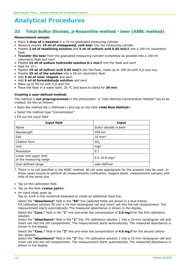# **33 Total Sulfur Dioxide,** *p***-Rosaniline method - beer (ASBC method)**

#### **Measurement sample:**

- Place **1 drop of 1-hexanol** in a 10-ml graduated measuring cylinder
- Measure exactly **10 ml of undegassed, cold beer** into the measuring cylinder
- Pipette **2 ml of stabilizing solution** and **5 ml of sulfuric acid 0.05 mol/l** into a 100-ml volumetric flask
- **Transfer the beer** from the graduated measuring cylinder completely as possible into a 100-ml volumetric flask and swirl
- Pipette **15 ml of sodium hydroxide solution 0.1 mol/l** into the flask and swirl
- Wait for 15 s
- Pipette **10 ml of sulfuric acid 0.05 mol/l** into the flask, make up to 100-ml with H2O and mix
- Pipette **25 ml of the solution** into a 50-ml volumetric flask
- Add **5 ml of color reagent** and swirl
- Add **5 ml of formaldehyde solution** and swirl
- Make up to 50-ml with  $H<sub>2</sub>O$  and mix
- Place the flask in a water bath, 25 °C and leave to stand for **30 min**

#### **Creating a user-defined method:**

The method is **not preprogrammed** in the photometer. A "User-defined Concentration Method" has to be created. Do this as follows:

- Open the method list (<Methods>) and tap on the field **<Add New Method>**
- Select the method type "Concentration"
- Fill out the input field:

| <b>Input field</b>                              | Input                  |
|-------------------------------------------------|------------------------|
| Name                                            | Sulfur dioxide in beer |
| Wavelength                                      | 550 nm                 |
| Cell                                            | $10 \text{ mm}^*$      |
| Citation form                                   | SO <sub>2</sub>        |
| Unit                                            | mg/l                   |
| Resolution                                      | 0.1                    |
| Lower and upper limit<br>of the measuring range | $0.0 - 16.0$ mg/l      |
| User-defined range                              | user-defined           |

- \* There is no cell specified in the ASBC method. All cell sizes appropriate for the analysis may be used. In those cases ensure to perform all measurements (calibration, reagent blank, measurement sample) with cells of the same size.
- Tap on the calibration field.
- Tap on the field **<value pairs>**.
- An input mask pops up.

Tap on **<+>** in the numerical keyboard to create an additional input line.

Select the **"Absorbance"** field in the **"E0"** line (selected fields are shown in a blue frame). Fill calibration solution E0 into a 10-mm rectangular cell and insert cell into the cell compartment. The measurement starts automatically. The measured absorbance is shown in the display.

Select the **"Conc."** field in the **"1"** line and enter the concentration of **2.0 mg/l** for the first calibration solution.

Select the **"Absorbance"** field in the **"1"** line. Fill calibration solution 1 into a 10-mm rectangular cell and insert cell into the cell compartment. The measurement starts automatically. The measured absorbance is shown in the display.

Select the **"Conc."** field in the **"2"** line and enter the concentration of **4.0 mg/l** for the second calibration solution.

Select the **"Absorbance"** field in the **"2"** line. Fill calibration solution 2 into a 10-mm rectangular cell and insert cell into the cell compartment. The measurement starts automatically. The measured absorbance is shown in the display.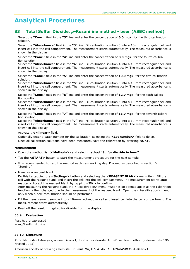# **33 Total Sulfur Dioxide,** *p***-Rosaniline method - beer (ASBC method)**

Select the **"Conc."** field in the **"3"** line and enter the concentration of **6.0 mg/l** for the third calibration solution.

Select the **"Absorbance"** field in the **"3"** line. Fill calibration solution 3 into a 10-mm rectangular cell and insert cell into the cell compartment. The measurement starts automatically. The measured absorbance is shown in the display.

Select the **"Conc."** field in the **"4"** line and enter the concentration of **8.0 mg/l** for the fourth calibration solution.

Select the **"Absorbance"** field in the **"4"** line. Fill calibration solution 4 into a 10-mm rectangular cell and insert cell into the cell compartment. The measurement starts automatically. The measured absorbance is shown in the display.

Select the **"Conc."** field in the **"5"** line and enter the concentration of **10.0 mg/l** for the fifth calibration solution.

Select the **"Absorbance"** field in the **"5"** line. Fill calibration solution 5 into a 10-mm rectangular cell and insert cell into the cell compartment. The measurement starts automatically. The measured absorbance is shown in the display.

Select the **"Conc."** field in the **"6"** line and enter the concentration of **12.0 mg/l** for the sixth calibration solution.

Select the **"Absorbance"** field in the **"6"** line. Fill calibration solution 6 into a 10-mm rectangular cell and insert cell into the cell compartment. The measurement starts automatically. The measured absorbance is shown in the display.

Select the **"Conc."** field in the **"7"** line and enter the concentration of **16.0 mg/l** for the seventh calibration solution.

Select the **"Absorbance"** field in the **"7"** line. Fill calibration solution 7 into a 10-mm rectangular cell and insert cell into the cell compartment. The measurement starts automatically. The measured absorbance is shown in the display.

Activate the **<linear>** field.

Optionally enter a batch number for the calibration, selecting the **<Lot number>** field to do so. Once all calibration solutions have been measured, save the calibration by pressing **<OK>**.

## **Measurement:**

- Open the method list (**<Methods>**) and select **method "Sulfur dioxide in beer"**.
- Tap the **<START>** button to start the measurement procedure for the next sample.
- It is recommended to zero the method each new working day. Proceed as described in section V "Zeroing".
- Measure a reagent blank.

Do this by tapping the **<Settings>** button and selecting the **<REAGENT BLANK>** menu item. Fill the cell with the reagent blank and insert the cell into the cell compartment. The measurement starts automatically. Accept the reagent blank by tapping **<OK>** to confirm.

After measuring the reagent blank the <Recalibration> menu must not be opened again as the calibration function is then changed due to the measurement of the reagent blank. Open the <Recalibration> menu only when a new recalibration should be performed.

- Fill the measurement sample into a 10-mm rectangular cell and insert cell into the cell compartment. The measurement starts automatically.
- Read off the result in mg/l sulfur dioxide from the display.

## **33.9 Evaluation**

Results are expressed in mg/l sulfur dioxide

## **33.10 Literature**

ASBC Methods of Analysis, online. Beer-21, Total sulfur dioxide, A. p-Rosaniline method [Release date 1960, revised 1975].

American society of brewing Chemists, St. Paul, Mn, U.S.A. doi: 10.1094/ASBCMOA-Beer-21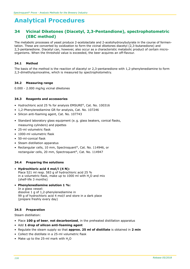# **34 Vicinal Diketones (Diacetyl, 2,3-Pentandione), spectrophotometric (EBC method)**

The metabolic processes of yeast produce 2-acetolactate and 2-acetohydroxybutyrate in the course of fermentation. These are converted by oxidization to form the vicinal diketones diacetyl (2,3-butanedione) and 2,3-pentanedione. Diacetyl can, however, also occur as a characteristic metabolic product of certain microorganisms. When the threshold value is exceeded, the beer acquires an off-flavour.

#### **34.1 Method**

The basis of the method is the reaction of diacetyl or 2,3-pentanedione with 1,2-phenylenediamine to form 2,3-dimethylquinoxaline, which is measured by spectrophotometry.

#### **34.2 Measuring range**

0.000 - 2.000 mg/kg vicinal diketones

#### **34.3 Reagents and accessories**

- Hydrochloric acid 25 % for analysis EMSURE®, Cat. No. 100316
- 1,2-Phenylenediamine GR for analysis, Cat. No. 107246
- Silicon anti-foaming agent, Cat. No. 107743
- Standard laboratory glass equipment (e. g. glass beakers, conical flasks, measuring cylinders) and pipettes
- 25-ml volumetric flask
- 1000-ml volumetric flask
- 50-ml-conical flask
- Steam distillation apparatus
- Rectangular cells, 10 mm, Spectroquant®, Cat. No. 114946, or rectangular cells, 20 mm, Spectroquant®, Cat. No. 114947

#### **34.4 Preparing the solutions**

- • **Hydrochloric acid 4 mol/l (4 N):** Place 521 ml resp. 583 g of hydrochloric acid 25 % in a volumetric flask, make up to  $1000$  ml with  $H<sub>2</sub>O$  and mix (shelf-life 3 months)
- • **Phenylenediamine solution 1 %:**

In a glass vessel: dissolve 1 g of 1,2-phenylenediamine in 99 g of hydrochloric acid 4 mol/l and store in a dark place (prepare freshly every day)

## **34.5 Preparation**

Steam distillation:

- Place **100 g of beer**, **not decarbonized**, in the preheated distillation apparatus
- Add **1 drop of silicon anti-foaming agent**
- Regulate the steam supply so that **approx. 25 ml of distillate** is obtained in **2 min**
- Collect the distillate in a 25-ml volumetric flask
- Make up to the 25-ml mark with H<sub>2</sub>O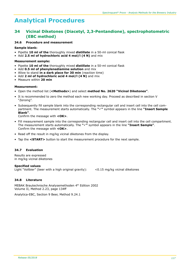# **34 Vicinal Diketones (Diacetyl, 2,3-Pentandione), spectrophotometric (EBC method)**

#### **34.6 Procedure and measurement**

#### **Sample blank:**

- Pipette **10 ml of the** thoroughly mixed **distillate** in a 50-ml conical flask
- Add **2.5 ml of hydrochloric acid 4 mol/l (4 N)** and mix

#### **Measurement sample:**

- Pipette **10 ml of the** thoroughly mixed **distillate** in a 50-ml conical flask
- Add **0.5 ml of phenylenediamine solution** and mix
- Allow to stand **in a dark place for 30 min** (reaction time)
- Add **2 ml of hydrochloric acid 4 mol/l (4 N)** and mix
- Measure within **20 min**

#### **Measurement:**

- Open the method list (**<Methods>**) and select **method No. 2620 "Vicinal Diketones"**.
- It is recommended to zero the method each new working day. Proceed as described in section V "Zeroing".
- Subsequently fill sample blank into the corresponding rectangular cell and insert cell into the cell compartment. The measurement starts automatically. The "v" symbol appears in the line "Insert Sample  **Blank"**.

Confirm the message with **<OK>**.

- Fill measurement sample into the corresponding rectangular cell and insert cell into the cell compartment. The measurement starts automatically. The **"**ü**"** symbol appears in the line **"Insert Sample"**. Confirm the message with **<OK>**.
- Read off the result in mg/kg vicinal diketones from the display.
- Tap the **<START>** button to start the measurement procedure for the next sample.

## **34.7 Evaluation**

Results are expressed in mg/kg vicinal diketones

## **Specified values**

Light "Vollbier" (beer with a high original gravity): <0.15 mg/kg vicinal diketones

## **34.8 Literature**

MEBAK Brautechnische Analysemethoden 4th Edition 2002 Volume II, Method 2.23, page 134ff

Analytica-EBC, Section 9 Beer, Method 9.24.1